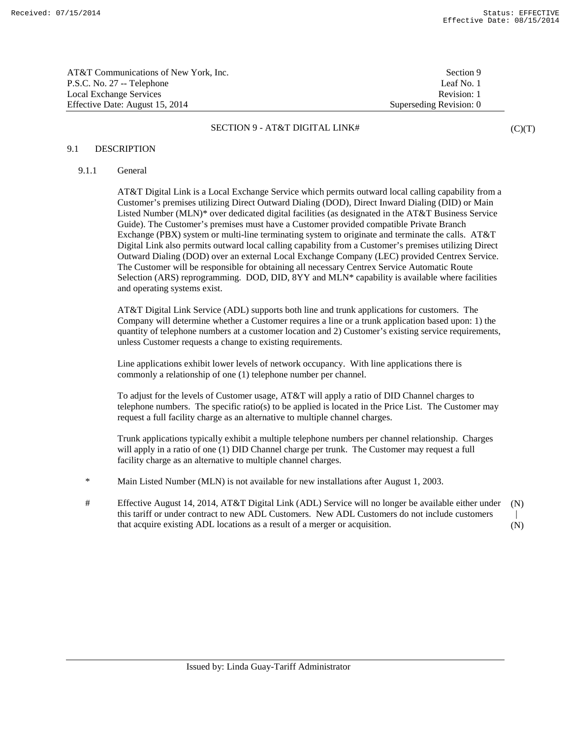| AT&T Communications of New York, Inc. | Section 9               |
|---------------------------------------|-------------------------|
| P.S.C. No. 27 -- Telephone            | Leaf No. 1              |
| Local Exchange Services               | Revision: 1             |
| Effective Date: August 15, 2014       | Superseding Revision: 0 |

 $(C)(T)$ 

## 9.1 DESCRIPTION

# 9.1.1 General

 AT&T Digital Link is a Local Exchange Service which permits outward local calling capability from a Customer's premises utilizing Direct Outward Dialing (DOD), Direct Inward Dialing (DID) or Main Listed Number (MLN)\* over dedicated digital facilities (as designated in the AT&T Business Service Guide). The Customer's premises must have a Customer provided compatible Private Branch Exchange (PBX) system or multi-line terminating system to originate and terminate the calls. AT&T Digital Link also permits outward local calling capability from a Customer's premises utilizing Direct Outward Dialing (DOD) over an external Local Exchange Company (LEC) provided Centrex Service. The Customer will be responsible for obtaining all necessary Centrex Service Automatic Route Selection (ARS) reprogramming. DOD, DID, 8YY and MLN\* capability is available where facilities and operating systems exist.

 AT&T Digital Link Service (ADL) supports both line and trunk applications for customers. The Company will determine whether a Customer requires a line or a trunk application based upon: 1) the quantity of telephone numbers at a customer location and 2) Customer's existing service requirements, unless Customer requests a change to existing requirements.

 Line applications exhibit lower levels of network occupancy. With line applications there is commonly a relationship of one (1) telephone number per channel.

 To adjust for the levels of Customer usage, AT&T will apply a ratio of DID Channel charges to telephone numbers. The specific ratio(s) to be applied is located in the Price List. The Customer may request a full facility charge as an alternative to multiple channel charges.

 Trunk applications typically exhibit a multiple telephone numbers per channel relationship. Charges will apply in a ratio of one (1) DID Channel charge per trunk. The Customer may request a full facility charge as an alternative to multiple channel charges.

- \* Main Listed Number (MLN) is not available for new installations after August 1, 2003.
- # Effective August 14, 2014, AT&T Digital Link (ADL) Service will no longer be available either under this tariff or under contract to new ADL Customers. New ADL Customers do not include customers that acquire existing ADL locations as a result of a merger or acquisition. (N) | (N)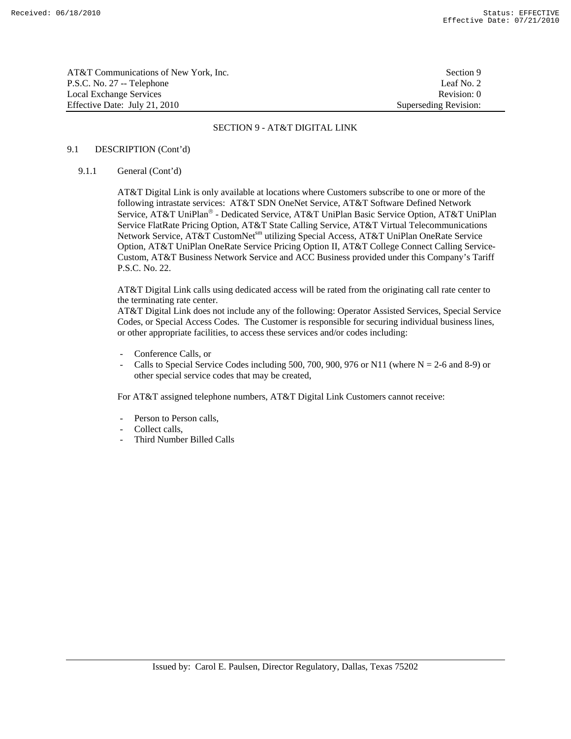| AT&T Communications of New York, Inc. | Section 9             |
|---------------------------------------|-----------------------|
| P.S.C. No. 27 -- Telephone            | Leaf No. 2            |
| Local Exchange Services               | Revision: 0           |
| Effective Date: July 21, 2010         | Superseding Revision: |

### 9.1 DESCRIPTION (Cont'd)

### 9.1.1 General (Cont'd)

 AT&T Digital Link is only available at locations where Customers subscribe to one or more of the following intrastate services: AT&T SDN OneNet Service, AT&T Software Defined Network Service, AT&T UniPlan® - Dedicated Service, AT&T UniPlan Basic Service Option, AT&T UniPlan Service FlatRate Pricing Option, AT&T State Calling Service, AT&T Virtual Telecommunications Network Service, AT&T CustomNet<sup>sm</sup> utilizing Special Access, AT&T UniPlan OneRate Service Option, AT&T UniPlan OneRate Service Pricing Option II, AT&T College Connect Calling Service-Custom, AT&T Business Network Service and ACC Business provided under this Company's Tariff P.S.C. No. 22.

 AT&T Digital Link calls using dedicated access will be rated from the originating call rate center to the terminating rate center.

 AT&T Digital Link does not include any of the following: Operator Assisted Services, Special Service Codes, or Special Access Codes. The Customer is responsible for securing individual business lines, or other appropriate facilities, to access these services and/or codes including:

- Conference Calls, or
- Calls to Special Service Codes including 500, 700, 900, 976 or N11 (where  $N = 2$ -6 and 8-9) or other special service codes that may be created,

For AT&T assigned telephone numbers, AT&T Digital Link Customers cannot receive:

- Person to Person calls,
- Collect calls,
- Third Number Billed Calls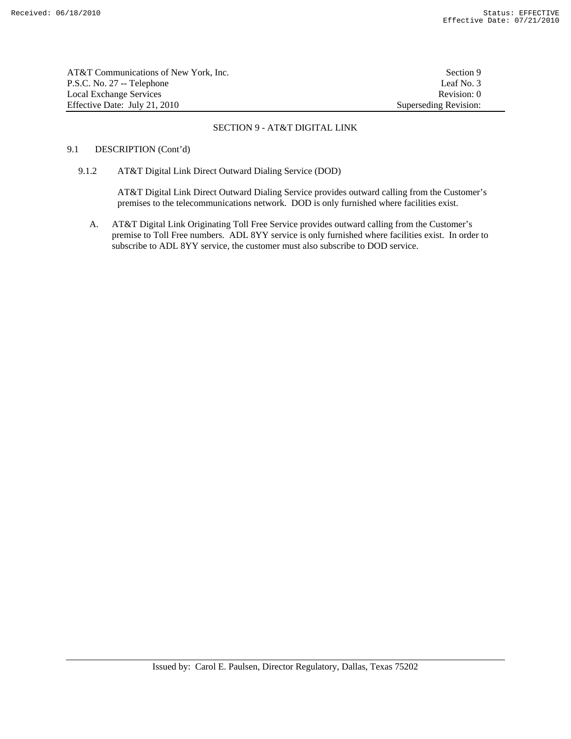| AT&T Communications of New York. Inc. | Section 9             |
|---------------------------------------|-----------------------|
| P.S.C. No. 27 -- Telephone            | Leaf No. 3            |
| Local Exchange Services               | Revision: 0           |
| Effective Date: July 21, 2010         | Superseding Revision: |

# 9.1 DESCRIPTION (Cont'd)

# 9.1.2 AT&T Digital Link Direct Outward Dialing Service (DOD)

 AT&T Digital Link Direct Outward Dialing Service provides outward calling from the Customer's premises to the telecommunications network. DOD is only furnished where facilities exist.

A. AT&T Digital Link Originating Toll Free Service provides outward calling from the Customer's premise to Toll Free numbers. ADL 8YY service is only furnished where facilities exist. In order to subscribe to ADL 8YY service, the customer must also subscribe to DOD service.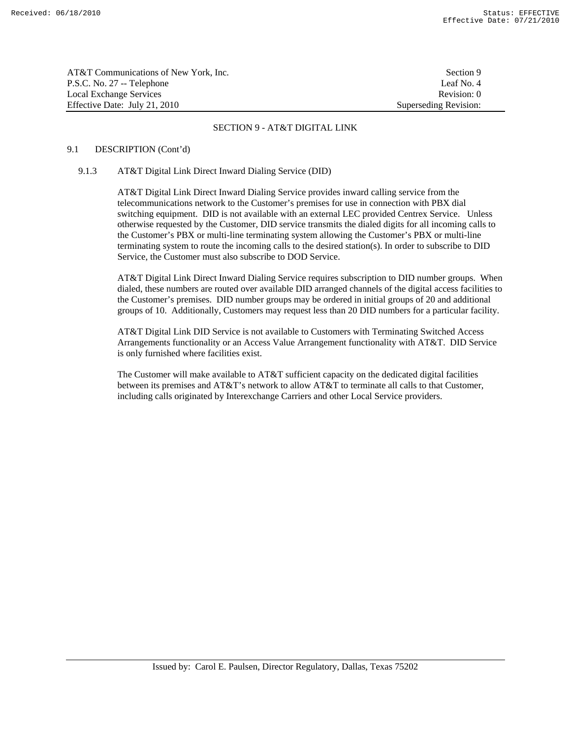| AT&T Communications of New York, Inc. | Section 9             |
|---------------------------------------|-----------------------|
| P.S.C. No. 27 -- Telephone            | Leaf No. 4            |
| Local Exchange Services               | Revision: 0           |
| Effective Date: July 21, 2010         | Superseding Revision: |

### 9.1 DESCRIPTION (Cont'd)

#### 9.1.3 AT&T Digital Link Direct Inward Dialing Service (DID)

 AT&T Digital Link Direct Inward Dialing Service provides inward calling service from the telecommunications network to the Customer's premises for use in connection with PBX dial switching equipment. DID is not available with an external LEC provided Centrex Service. Unless otherwise requested by the Customer, DID service transmits the dialed digits for all incoming calls to the Customer's PBX or multi-line terminating system allowing the Customer's PBX or multi-line terminating system to route the incoming calls to the desired station(s). In order to subscribe to DID Service, the Customer must also subscribe to DOD Service.

 AT&T Digital Link Direct Inward Dialing Service requires subscription to DID number groups. When dialed, these numbers are routed over available DID arranged channels of the digital access facilities to the Customer's premises. DID number groups may be ordered in initial groups of 20 and additional groups of 10. Additionally, Customers may request less than 20 DID numbers for a particular facility.

 AT&T Digital Link DID Service is not available to Customers with Terminating Switched Access Arrangements functionality or an Access Value Arrangement functionality with AT&T. DID Service is only furnished where facilities exist.

 The Customer will make available to AT&T sufficient capacity on the dedicated digital facilities between its premises and AT&T's network to allow AT&T to terminate all calls to that Customer, including calls originated by Interexchange Carriers and other Local Service providers.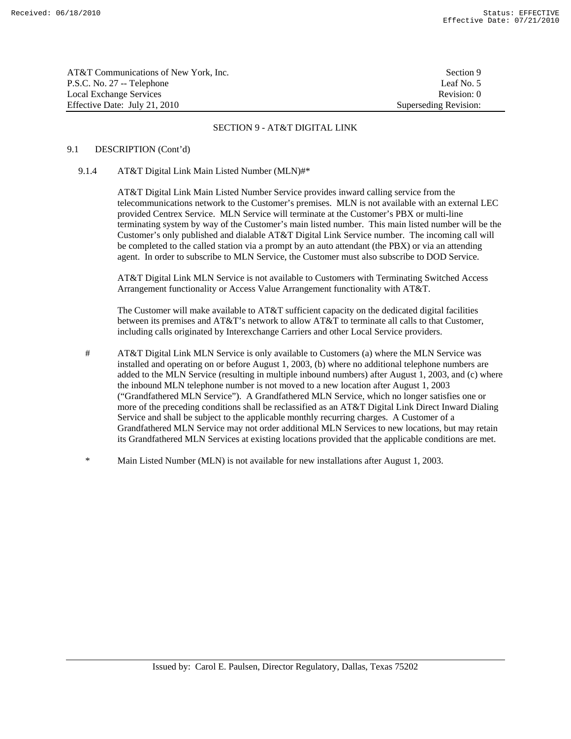| AT&T Communications of New York. Inc. | Section 9             |
|---------------------------------------|-----------------------|
| P.S.C. No. 27 -- Telephone            | Leaf No. 5            |
| Local Exchange Services               | Revision: 0           |
| Effective Date: July 21, 2010         | Superseding Revision: |

# 9.1 DESCRIPTION (Cont'd)

# 9.1.4 AT&T Digital Link Main Listed Number (MLN)#\*

 AT&T Digital Link Main Listed Number Service provides inward calling service from the telecommunications network to the Customer's premises. MLN is not available with an external LEC provided Centrex Service. MLN Service will terminate at the Customer's PBX or multi-line terminating system by way of the Customer's main listed number. This main listed number will be the Customer's only published and dialable AT&T Digital Link Service number. The incoming call will be completed to the called station via a prompt by an auto attendant (the PBX) or via an attending agent. In order to subscribe to MLN Service, the Customer must also subscribe to DOD Service.

 AT&T Digital Link MLN Service is not available to Customers with Terminating Switched Access Arrangement functionality or Access Value Arrangement functionality with AT&T.

 The Customer will make available to AT&T sufficient capacity on the dedicated digital facilities between its premises and AT&T's network to allow AT&T to terminate all calls to that Customer, including calls originated by Interexchange Carriers and other Local Service providers.

- # AT&T Digital Link MLN Service is only available to Customers (a) where the MLN Service was installed and operating on or before August 1, 2003, (b) where no additional telephone numbers are added to the MLN Service (resulting in multiple inbound numbers) after August 1, 2003, and (c) where the inbound MLN telephone number is not moved to a new location after August 1, 2003 ("Grandfathered MLN Service"). A Grandfathered MLN Service, which no longer satisfies one or more of the preceding conditions shall be reclassified as an AT&T Digital Link Direct Inward Dialing Service and shall be subject to the applicable monthly recurring charges. A Customer of a Grandfathered MLN Service may not order additional MLN Services to new locations, but may retain its Grandfathered MLN Services at existing locations provided that the applicable conditions are met.
- \* Main Listed Number (MLN) is not available for new installations after August 1, 2003.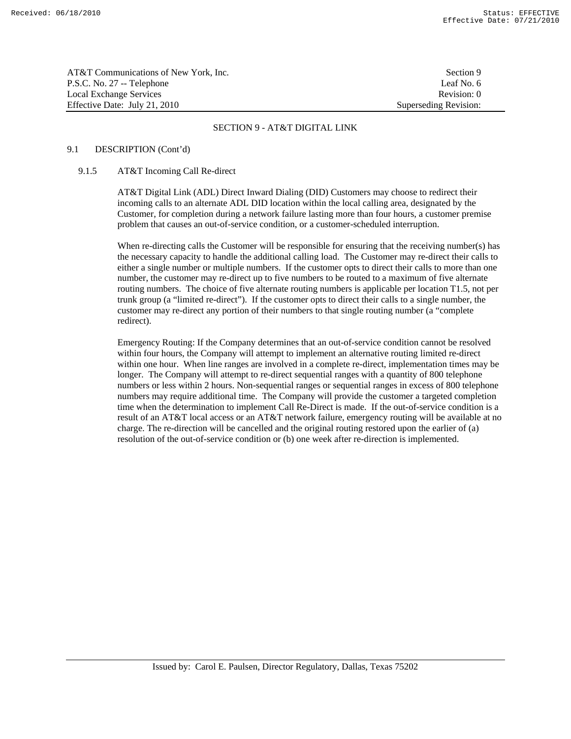| AT&T Communications of New York. Inc. | Section 9             |
|---------------------------------------|-----------------------|
| P.S.C. No. 27 -- Telephone            | Leaf No. 6            |
| Local Exchange Services               | Revision: 0           |
| Effective Date: July 21, 2010         | Superseding Revision: |

### 9.1 DESCRIPTION (Cont'd)

#### 9.1.5 AT&T Incoming Call Re-direct

 AT&T Digital Link (ADL) Direct Inward Dialing (DID) Customers may choose to redirect their incoming calls to an alternate ADL DID location within the local calling area, designated by the Customer, for completion during a network failure lasting more than four hours, a customer premise problem that causes an out-of-service condition, or a customer-scheduled interruption.

When re-directing calls the Customer will be responsible for ensuring that the receiving number(s) has the necessary capacity to handle the additional calling load. The Customer may re-direct their calls to either a single number or multiple numbers. If the customer opts to direct their calls to more than one number, the customer may re-direct up to five numbers to be routed to a maximum of five alternate routing numbers. The choice of five alternate routing numbers is applicable per location T1.5, not per trunk group (a "limited re-direct"). If the customer opts to direct their calls to a single number, the customer may re-direct any portion of their numbers to that single routing number (a "complete redirect).

 Emergency Routing: If the Company determines that an out-of-service condition cannot be resolved within four hours, the Company will attempt to implement an alternative routing limited re-direct within one hour. When line ranges are involved in a complete re-direct, implementation times may be longer. The Company will attempt to re-direct sequential ranges with a quantity of 800 telephone numbers or less within 2 hours. Non-sequential ranges or sequential ranges in excess of 800 telephone numbers may require additional time. The Company will provide the customer a targeted completion time when the determination to implement Call Re-Direct is made. If the out-of-service condition is a result of an AT&T local access or an AT&T network failure, emergency routing will be available at no charge. The re-direction will be cancelled and the original routing restored upon the earlier of (a) resolution of the out-of-service condition or (b) one week after re-direction is implemented.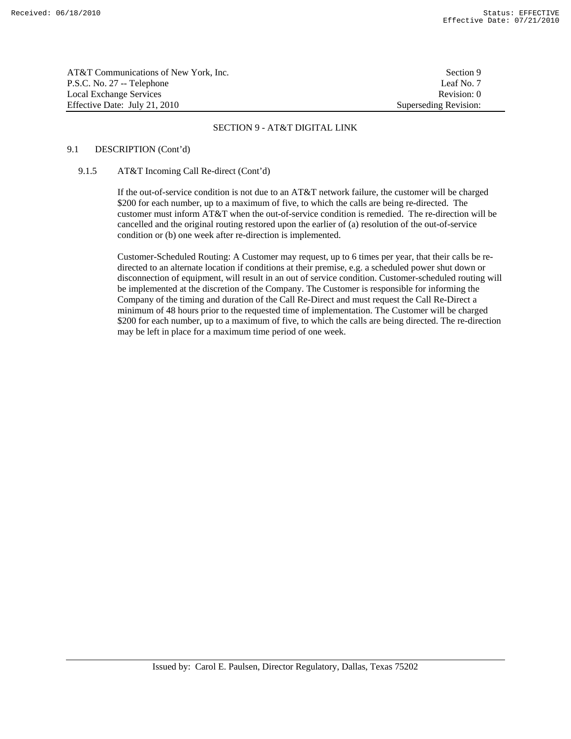| AT&T Communications of New York, Inc. | Section 9             |
|---------------------------------------|-----------------------|
| P.S.C. No. 27 -- Telephone            | Leaf No. 7            |
| Local Exchange Services               | Revision: 0           |
| Effective Date: July 21, 2010         | Superseding Revision: |

### 9.1 DESCRIPTION (Cont'd)

#### 9.1.5 AT&T Incoming Call Re-direct (Cont'd)

 If the out-of-service condition is not due to an AT&T network failure, the customer will be charged \$200 for each number, up to a maximum of five, to which the calls are being re-directed. The customer must inform AT&T when the out-of-service condition is remedied. The re-direction will be cancelled and the original routing restored upon the earlier of (a) resolution of the out-of-service condition or (b) one week after re-direction is implemented.

 Customer-Scheduled Routing: A Customer may request, up to 6 times per year, that their calls be redirected to an alternate location if conditions at their premise, e.g. a scheduled power shut down or disconnection of equipment, will result in an out of service condition. Customer-scheduled routing will be implemented at the discretion of the Company. The Customer is responsible for informing the Company of the timing and duration of the Call Re-Direct and must request the Call Re-Direct a minimum of 48 hours prior to the requested time of implementation. The Customer will be charged \$200 for each number, up to a maximum of five, to which the calls are being directed. The re-direction may be left in place for a maximum time period of one week.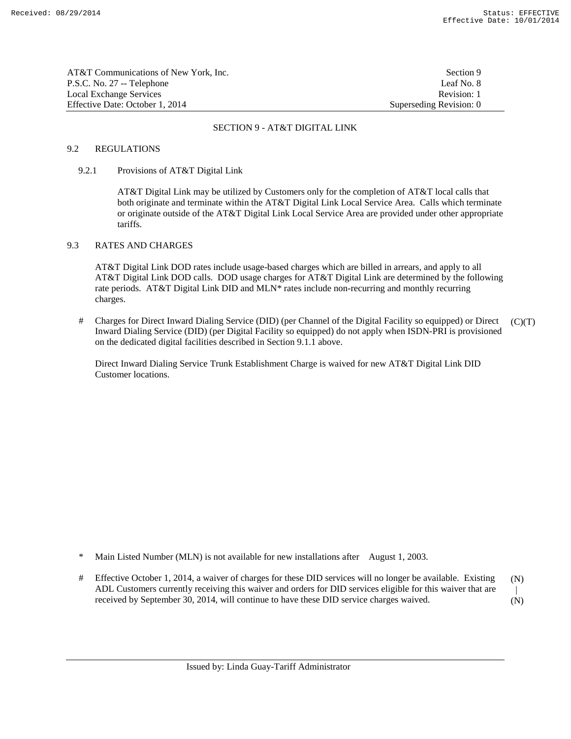| AT&T Communications of New York. Inc. | Section 9               |
|---------------------------------------|-------------------------|
| P.S.C. No. 27 -- Telephone            | Leaf No. 8              |
| Local Exchange Services               | Revision: 1             |
| Effective Date: October 1, 2014       | Superseding Revision: 0 |

## 9.2 REGULATIONS

### 9.2.1 Provisions of AT&T Digital Link

 AT&T Digital Link may be utilized by Customers only for the completion of AT&T local calls that both originate and terminate within the AT&T Digital Link Local Service Area. Calls which terminate or originate outside of the AT&T Digital Link Local Service Area are provided under other appropriate tariffs.

### 9.3 RATES AND CHARGES

 AT&T Digital Link DOD rates include usage-based charges which are billed in arrears, and apply to all AT&T Digital Link DOD calls. DOD usage charges for AT&T Digital Link are determined by the following rate periods. AT&T Digital Link DID and MLN\* rates include non-recurring and monthly recurring charges.

 # Charges for Direct Inward Dialing Service (DID) (per Channel of the Digital Facility so equipped) or Direct Inward Dialing Service (DID) (per Digital Facility so equipped) do not apply when ISDN-PRI is provisioned on the dedicated digital facilities described in Section 9.1.1 above.  $(C)(T)$ 

 Direct Inward Dialing Service Trunk Establishment Charge is waived for new AT&T Digital Link DID Customer locations.

- \* Main Listed Number (MLN) is not available for new installations after August 1, 2003.
- # Effective October 1, 2014, a waiver of charges for these DID services will no longer be available. Existing ADL Customers currently receiving this waiver and orders for DID services eligible for this waiver that are received by September 30, 2014, will continue to have these DID service charges waived. (N) | (N)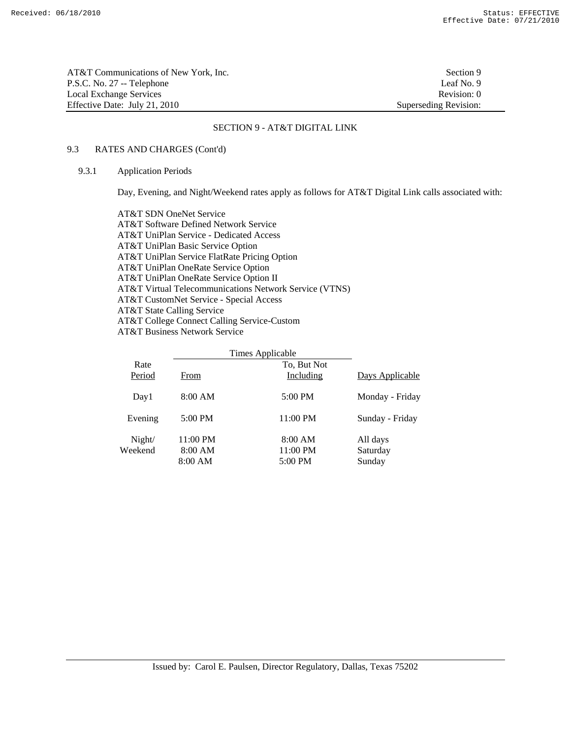| AT&T Communications of New York. Inc. | Section 9             |
|---------------------------------------|-----------------------|
| P.S.C. No. 27 -- Telephone            | Leaf No. 9            |
| Local Exchange Services               | Revision: 0           |
| Effective Date: July 21, 2010         | Superseding Revision: |

# 9.3 RATES AND CHARGES (Cont'd)

## 9.3.1 Application Periods

Day, Evening, and Night/Weekend rates apply as follows for AT&T Digital Link calls associated with:

 AT&T SDN OneNet Service AT&T Software Defined Network Service AT&T UniPlan Service - Dedicated Access AT&T UniPlan Basic Service Option AT&T UniPlan Service FlatRate Pricing Option AT&T UniPlan OneRate Service Option AT&T UniPlan OneRate Service Option II AT&T Virtual Telecommunications Network Service (VTNS) AT&T CustomNet Service - Special Access AT&T State Calling Service AT&T College Connect Calling Service-Custom AT&T Business Network Service

|                   |                                | Times Applicable               |                                |
|-------------------|--------------------------------|--------------------------------|--------------------------------|
| Rate<br>Period    | From                           | To, But Not<br>Including       | Days Applicable                |
| Day1              | 8:00 AM                        | 5:00 PM                        | Monday - Friday                |
| Evening           | 5:00 PM                        | $11:00 \text{ PM}$             | Sunday - Friday                |
| Night/<br>Weekend | 11:00 PM<br>8:00 AM<br>8:00 AM | 8:00 AM<br>11:00 PM<br>5:00 PM | All days<br>Saturday<br>Sunday |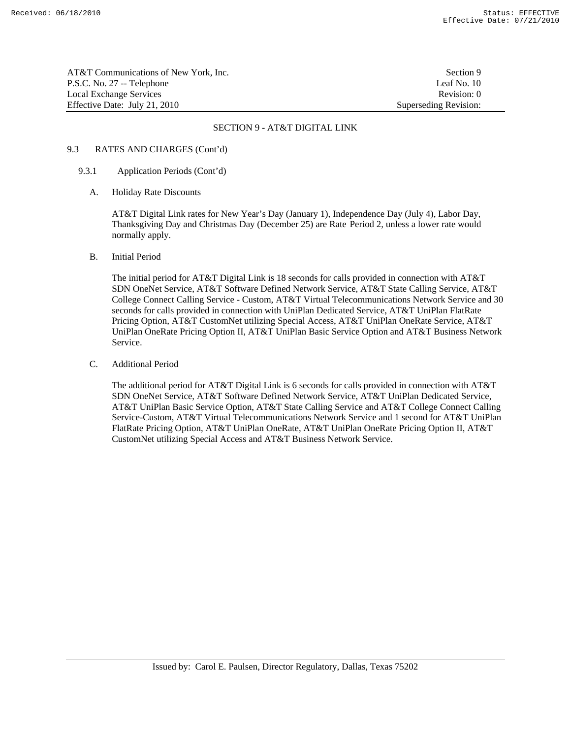AT&T Communications of New York, Inc. Section 9 P.S.C. No. 27 -- Telephone Leaf No. 10 Local Exchange Services **Revision:** 0 Effective Date: July 21, 2010 Superseding Revision:

## SECTION 9 - AT&T DIGITAL LINK

# 9.3 RATES AND CHARGES (Cont'd)

## 9.3.1 Application Periods (Cont'd)

A. Holiday Rate Discounts

 AT&T Digital Link rates for New Year's Day (January 1), Independence Day (July 4), Labor Day, Thanksgiving Day and Christmas Day (December 25) are Rate Period 2, unless a lower rate would normally apply.

B. Initial Period

 The initial period for AT&T Digital Link is 18 seconds for calls provided in connection with AT&T SDN OneNet Service, AT&T Software Defined Network Service, AT&T State Calling Service, AT&T College Connect Calling Service - Custom, AT&T Virtual Telecommunications Network Service and 30 seconds for calls provided in connection with UniPlan Dedicated Service, AT&T UniPlan FlatRate Pricing Option, AT&T CustomNet utilizing Special Access, AT&T UniPlan OneRate Service, AT&T UniPlan OneRate Pricing Option II, AT&T UniPlan Basic Service Option and AT&T Business Network Service.

C. Additional Period

 The additional period for AT&T Digital Link is 6 seconds for calls provided in connection with AT&T SDN OneNet Service, AT&T Software Defined Network Service, AT&T UniPlan Dedicated Service, AT&T UniPlan Basic Service Option, AT&T State Calling Service and AT&T College Connect Calling Service-Custom, AT&T Virtual Telecommunications Network Service and 1 second for AT&T UniPlan FlatRate Pricing Option, AT&T UniPlan OneRate, AT&T UniPlan OneRate Pricing Option II, AT&T CustomNet utilizing Special Access and AT&T Business Network Service.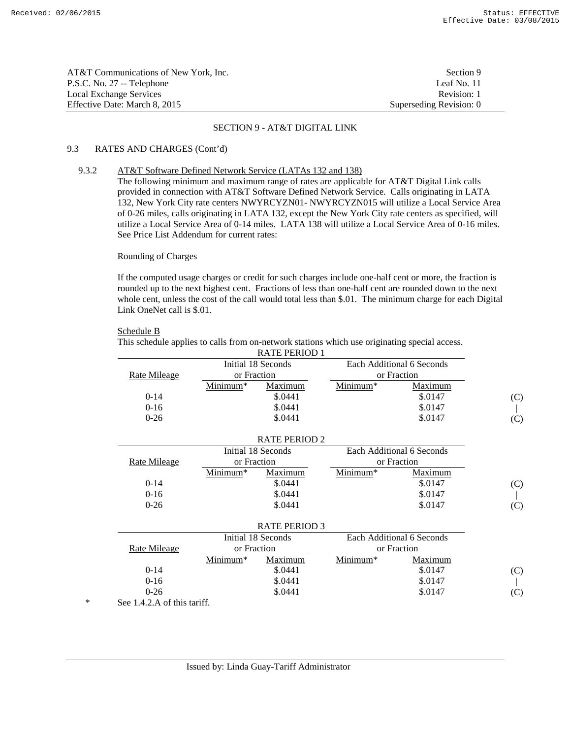| AT&T Communications of New York. Inc. | Section 9               |
|---------------------------------------|-------------------------|
| P.S.C. No. 27 -- Telephone            | Leaf No. 11             |
| Local Exchange Services               | Revision: 1             |
| Effective Date: March 8, 2015         | Superseding Revision: 0 |

# 9.3 RATES AND CHARGES (Cont'd)

# 9.3.2 AT&T Software Defined Network Service (LATAs 132 and 138)

 The following minimum and maximum range of rates are applicable for AT&T Digital Link calls provided in connection with AT&T Software Defined Network Service. Calls originating in LATA 132, New York City rate centers NWYRCYZN01- NWYRCYZN015 will utilize a Local Service Area of 0-26 miles, calls originating in LATA 132, except the New York City rate centers as specified, will utilize a Local Service Area of 0-14 miles. LATA 138 will utilize a Local Service Area of 0-16 miles. See Price List Addendum for current rates:

# Rounding of Charges

 If the computed usage charges or credit for such charges include one-half cent or more, the fraction is rounded up to the next highest cent. Fractions of less than one-half cent are rounded down to the next whole cent, unless the cost of the call would total less than \$.01. The minimum charge for each Digital Link OneNet call is \$.01.

#### Schedule B

This schedule applies to calls from on-network stations which use originating special access.

|                                                 |             | <b>RATE PERIOD 1</b> |             |                           |     |  |
|-------------------------------------------------|-------------|----------------------|-------------|---------------------------|-----|--|
| Initial 18 Seconds<br>Each Additional 6 Seconds |             |                      |             |                           |     |  |
| Rate Mileage                                    | or Fraction |                      | or Fraction |                           |     |  |
|                                                 | Minimum*    | Maximum              | Minimum*    | Maximum                   |     |  |
| $0-14$                                          |             | \$.0441              |             | \$.0147                   | (C) |  |
| $0-16$                                          |             | \$.0441              |             | \$.0147                   |     |  |
| $0-26$                                          |             | \$.0441              |             | \$.0147                   | (C) |  |
|                                                 |             |                      |             |                           |     |  |
|                                                 |             | <b>RATE PERIOD 2</b> |             |                           |     |  |
|                                                 |             | Initial 18 Seconds   |             | Each Additional 6 Seconds |     |  |
| Rate Mileage                                    | or Fraction |                      |             | or Fraction               |     |  |
|                                                 | Minimum*    | Maximum              | Minimum*    | Maximum                   |     |  |
| $0-14$                                          |             | \$.0441              |             | \$.0147                   | (C) |  |
| $0-16$                                          |             | \$.0441              |             | \$.0147                   |     |  |
| $0 - 26$                                        |             | \$.0441              |             | \$.0147                   | (C) |  |
|                                                 |             |                      |             |                           |     |  |
|                                                 |             | <b>RATE PERIOD 3</b> |             |                           |     |  |
|                                                 |             | Initial 18 Seconds   |             | Each Additional 6 Seconds |     |  |
| Rate Mileage                                    | or Fraction |                      |             | or Fraction               |     |  |
|                                                 | Minimum*    | Maximum              | Minimum*    | Maximum                   |     |  |
| $0-14$                                          |             | \$.0441              |             | \$.0147                   | (C) |  |
| $0-16$                                          |             | \$.0441              |             | \$.0147                   |     |  |
| $0 - 26$                                        |             | \$.0441              |             | \$.0147                   | (C) |  |
| $S_{\rho\alpha}$ 1 A 2 A of this tariff         |             |                      |             |                           |     |  |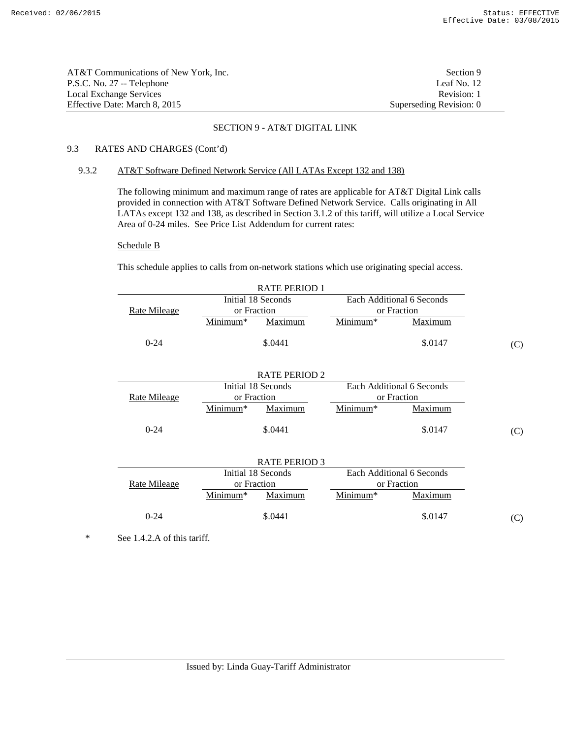| AT&T Communications of New York. Inc. | Section 9               |
|---------------------------------------|-------------------------|
| P.S.C. No. 27 -- Telephone            | Leaf No. 12             |
| Local Exchange Services               | Revision: 1             |
| Effective Date: March 8, 2015         | Superseding Revision: 0 |

# 9.3 RATES AND CHARGES (Cont'd)

### 9.3.2 AT&T Software Defined Network Service (All LATAs Except 132 and 138)

 The following minimum and maximum range of rates are applicable for AT&T Digital Link calls provided in connection with AT&T Software Defined Network Service. Calls originating in All LATAs except 132 and 138, as described in Section 3.1.2 of this tariff, will utilize a Local Service Area of 0-24 miles. See Price List Addendum for current rates:

#### Schedule B

This schedule applies to calls from on-network stations which use originating special access.

|              |             | <b>RATE PERIOD 1</b> |          |                           |     |
|--------------|-------------|----------------------|----------|---------------------------|-----|
|              |             | Initial 18 Seconds   |          | Each Additional 6 Seconds |     |
| Rate Mileage |             | or Fraction          |          | or Fraction               |     |
|              | Minimum*    | Maximum              | Minimum* | Maximum                   |     |
| $0 - 24$     |             | \$.0441              |          | \$.0147                   | (C) |
|              |             | <b>RATE PERIOD 2</b> |          |                           |     |
|              |             | Initial 18 Seconds   |          | Each Additional 6 Seconds |     |
| Rate Mileage | or Fraction |                      |          | or Fraction               |     |
|              | Minimum*    | Maximum              | Minimum* | Maximum                   |     |
| $0 - 24$     |             | \$.0441              |          | \$.0147                   | (C) |
|              |             | <b>RATE PERIOD 3</b> |          |                           |     |
|              |             | Initial 18 Seconds   |          | Each Additional 6 Seconds |     |
| Rate Mileage | or Fraction |                      |          | or Fraction               |     |
|              | Minimum*    | Maximum              | Minimum* | Maximum                   |     |
| $0 - 24$     |             | \$.0441              |          | \$.0147                   | (C) |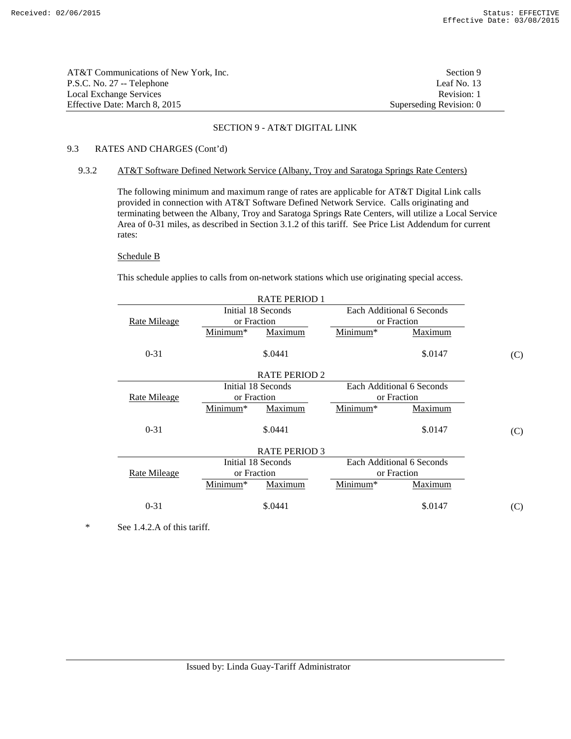| AT&T Communications of New York. Inc. | Section 9               |
|---------------------------------------|-------------------------|
| P.S.C. No. 27 -- Telephone            | Leaf No. 13             |
| Local Exchange Services               | Revision: 1             |
| Effective Date: March 8, 2015         | Superseding Revision: 0 |

# 9.3 RATES AND CHARGES (Cont'd)

### 9.3.2 AT&T Software Defined Network Service (Albany, Troy and Saratoga Springs Rate Centers)

 The following minimum and maximum range of rates are applicable for AT&T Digital Link calls provided in connection with AT&T Software Defined Network Service. Calls originating and terminating between the Albany, Troy and Saratoga Springs Rate Centers, will utilize a Local Service Area of 0-31 miles, as described in Section 3.1.2 of this tariff. See Price List Addendum for current rates:

# Schedule B

This schedule applies to calls from on-network stations which use originating special access.

| <b>RATE PERIOD 1</b>                            |             |                      |          |                           |     |
|-------------------------------------------------|-------------|----------------------|----------|---------------------------|-----|
| Initial 18 Seconds<br>Each Additional 6 Seconds |             |                      |          |                           |     |
| <u>Rate Mileage</u>                             | or Fraction |                      |          | or Fraction               |     |
|                                                 | Minimum*    | <b>Maximum</b>       | Minimum* | <b>Maximum</b>            |     |
| $0 - 31$                                        |             | \$.0441              |          | \$.0147                   | (C) |
|                                                 |             | <b>RATE PERIOD 2</b> |          |                           |     |
|                                                 |             | Initial 18 Seconds   |          | Each Additional 6 Seconds |     |
| Rate Mileage                                    | or Fraction |                      |          | or Fraction               |     |
|                                                 | Minimum*    | Maximum              | Minimum* | Maximum                   |     |
| $0 - 31$                                        |             | \$.0441              |          | \$.0147                   | (C) |
|                                                 |             | <b>RATE PERIOD 3</b> |          |                           |     |
|                                                 |             | Initial 18 Seconds   |          | Each Additional 6 Seconds |     |
| or Fraction<br>or Fraction<br>Rate Mileage      |             |                      |          |                           |     |
|                                                 | Minimum*    | Maximum              | Minimum* | Maximum                   |     |
| $0 - 31$                                        |             | \$.0441              |          | \$.0147                   | (C) |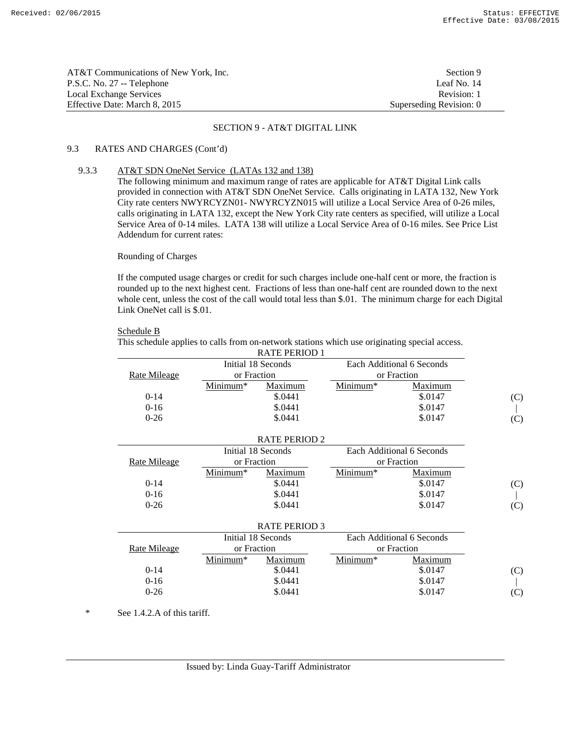| AT&T Communications of New York. Inc. | Section 9               |
|---------------------------------------|-------------------------|
| P.S.C. No. 27 -- Telephone            | Leaf No. 14             |
| Local Exchange Services               | Revision: 1             |
| Effective Date: March 8, 2015         | Superseding Revision: 0 |

# 9.3 RATES AND CHARGES (Cont'd)

### 9.3.3 AT&T SDN OneNet Service (LATAs 132 and 138)

 The following minimum and maximum range of rates are applicable for AT&T Digital Link calls provided in connection with AT&T SDN OneNet Service. Calls originating in LATA 132, New York City rate centers NWYRCYZN01- NWYRCYZN015 will utilize a Local Service Area of 0-26 miles, calls originating in LATA 132, except the New York City rate centers as specified, will utilize a Local Service Area of 0-14 miles. LATA 138 will utilize a Local Service Area of 0-16 miles. See Price List Addendum for current rates:

# Rounding of Charges

 If the computed usage charges or credit for such charges include one-half cent or more, the fraction is rounded up to the next highest cent. Fractions of less than one-half cent are rounded down to the next whole cent, unless the cost of the call would total less than \$.01. The minimum charge for each Digital Link OneNet call is \$.01.

#### Schedule B

This schedule applies to calls from on-network stations which use originating special access.

|              |             | <b>RATE PERIOD 1</b> |          |                           |     |
|--------------|-------------|----------------------|----------|---------------------------|-----|
|              |             | Initial 18 Seconds   |          | Each Additional 6 Seconds |     |
| Rate Mileage | or Fraction |                      |          | or Fraction               |     |
|              | Minimum*    | Maximum              | Minimum* | Maximum                   |     |
| $0-14$       |             | \$.0441              |          | \$.0147                   | (C) |
| $0 - 16$     |             | \$.0441              |          | \$.0147                   |     |
| $0 - 26$     |             | \$.0441              |          | \$.0147                   | (C) |
|              |             |                      |          |                           |     |
|              |             | <b>RATE PERIOD 2</b> |          |                           |     |
|              |             | Initial 18 Seconds   |          | Each Additional 6 Seconds |     |
| Rate Mileage | or Fraction |                      |          | or Fraction               |     |
|              | Minimum*    | Maximum              | Minimum* | Maximum                   |     |
| $0-14$       |             | \$.0441              |          | \$.0147                   | (C) |
| $0 - 16$     |             | \$.0441              |          | \$.0147                   |     |
| $0 - 26$     |             | \$.0441              |          | \$.0147                   | (C) |
|              |             |                      |          |                           |     |
|              |             | <b>RATE PERIOD 3</b> |          |                           |     |
|              |             | Initial 18 Seconds   |          | Each Additional 6 Seconds |     |
| Rate Mileage | or Fraction |                      |          | or Fraction               |     |
|              | Minimum*    | Maximum              | Minimum* | Maximum                   |     |
| $0 - 14$     |             | \$.0441              |          | \$.0147                   | (C) |
| $0 - 16$     |             | \$.0441              |          | \$.0147                   |     |
| $0-26$       |             | \$.0441              |          | \$.0147                   | (C) |
|              |             |                      |          |                           |     |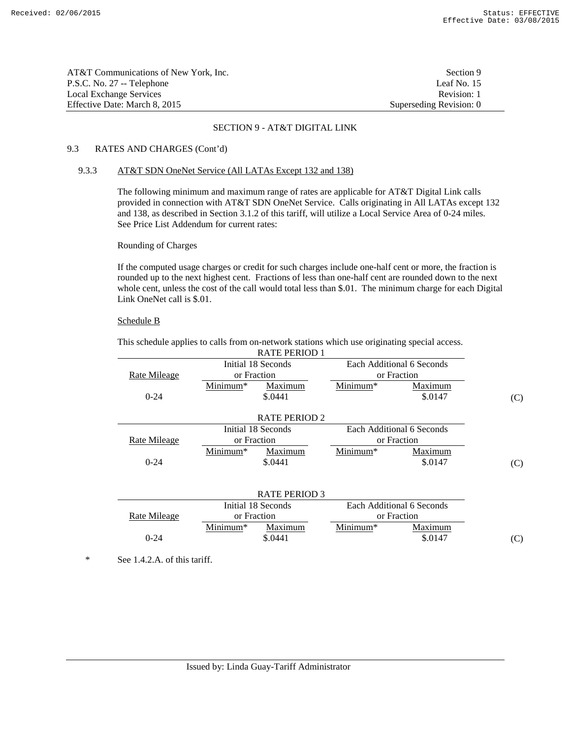(C)

| AT&T Communications of New York. Inc. | Section 9               |
|---------------------------------------|-------------------------|
| P.S.C. No. 27 -- Telephone            | Leaf No. 15             |
| Local Exchange Services               | Revision: 1             |
| Effective Date: March 8. 2015         | Superseding Revision: 0 |

### SECTION 9 - AT&T DIGITAL LINK

# 9.3 RATES AND CHARGES (Cont'd)

### 9.3.3 AT&T SDN OneNet Service (All LATAs Except 132 and 138)

 The following minimum and maximum range of rates are applicable for AT&T Digital Link calls provided in connection with AT&T SDN OneNet Service. Calls originating in All LATAs except 132 and 138, as described in Section 3.1.2 of this tariff, will utilize a Local Service Area of 0-24 miles. See Price List Addendum for current rates:

## Rounding of Charges

 If the computed usage charges or credit for such charges include one-half cent or more, the fraction is rounded up to the next highest cent. Fractions of less than one-half cent are rounded down to the next whole cent, unless the cost of the call would total less than \$.01. The minimum charge for each Digital Link OneNet call is \$.01.

# Schedule B

 This schedule applies to calls from on-network stations which use originating special access. RATE PERIOD 1

|              |             | NATE FENIVILLE       |            |                           |     |
|--------------|-------------|----------------------|------------|---------------------------|-----|
|              |             | Initial 18 Seconds   |            | Each Additional 6 Seconds |     |
| Rate Mileage |             | or Fraction          |            | or Fraction               |     |
|              | Minimum*    | Maximum              | $Minimum*$ | Maximum                   |     |
| $0 - 24$     |             | \$.0441              |            | \$.0147                   | (C) |
|              |             |                      |            |                           |     |
|              |             | <b>RATE PERIOD 2</b> |            |                           |     |
|              |             | Initial 18 Seconds   |            | Each Additional 6 Seconds |     |
| Rate Mileage | or Fraction |                      |            | or Fraction               |     |
|              | Minimum*    | Maximum              | Minimum*   | Maximum                   |     |
| $0 - 24$     |             | \$.0441              |            | \$.0147                   | (C) |
|              |             |                      |            |                           |     |
|              |             |                      |            |                           |     |
|              |             | <b>RATE PERIOD 3</b> |            |                           |     |
|              |             | Initial 18 Seconds   |            | Each Additional 6 Seconds |     |
| Rate Mileage |             | or Fraction          |            | or Fraction               |     |
|              | Minimum*    | Maximum              | Minimum*   | Maximum                   |     |

 $\text{0-24}$  \$.0441 \$.0147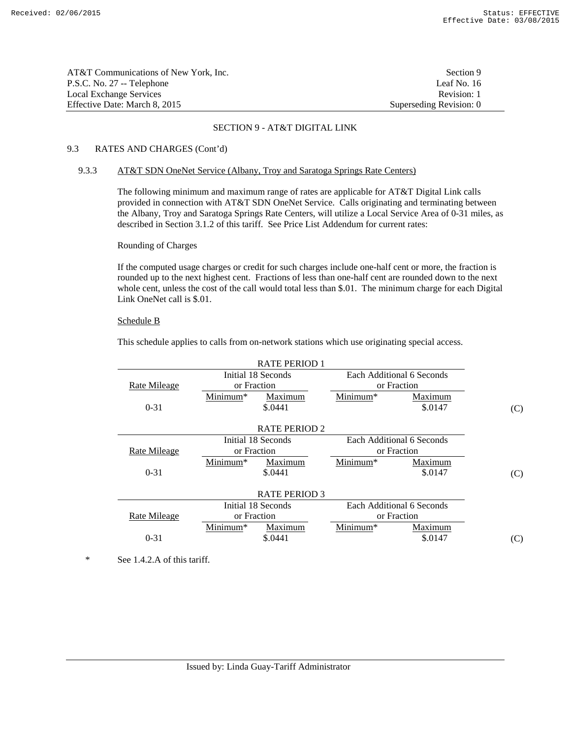| AT&T Communications of New York, Inc. | Section 9               |
|---------------------------------------|-------------------------|
| P.S.C. No. 27 -- Telephone            | Leaf No. 16             |
| Local Exchange Services               | Revision: 1             |
| Effective Date: March 8. 2015         | Superseding Revision: 0 |

# 9.3 RATES AND CHARGES (Cont'd)

### 9.3.3 AT&T SDN OneNet Service (Albany, Troy and Saratoga Springs Rate Centers)

 The following minimum and maximum range of rates are applicable for AT&T Digital Link calls provided in connection with AT&T SDN OneNet Service. Calls originating and terminating between the Albany, Troy and Saratoga Springs Rate Centers, will utilize a Local Service Area of 0-31 miles, as described in Section 3.1.2 of this tariff. See Price List Addendum for current rates:

# Rounding of Charges

 If the computed usage charges or credit for such charges include one-half cent or more, the fraction is rounded up to the next highest cent. Fractions of less than one-half cent are rounded down to the next whole cent, unless the cost of the call would total less than \$.01. The minimum charge for each Digital Link OneNet call is \$.01.

# Schedule B

This schedule applies to calls from on-network stations which use originating special access.

| <b>RATE PERIOD 1</b> |                      |                      |          |                           |     |
|----------------------|----------------------|----------------------|----------|---------------------------|-----|
|                      |                      | Initial 18 Seconds   |          | Each Additional 6 Seconds |     |
| <b>Rate Mileage</b>  |                      | or Fraction          |          | or Fraction               |     |
|                      | Minimum <sup>*</sup> | Maximum              | Minimum* | Maximum                   |     |
| $0 - 31$             |                      | \$.0441              |          | \$.0147                   | (C) |
|                      |                      |                      |          |                           |     |
|                      |                      | <b>RATE PERIOD 2</b> |          |                           |     |
|                      |                      | Initial 18 Seconds   |          | Each Additional 6 Seconds |     |
| Rate Mileage         |                      | or Fraction          |          | or Fraction               |     |
|                      | $Minimum*$           | Maximum              | Minimum* | Maximum                   |     |
| $0 - 31$             |                      | \$.0441              |          | \$.0147                   | (C) |
|                      |                      |                      |          |                           |     |
|                      |                      | <b>RATE PERIOD 3</b> |          |                           |     |
|                      |                      | Initial 18 Seconds   |          | Each Additional 6 Seconds |     |
| <b>Rate Mileage</b>  |                      | or Fraction          |          | or Fraction               |     |
|                      | Minimum <sup>*</sup> | Maximum              | Minimum* | <b>Maximum</b>            |     |
| $0 - 31$             |                      | \$.0441              |          | \$.0147                   | (C) |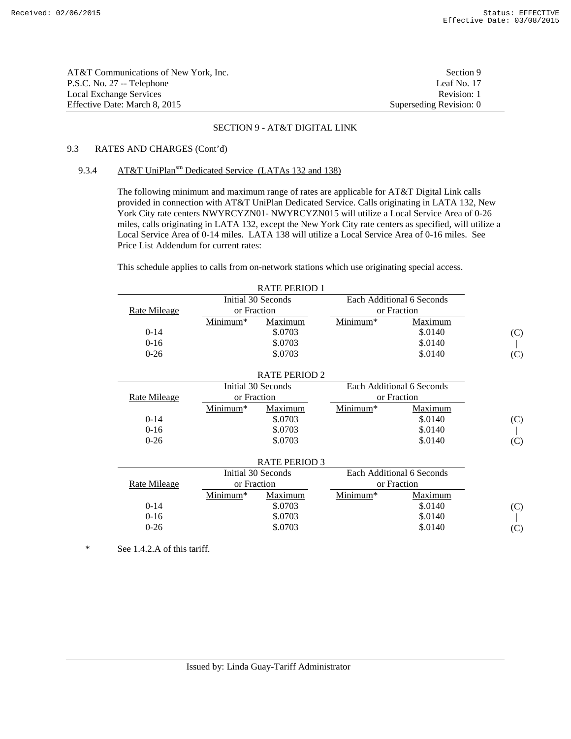| AT&T Communications of New York, Inc. | Section 9               |
|---------------------------------------|-------------------------|
| P.S.C. No. 27 -- Telephone            | Leaf No. 17             |
| Local Exchange Services               | Revision: 1             |
| Effective Date: March 8, 2015         | Superseding Revision: 0 |

# 9.3 RATES AND CHARGES (Cont'd)

# 9.3.4 AT&T UniPlan<sup>sm</sup> Dedicated Service (LATAs 132 and 138)

 The following minimum and maximum range of rates are applicable for AT&T Digital Link calls provided in connection with AT&T UniPlan Dedicated Service. Calls originating in LATA 132, New York City rate centers NWYRCYZN01- NWYRCYZN015 will utilize a Local Service Area of 0-26 miles, calls originating in LATA 132, except the New York City rate centers as specified, will utilize a Local Service Area of 0-14 miles. LATA 138 will utilize a Local Service Area of 0-16 miles. See Price List Addendum for current rates:

This schedule applies to calls from on-network stations which use originating special access.

| <b>RATE PERIOD 1</b> |                            |                      |          |                           |     |
|----------------------|----------------------------|----------------------|----------|---------------------------|-----|
|                      |                            | Initial 30 Seconds   |          | Each Additional 6 Seconds |     |
| <b>Rate Mileage</b>  | or Fraction                |                      |          | or Fraction               |     |
|                      | Minimum*                   | Maximum              | Minimum* | Maximum                   |     |
| $0-14$               |                            | \$.0703              |          | \$.0140                   | (C) |
| $0-16$               |                            | \$.0703              |          | \$.0140                   |     |
| $0 - 26$             |                            | \$.0703              |          | \$.0140                   | (C) |
|                      |                            |                      |          |                           |     |
|                      |                            | <b>RATE PERIOD 2</b> |          |                           |     |
|                      |                            | Initial 30 Seconds   |          | Each Additional 6 Seconds |     |
| Rate Mileage         | or Fraction                |                      |          | or Fraction               |     |
|                      | Minimum*                   | Maximum              | Minimum* | Maximum                   |     |
| $0-14$               |                            | \$.0703              |          | \$.0140                   | (C) |
| $0-16$               |                            | \$.0703              |          | \$.0140                   |     |
| $0 - 26$             |                            | \$.0703              |          | \$.0140                   | (C) |
|                      |                            |                      |          |                           |     |
|                      |                            | <b>RATE PERIOD 3</b> |          |                           |     |
|                      |                            | Initial 30 Seconds   |          | Each Additional 6 Seconds |     |
| Rate Mileage         | or Fraction<br>or Fraction |                      |          |                           |     |
|                      | Minimum*                   | Maximum              | Minimum* | Maximum                   |     |
| $0-14$               |                            | \$.0703              |          | \$.0140                   | (C) |
| $0-16$               |                            | \$.0703              |          | \$.0140                   |     |
| $0 - 26$             |                            | \$.0703              |          | \$.0140                   | (C) |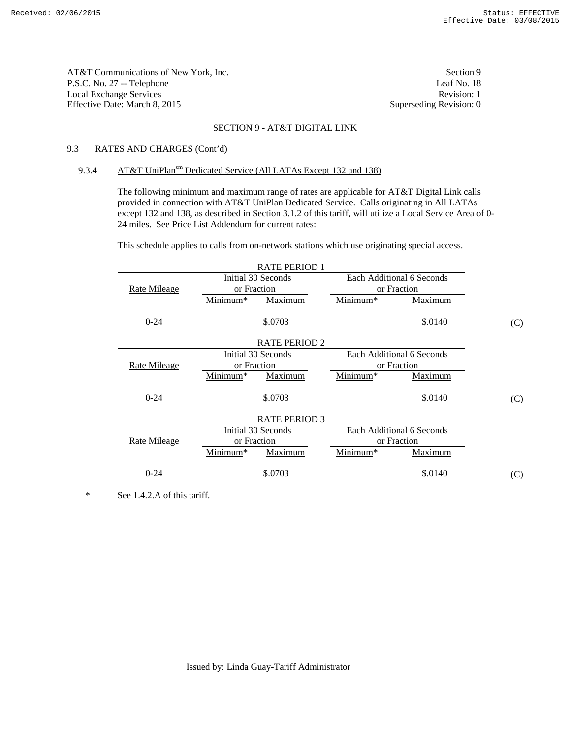| AT&T Communications of New York, Inc. | Section 9               |
|---------------------------------------|-------------------------|
| P.S.C. No. 27 -- Telephone            | Leaf No. 18             |
| Local Exchange Services               | Revision: 1             |
| Effective Date: March 8, 2015         | Superseding Revision: 0 |

# 9.3 RATES AND CHARGES (Cont'd)

# 9.3.4 AT&T UniPlan<sup>sm</sup> Dedicated Service (All LATAs Except 132 and 138)

 The following minimum and maximum range of rates are applicable for AT&T Digital Link calls provided in connection with AT&T UniPlan Dedicated Service. Calls originating in All LATAs except 132 and 138, as described in Section 3.1.2 of this tariff, will utilize a Local Service Area of 0-24 miles. See Price List Addendum for current rates:

This schedule applies to calls from on-network stations which use originating special access.

|                     |                      | <b>RATE PERIOD 1</b> |                      |                           |     |
|---------------------|----------------------|----------------------|----------------------|---------------------------|-----|
|                     | Initial 30 Seconds   |                      |                      | Each Additional 6 Seconds |     |
| <b>Rate Mileage</b> | or Fraction          |                      |                      | or Fraction               |     |
|                     | Minimum <sup>*</sup> | Maximum              | Minimum*             | Maximum                   |     |
| $0 - 24$            |                      | \$.0703              |                      | \$.0140                   | (C) |
|                     |                      | <b>RATE PERIOD 2</b> |                      |                           |     |
|                     | Initial 30 Seconds   |                      |                      | Each Additional 6 Seconds |     |
| <b>Rate Mileage</b> | or Fraction          |                      |                      | or Fraction               |     |
|                     | Minimum <sup>*</sup> | <b>Maximum</b>       | Minimum <sup>*</sup> | <b>Maximum</b>            |     |
| $0 - 24$            |                      | \$.0703              |                      | \$.0140                   | (C) |
|                     |                      | <b>RATE PERIOD 3</b> |                      |                           |     |
|                     | Initial 30 Seconds   |                      |                      | Each Additional 6 Seconds |     |
| Rate Mileage        | or Fraction          |                      |                      | or Fraction               |     |
|                     | Minimum*             | Maximum              | Minimum*             | Maximum                   |     |
| $0 - 24$            |                      | \$.0703              |                      | \$.0140                   | (C) |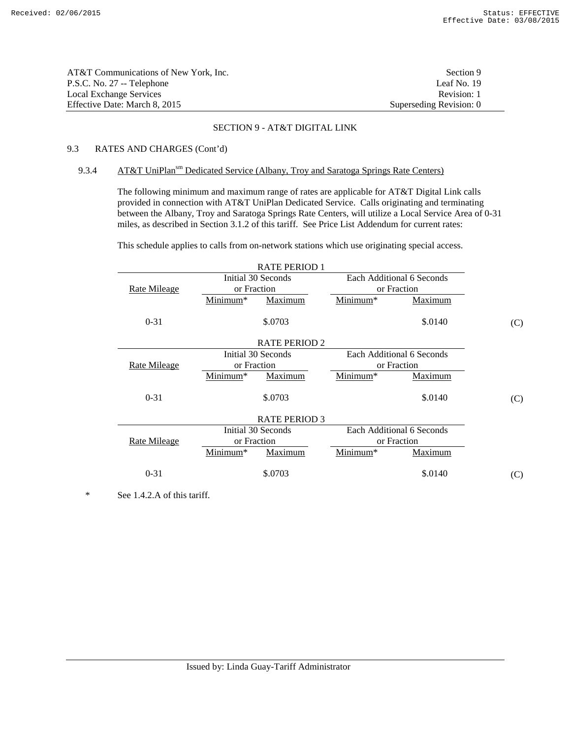| AT&T Communications of New York. Inc. | Section 9               |
|---------------------------------------|-------------------------|
| P.S.C. No. 27 -- Telephone            | Leaf No. 19             |
| Local Exchange Services               | Revision: 1             |
| Effective Date: March 8, 2015         | Superseding Revision: 0 |

# 9.3 RATES AND CHARGES (Cont'd)

# 9.3.4 AT&T UniPlan<sup>sm</sup> Dedicated Service (Albany, Troy and Saratoga Springs Rate Centers)

 The following minimum and maximum range of rates are applicable for AT&T Digital Link calls provided in connection with AT&T UniPlan Dedicated Service. Calls originating and terminating between the Albany, Troy and Saratoga Springs Rate Centers, will utilize a Local Service Area of 0-31 miles, as described in Section 3.1.2 of this tariff. See Price List Addendum for current rates:

This schedule applies to calls from on-network stations which use originating special access.

|                     | <b>RATE PERIOD 1</b> |                           |     |
|---------------------|----------------------|---------------------------|-----|
|                     | Initial 30 Seconds   | Each Additional 6 Seconds |     |
| <b>Rate Mileage</b> | or Fraction          | or Fraction               |     |
|                     | Minimum*<br>Maximum  | Minimum*<br>Maximum       |     |
| $0 - 31$            | \$.0703              | \$.0140                   | (C) |
|                     | <b>RATE PERIOD 2</b> |                           |     |
|                     | Initial 30 Seconds   | Each Additional 6 Seconds |     |
| <b>Rate Mileage</b> | or Fraction          | or Fraction               |     |
|                     | Minimum*<br>Maximum  | Minimum*<br>Maximum       |     |
| $0 - 31$            | \$.0703              | \$.0140                   | (C) |
|                     | <b>RATE PERIOD 3</b> |                           |     |
|                     | Initial 30 Seconds   | Each Additional 6 Seconds |     |
| Rate Mileage        | or Fraction          | or Fraction               |     |
|                     | Minimum*<br>Maximum  | Maximum<br>Minimum*       |     |
| $0 - 31$            | \$.0703              | \$.0140                   | (C) |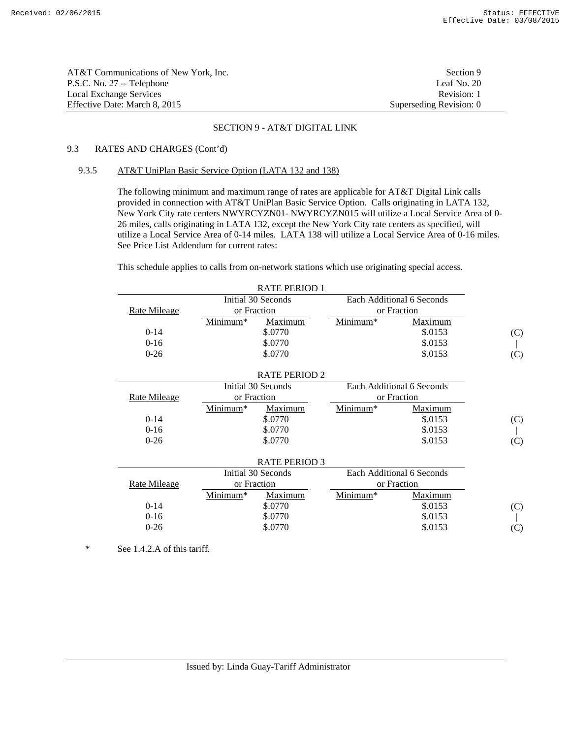| AT&T Communications of New York. Inc. | Section 9               |
|---------------------------------------|-------------------------|
| P.S.C. No. 27 -- Telephone            | Leaf No. $20$           |
| Local Exchange Services               | Revision: 1             |
| Effective Date: March 8, 2015         | Superseding Revision: 0 |

# 9.3 RATES AND CHARGES (Cont'd)

### 9.3.5 AT&T UniPlan Basic Service Option (LATA 132 and 138)

 The following minimum and maximum range of rates are applicable for AT&T Digital Link calls provided in connection with AT&T UniPlan Basic Service Option. Calls originating in LATA 132, New York City rate centers NWYRCYZN01- NWYRCYZN015 will utilize a Local Service Area of 0- 26 miles, calls originating in LATA 132, except the New York City rate centers as specified, will utilize a Local Service Area of 0-14 miles. LATA 138 will utilize a Local Service Area of 0-16 miles. See Price List Addendum for current rates:

This schedule applies to calls from on-network stations which use originating special access.

|              |             | <b>RATE PERIOD 1</b> |          |                           |     |
|--------------|-------------|----------------------|----------|---------------------------|-----|
|              |             | Initial 30 Seconds   |          | Each Additional 6 Seconds |     |
| Rate Mileage | or Fraction |                      |          | or Fraction               |     |
|              | Minimum*    | Maximum              | Minimum* | Maximum                   |     |
| $0-14$       |             | \$.0770              |          | \$.0153                   | (C) |
| $0 - 16$     |             | \$.0770              |          | \$.0153                   |     |
| $0 - 26$     |             | \$.0770              |          | \$.0153                   | (C) |
|              |             |                      |          |                           |     |
|              |             | <b>RATE PERIOD 2</b> |          |                           |     |
|              |             | Initial 30 Seconds   |          | Each Additional 6 Seconds |     |
| Rate Mileage | or Fraction |                      |          | or Fraction               |     |
|              | Minimum*    | Maximum              | Minimum* | Maximum                   |     |
| $0-14$       |             | \$.0770              |          | \$.0153                   | (C) |
| $0 - 16$     |             | \$.0770              |          | \$.0153                   |     |
| $0 - 26$     |             | \$.0770              |          | \$.0153                   | (C) |
|              |             |                      |          |                           |     |
|              |             | <b>RATE PERIOD 3</b> |          |                           |     |
|              |             | Initial 30 Seconds   |          | Each Additional 6 Seconds |     |
| Rate Mileage | or Fraction |                      |          | or Fraction               |     |
|              | Minimum*    | Maximum              | Minimum* | Maximum                   |     |
| $0-14$       |             | \$.0770              |          | \$.0153                   | (C) |
| $0 - 16$     |             | \$.0770              |          | \$.0153                   |     |
| $0 - 26$     |             | \$.0770              |          | \$.0153                   | (C) |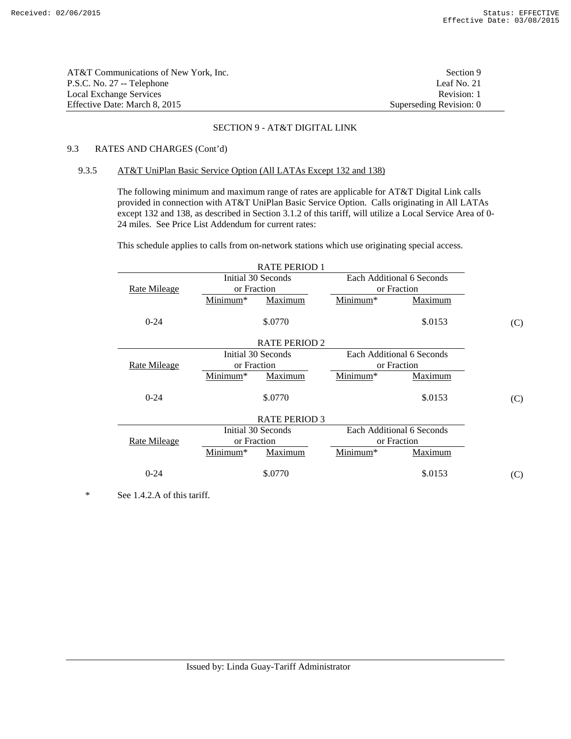| AT&T Communications of New York, Inc. | Section 9               |
|---------------------------------------|-------------------------|
| P.S.C. No. 27 -- Telephone            | Leaf No. 21             |
| Local Exchange Services               | Revision: 1             |
| Effective Date: March 8, 2015         | Superseding Revision: 0 |

# 9.3 RATES AND CHARGES (Cont'd)

### 9.3.5 AT&T UniPlan Basic Service Option (All LATAs Except 132 and 138)

 The following minimum and maximum range of rates are applicable for AT&T Digital Link calls provided in connection with AT&T UniPlan Basic Service Option. Calls originating in All LATAs except 132 and 138, as described in Section 3.1.2 of this tariff, will utilize a Local Service Area of 0-24 miles. See Price List Addendum for current rates:

This schedule applies to calls from on-network stations which use originating special access.

|                     |                      | <b>RATE PERIOD 1</b> |                      |                           |     |
|---------------------|----------------------|----------------------|----------------------|---------------------------|-----|
|                     | Initial 30 Seconds   |                      |                      | Each Additional 6 Seconds |     |
| <b>Rate Mileage</b> | or Fraction          |                      |                      | or Fraction               |     |
|                     | Minimum*             | Maximum              | Minimum*             | Maximum                   |     |
| $0 - 24$            |                      | \$.0770              |                      | \$.0153                   | (C) |
|                     |                      | <b>RATE PERIOD 2</b> |                      |                           |     |
|                     | Initial 30 Seconds   |                      |                      | Each Additional 6 Seconds |     |
| <b>Rate Mileage</b> | or Fraction          |                      |                      | or Fraction               |     |
|                     | Minimum <sup>*</sup> | Maximum              | Minimum <sup>*</sup> | <b>Maximum</b>            |     |
| $0 - 24$            |                      | \$.0770              |                      | \$.0153                   | (C) |
|                     |                      | <b>RATE PERIOD 3</b> |                      |                           |     |
|                     | Initial 30 Seconds   |                      |                      | Each Additional 6 Seconds |     |
| Rate Mileage        | or Fraction          |                      |                      | or Fraction               |     |
|                     | Minimum*             | Maximum              | Minimum*             | Maximum                   |     |
| $0 - 24$            |                      | \$.0770              |                      | \$.0153                   | (C) |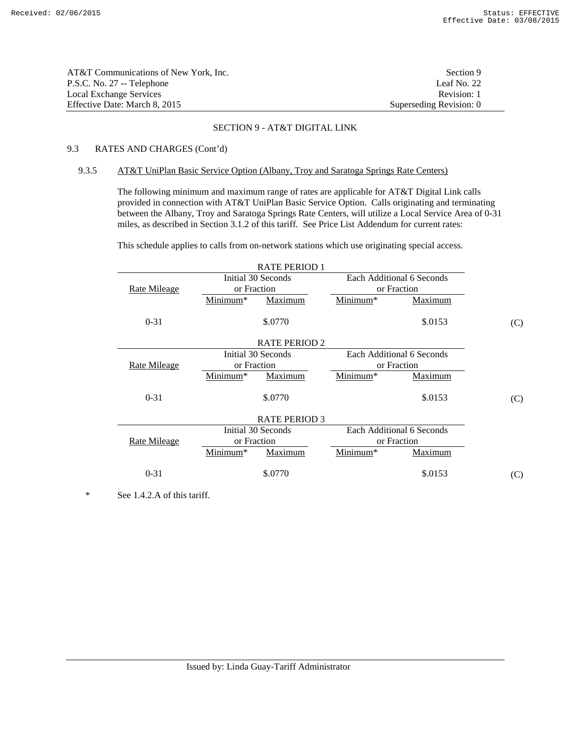| AT&T Communications of New York. Inc. | Section 9               |
|---------------------------------------|-------------------------|
| P.S.C. No. 27 -- Telephone            | Leaf No. 22             |
| Local Exchange Services               | Revision: 1             |
| Effective Date: March 8. 2015         | Superseding Revision: 0 |

# 9.3 RATES AND CHARGES (Cont'd)

### 9.3.5 AT&T UniPlan Basic Service Option (Albany, Troy and Saratoga Springs Rate Centers)

 The following minimum and maximum range of rates are applicable for AT&T Digital Link calls provided in connection with AT&T UniPlan Basic Service Option. Calls originating and terminating between the Albany, Troy and Saratoga Springs Rate Centers, will utilize a Local Service Area of 0-31 miles, as described in Section 3.1.2 of this tariff. See Price List Addendum for current rates:

This schedule applies to calls from on-network stations which use originating special access.

|                     |                      | <b>RATE PERIOD 1</b> |            |                           |     |
|---------------------|----------------------|----------------------|------------|---------------------------|-----|
|                     |                      | Initial 30 Seconds   |            | Each Additional 6 Seconds |     |
| Rate Mileage        | or Fraction          |                      |            | or Fraction               |     |
|                     | Minimum*             | Maximum              | Minimum*   | Maximum                   |     |
| $0 - 31$            |                      | \$.0770              |            | \$.0153                   | (C) |
|                     |                      | <b>RATE PERIOD 2</b> |            |                           |     |
|                     |                      | Initial 30 Seconds   |            | Each Additional 6 Seconds |     |
| <b>Rate Mileage</b> | or Fraction          |                      |            | or Fraction               |     |
|                     | Minimum <sup>*</sup> | Maximum              | Minimum*   | <b>Maximum</b>            |     |
| $0 - 31$            |                      | \$.0770              |            | \$.0153                   | (C) |
|                     |                      | <b>RATE PERIOD 3</b> |            |                           |     |
|                     |                      | Initial 30 Seconds   |            | Each Additional 6 Seconds |     |
| <b>Rate Mileage</b> | or Fraction          |                      |            | or Fraction               |     |
|                     | Minimum*             | Maximum              | $Minimum*$ | Maximum                   |     |
| $0 - 31$            |                      | \$.0770              |            | \$.0153                   | (C) |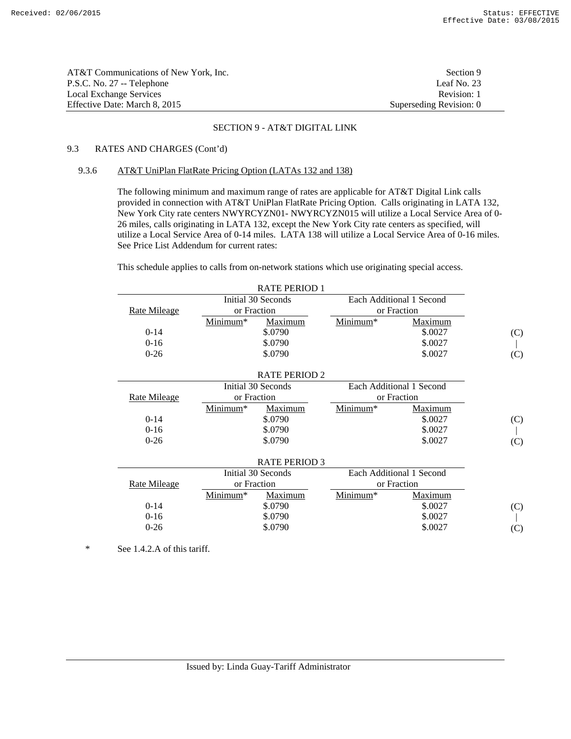| AT&T Communications of New York. Inc. | Section 9               |
|---------------------------------------|-------------------------|
| P.S.C. No. 27 -- Telephone            | Leaf No. $23$           |
| Local Exchange Services               | Revision: 1             |
| Effective Date: March 8, 2015         | Superseding Revision: 0 |

# 9.3 RATES AND CHARGES (Cont'd)

### 9.3.6 AT&T UniPlan FlatRate Pricing Option (LATAs 132 and 138)

 The following minimum and maximum range of rates are applicable for AT&T Digital Link calls provided in connection with AT&T UniPlan FlatRate Pricing Option. Calls originating in LATA 132, New York City rate centers NWYRCYZN01- NWYRCYZN015 will utilize a Local Service Area of 0- 26 miles, calls originating in LATA 132, except the New York City rate centers as specified, will utilize a Local Service Area of 0-14 miles. LATA 138 will utilize a Local Service Area of 0-16 miles. See Price List Addendum for current rates:

This schedule applies to calls from on-network stations which use originating special access.

|                     |             | <b>RATE PERIOD 1</b> |          |                          |     |
|---------------------|-------------|----------------------|----------|--------------------------|-----|
|                     |             | Initial 30 Seconds   |          | Each Additional 1 Second |     |
| <b>Rate Mileage</b> | or Fraction |                      |          | or Fraction              |     |
|                     | Minimum*    | Maximum              | Minimum* | Maximum                  |     |
| $0-14$              |             | \$.0790              |          | \$.0027                  | (C) |
| $0 - 16$            |             | \$.0790              |          | \$.0027                  |     |
| $0 - 26$            |             | \$.0790              |          | \$.0027                  | (C) |
|                     |             |                      |          |                          |     |
|                     |             | <b>RATE PERIOD 2</b> |          |                          |     |
|                     |             | Initial 30 Seconds   |          | Each Additional 1 Second |     |
| <b>Rate Mileage</b> | or Fraction |                      |          | or Fraction              |     |
|                     | Minimum*    | Maximum              | Minimum* | Maximum                  |     |
| $0-14$              |             | \$.0790              |          | \$.0027                  | (C) |
| $0-16$              |             | \$.0790              |          | \$.0027                  |     |
| $0 - 26$            |             | \$.0790              |          | \$.0027                  | (C) |
|                     |             |                      |          |                          |     |
|                     |             | <b>RATE PERIOD 3</b> |          |                          |     |
|                     |             | Initial 30 Seconds   |          | Each Additional 1 Second |     |
| <b>Rate Mileage</b> | or Fraction |                      |          | or Fraction              |     |
|                     | Minimum*    | Maximum              | Minimum* | Maximum                  |     |
| $0-14$              |             | \$.0790              |          | \$.0027                  | (C) |
| $0-16$              |             | \$.0790              |          | \$.0027                  |     |
| $0 - 26$            |             | \$.0790              |          | \$.0027                  | (C) |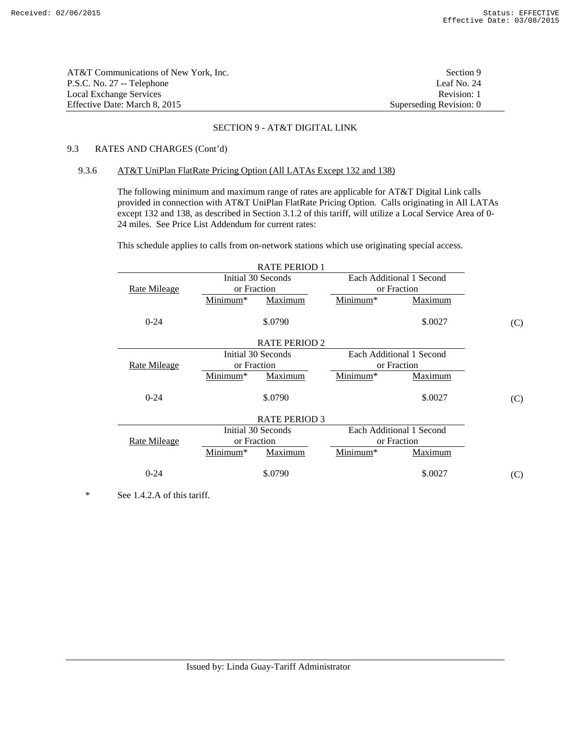| AT&T Communications of New York, Inc. | Section 9               |
|---------------------------------------|-------------------------|
| P.S.C. No. 27 -- Telephone            | Leaf No. 24             |
| Local Exchange Services               | Revision: 1             |
| Effective Date: March 8. 2015         | Superseding Revision: 0 |

# 9.3 RATES AND CHARGES (Cont'd)

### 9.3.6 AT&T UniPlan FlatRate Pricing Option (All LATAs Except 132 and 138)

 The following minimum and maximum range of rates are applicable for AT&T Digital Link calls provided in connection with AT&T UniPlan FlatRate Pricing Option. Calls originating in All LATAs except 132 and 138, as described in Section 3.1.2 of this tariff, will utilize a Local Service Area of 0- 24 miles. See Price List Addendum for current rates:

This schedule applies to calls from on-network stations which use originating special access.

| <b>RATE PERIOD 1</b> |                      |                      |                      |                          |     |
|----------------------|----------------------|----------------------|----------------------|--------------------------|-----|
|                      |                      | Initial 30 Seconds   |                      | Each Additional 1 Second |     |
| <b>Rate Mileage</b>  | or Fraction          |                      |                      | or Fraction              |     |
|                      | Minimum*             | Maximum              | Minimum <sup>*</sup> | <b>Maximum</b>           |     |
| $0 - 24$             |                      | \$.0790              |                      | \$.0027                  | (C) |
|                      |                      | <b>RATE PERIOD 2</b> |                      |                          |     |
|                      |                      | Initial 30 Seconds   |                      | Each Additional 1 Second |     |
| <b>Rate Mileage</b>  | or Fraction          |                      |                      | or Fraction              |     |
|                      | Minimum <sup>*</sup> | Maximum              | Minimum <sup>*</sup> | <b>Maximum</b>           |     |
| $0 - 24$             |                      | \$.0790              |                      | \$.0027                  | (C) |
|                      |                      | <b>RATE PERIOD 3</b> |                      |                          |     |
|                      |                      | Initial 30 Seconds   |                      | Each Additional 1 Second |     |
| Rate Mileage         | or Fraction          |                      |                      | or Fraction              |     |
|                      | Minimum*             | Maximum              | Minimum*             | Maximum                  |     |
| $0 - 24$             |                      | \$.0790              |                      | \$.0027                  | (C) |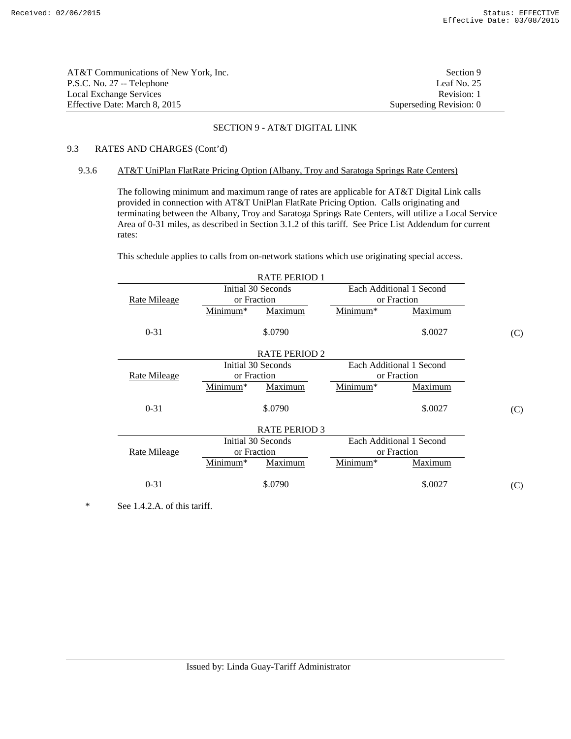| AT&T Communications of New York, Inc. | Section 9               |
|---------------------------------------|-------------------------|
| P.S.C. No. 27 -- Telephone            | Leaf No. $25$           |
| Local Exchange Services               | Revision: 1             |
| Effective Date: March 8, 2015         | Superseding Revision: 0 |

# 9.3 RATES AND CHARGES (Cont'd)

### 9.3.6 AT&T UniPlan FlatRate Pricing Option (Albany, Troy and Saratoga Springs Rate Centers)

 The following minimum and maximum range of rates are applicable for AT&T Digital Link calls provided in connection with AT&T UniPlan FlatRate Pricing Option. Calls originating and terminating between the Albany, Troy and Saratoga Springs Rate Centers, will utilize a Local Service Area of 0-31 miles, as described in Section 3.1.2 of this tariff. See Price List Addendum for current rates:

This schedule applies to calls from on-network stations which use originating special access.

|                     | <b>RATE PERIOD 1</b> |          |                          |     |
|---------------------|----------------------|----------|--------------------------|-----|
|                     | Initial 30 Seconds   |          | Each Additional 1 Second |     |
| Rate Mileage        | or Fraction          |          | or Fraction              |     |
|                     | Minimum*<br>Maximum  | Minimum* | Maximum                  |     |
| $0 - 31$            | \$.0790              |          | \$.0027                  | (C) |
|                     | <b>RATE PERIOD 2</b> |          |                          |     |
|                     | Initial 30 Seconds   |          | Each Additional 1 Second |     |
| <b>Rate Mileage</b> | or Fraction          |          | or Fraction              |     |
|                     | Minimum*<br>Maximum  | Minimum* | <b>Maximum</b>           |     |
| $0 - 31$            | \$.0790              |          | \$.0027                  | (C) |
|                     | <b>RATE PERIOD 3</b> |          |                          |     |
|                     | Initial 30 Seconds   |          | Each Additional 1 Second |     |
| <b>Rate Mileage</b> | or Fraction          |          | or Fraction              |     |
|                     | Minimum*<br>Maximum  | Minimum* | <b>Maximum</b>           |     |
| $0 - 31$            | \$.0790              |          | \$.0027                  | (C) |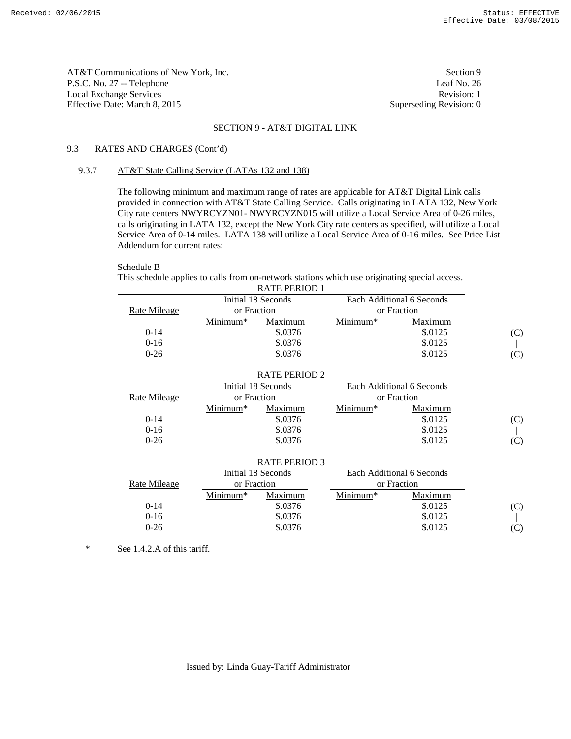| AT&T Communications of New York, Inc. | Section 9               |
|---------------------------------------|-------------------------|
| P.S.C. No. 27 -- Telephone            | Leaf No. 26             |
| Local Exchange Services               | Revision: 1             |
| Effective Date: March 8, 2015         | Superseding Revision: 0 |

# 9.3 RATES AND CHARGES (Cont'd)

# 9.3.7 AT&T State Calling Service (LATAs 132 and 138)

 The following minimum and maximum range of rates are applicable for AT&T Digital Link calls provided in connection with AT&T State Calling Service. Calls originating in LATA 132, New York City rate centers NWYRCYZN01- NWYRCYZN015 will utilize a Local Service Area of 0-26 miles, calls originating in LATA 132, except the New York City rate centers as specified, will utilize a Local Service Area of 0-14 miles. LATA 138 will utilize a Local Service Area of 0-16 miles. See Price List Addendum for current rates:

# Schedule B

 This schedule applies to calls from on-network stations which use originating special access. RATE PERIOD 1

|              |             | 111111110011       |            |                           |     |
|--------------|-------------|--------------------|------------|---------------------------|-----|
|              |             | Initial 18 Seconds |            | Each Additional 6 Seconds |     |
| Rate Mileage | or Fraction |                    |            | or Fraction               |     |
|              | $Minimum*$  | Maximum            | $Minimum*$ | Maximum                   |     |
| $0-14$       |             | \$.0376            |            | \$.0125                   | (C) |
| $0 - 16$     |             | \$.0376            |            | \$.0125                   |     |
| $0 - 26$     |             | \$.0376            |            | \$.0125                   |     |
|              |             |                    |            |                           |     |

|              |             | <b>RATE PERIOD 2</b> |            |                           |     |
|--------------|-------------|----------------------|------------|---------------------------|-----|
|              |             | Initial 18 Seconds   |            | Each Additional 6 Seconds |     |
| Rate Mileage | or Fraction |                      |            | or Fraction               |     |
|              | Minimum*    | Maximum              | $Minimum*$ | Maximum                   |     |
| $0-14$       |             | \$.0376              |            | \$.0125                   | (C) |
| $0-16$       |             | \$.0376              |            | \$.0125                   |     |
| $0 - 26$     |             | \$.0376              |            | \$.0125                   | (C) |
|              |             | <b>RATE PERIOD 3</b> |            |                           |     |
|              |             | Initial 18 Seconds   |            | Each Additional 6 Seconds |     |
| Rate Mileage | or Fraction |                      |            | or Fraction               |     |
|              | $Minimum*$  | Maximum              | Minimum*   | Maximum                   |     |
| $0-14$       |             | \$.0376              |            | \$.0125                   | (C) |
| $0-16$       |             | \$.0376              |            | \$.0125                   |     |
| $0 - 26$     |             | \$.0376              |            | \$.0125                   | (C) |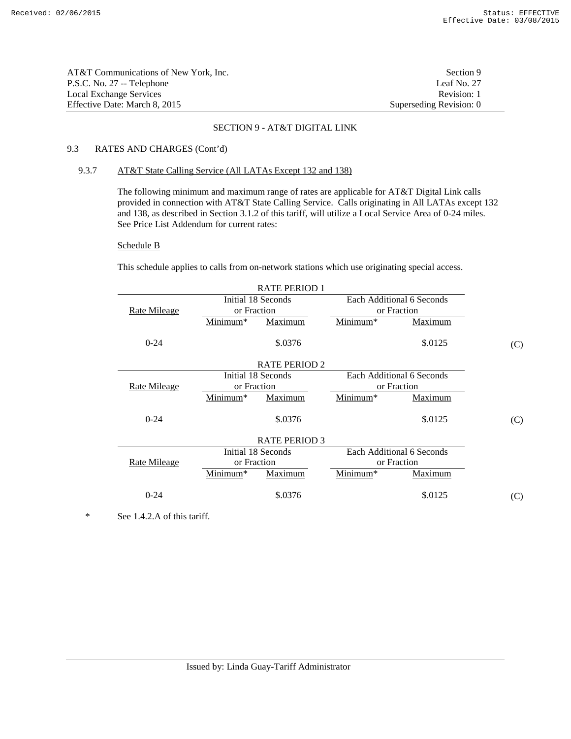| AT&T Communications of New York. Inc. | Section 9               |
|---------------------------------------|-------------------------|
| P.S.C. No. 27 -- Telephone            | Leaf No. 27             |
| Local Exchange Services               | Revision: 1             |
| Effective Date: March 8, 2015         | Superseding Revision: 0 |

# 9.3 RATES AND CHARGES (Cont'd)

### 9.3.7 AT&T State Calling Service (All LATAs Except 132 and 138)

 The following minimum and maximum range of rates are applicable for AT&T Digital Link calls provided in connection with AT&T State Calling Service. Calls originating in All LATAs except 132 and 138, as described in Section 3.1.2 of this tariff, will utilize a Local Service Area of 0-24 miles. See Price List Addendum for current rates:

#### Schedule B

This schedule applies to calls from on-network stations which use originating special access.

| <b>RATE PERIOD 1</b> |             |                      |          |                           |     |
|----------------------|-------------|----------------------|----------|---------------------------|-----|
|                      |             | Initial 18 Seconds   |          | Each Additional 6 Seconds |     |
| Rate Mileage         | or Fraction |                      |          | or Fraction               |     |
|                      | Minimum*    | Maximum              | Minimum* | Maximum                   |     |
| $0 - 24$             |             | \$.0376              |          | \$.0125                   | (C) |
|                      |             | <b>RATE PERIOD 2</b> |          |                           |     |
|                      |             | Initial 18 Seconds   |          | Each Additional 6 Seconds |     |
| <b>Rate Mileage</b>  | or Fraction |                      |          | or Fraction               |     |
|                      | Minimum*    | Maximum              | Minimum* | Maximum                   |     |
| $0 - 24$             |             | \$.0376              |          | \$.0125                   | (C) |
|                      |             | <b>RATE PERIOD 3</b> |          |                           |     |
|                      |             | Initial 18 Seconds   |          | Each Additional 6 Seconds |     |
| <b>Rate Mileage</b>  | or Fraction |                      |          | or Fraction               |     |
|                      | Minimum*    | Maximum              | Minimum* | Maximum                   |     |
| $0 - 24$             |             | \$.0376              |          | \$.0125                   | (C) |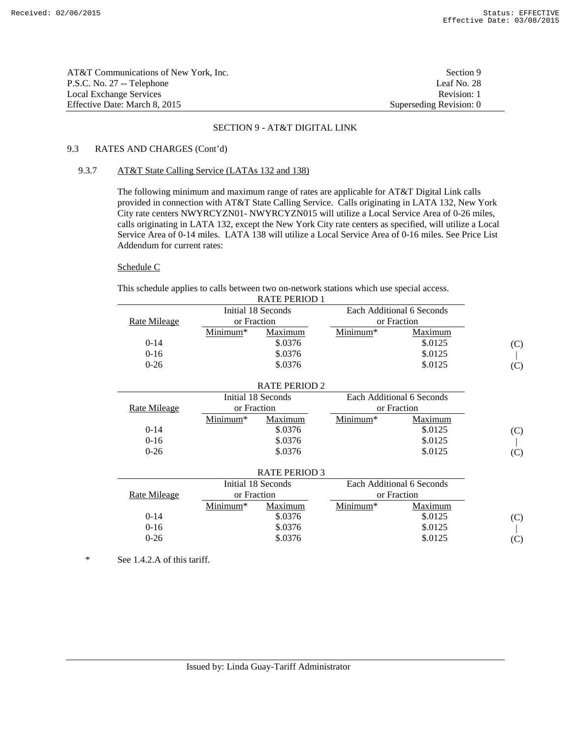| AT&T Communications of New York, Inc. | Section 9               |
|---------------------------------------|-------------------------|
| P.S.C. No. 27 -- Telephone            | Leaf No. 28             |
| Local Exchange Services               | Revision: 1             |
| Effective Date: March 8, 2015         | Superseding Revision: 0 |

# 9.3 RATES AND CHARGES (Cont'd)

# 9.3.7 AT&T State Calling Service (LATAs 132 and 138)

 The following minimum and maximum range of rates are applicable for AT&T Digital Link calls provided in connection with AT&T State Calling Service. Calls originating in LATA 132, New York City rate centers NWYRCYZN01- NWYRCYZN015 will utilize a Local Service Area of 0-26 miles, calls originating in LATA 132, except the New York City rate centers as specified, will utilize a Local Service Area of 0-14 miles. LATA 138 will utilize a Local Service Area of 0-16 miles. See Price List Addendum for current rates:

# Schedule C

This schedule applies to calls between two on-network stations which use special access.

| <b>RATE PERIOD 1</b> |                      |                      |                      |                           |     |
|----------------------|----------------------|----------------------|----------------------|---------------------------|-----|
|                      | Initial 18 Seconds   |                      |                      | Each Additional 6 Seconds |     |
| <b>Rate Mileage</b>  | or Fraction          |                      |                      | or Fraction               |     |
|                      | Minimum <sup>*</sup> | Maximum              | Minimum*             | Maximum                   |     |
| $0-14$               |                      | \$.0376              |                      | \$.0125                   | (C) |
| $0 - 16$             |                      | \$.0376              |                      | \$.0125                   |     |
| $0 - 26$             |                      | \$.0376              |                      | \$.0125                   | (C) |
|                      |                      |                      |                      |                           |     |
|                      |                      | <b>RATE PERIOD 2</b> |                      |                           |     |
|                      |                      | Initial 18 Seconds   |                      | Each Additional 6 Seconds |     |
| <b>Rate Mileage</b>  | or Fraction          |                      |                      | or Fraction               |     |
|                      | Minimum <sup>*</sup> | <b>Maximum</b>       | Minimum*             | <b>Maximum</b>            |     |
| $0-14$               |                      | \$.0376              |                      | \$.0125                   | (C) |
| $0 - 16$             |                      | \$.0376              |                      | \$.0125                   |     |
| $0-26$               |                      | \$.0376              |                      | \$.0125                   | (C) |
|                      |                      |                      |                      |                           |     |
|                      |                      | <b>RATE PERIOD 3</b> |                      |                           |     |
|                      |                      | Initial 18 Seconds   |                      | Each Additional 6 Seconds |     |
| <b>Rate Mileage</b>  | or Fraction          |                      |                      | or Fraction               |     |
|                      | Minimum*             | <b>Maximum</b>       | Minimum <sup>*</sup> | Maximum                   |     |
| $0-14$               |                      | \$.0376              |                      | \$.0125                   | (C) |
| $0-16$               |                      | \$.0376              |                      | \$.0125                   |     |
| $0 - 26$             |                      | \$.0376              |                      | \$.0125                   | (C) |
|                      |                      |                      |                      |                           |     |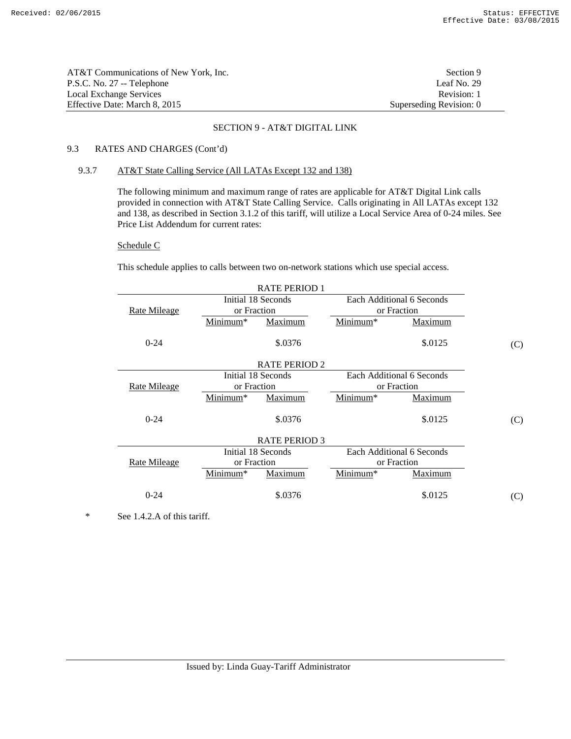| AT&T Communications of New York. Inc. | Section 9               |
|---------------------------------------|-------------------------|
| P.S.C. No. 27 -- Telephone            | Leaf No. $29$           |
| Local Exchange Services               | Revision: 1             |
| Effective Date: March 8, 2015         | Superseding Revision: 0 |

# 9.3 RATES AND CHARGES (Cont'd)

# 9.3.7 AT&T State Calling Service (All LATAs Except 132 and 138)

 The following minimum and maximum range of rates are applicable for AT&T Digital Link calls provided in connection with AT&T State Calling Service. Calls originating in All LATAs except 132 and 138, as described in Section 3.1.2 of this tariff, will utilize a Local Service Area of 0-24 miles. See Price List Addendum for current rates:

#### Schedule C

This schedule applies to calls between two on-network stations which use special access.

| <b>RATE PERIOD 1</b> |                      |                      |             |                           |     |
|----------------------|----------------------|----------------------|-------------|---------------------------|-----|
|                      |                      | Initial 18 Seconds   |             | Each Additional 6 Seconds |     |
| Rate Mileage         | or Fraction          |                      |             | or Fraction               |     |
|                      | Minimum*             | Maximum              | Minimum*    | Maximum                   |     |
| $0 - 24$             |                      | \$.0376              |             | \$.0125                   | (C) |
|                      |                      | <b>RATE PERIOD 2</b> |             |                           |     |
|                      |                      | Initial 18 Seconds   |             | Each Additional 6 Seconds |     |
| <b>Rate Mileage</b>  | or Fraction          |                      | or Fraction |                           |     |
|                      | Minimum*             | Maximum              | Minimum*    | Maximum                   |     |
| $0 - 24$             |                      | \$.0376              |             | \$.0125                   | (C) |
|                      | <b>RATE PERIOD 3</b> |                      |             |                           |     |
|                      |                      | Initial 18 Seconds   |             | Each Additional 6 Seconds |     |
| Rate Mileage         | or Fraction          |                      | or Fraction |                           |     |
|                      | Minimum*             | Maximum              | Minimum*    | Maximum                   |     |
| $0 - 24$             |                      | \$.0376              |             | \$.0125                   | (C) |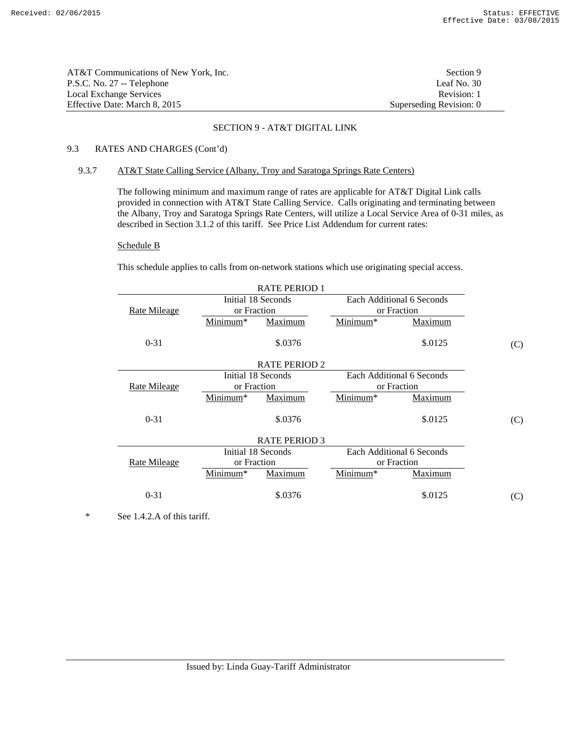| AT&T Communications of New York. Inc. | Section 9               |
|---------------------------------------|-------------------------|
| P.S.C. No. 27 -- Telephone            | Leaf No. 30             |
| Local Exchange Services               | Revision: 1             |
| Effective Date: March 8, 2015         | Superseding Revision: 0 |

# 9.3 RATES AND CHARGES (Cont'd)

### 9.3.7 AT&T State Calling Service (Albany, Troy and Saratoga Springs Rate Centers)

 The following minimum and maximum range of rates are applicable for AT&T Digital Link calls provided in connection with AT&T State Calling Service. Calls originating and terminating between the Albany, Troy and Saratoga Springs Rate Centers, will utilize a Local Service Area of 0-31 miles, as described in Section 3.1.2 of this tariff. See Price List Addendum for current rates:

#### Schedule B

This schedule applies to calls from on-network stations which use originating special access.

| <b>RATE PERIOD 1</b> |             |                      |             |                           |     |
|----------------------|-------------|----------------------|-------------|---------------------------|-----|
|                      |             | Initial 18 Seconds   |             | Each Additional 6 Seconds |     |
| Rate Mileage         | or Fraction |                      |             | or Fraction               |     |
|                      | Minimum*    | Maximum              | Minimum*    | Maximum                   |     |
| $0 - 31$             |             | \$.0376              |             | \$.0125                   | (C) |
|                      |             | <b>RATE PERIOD 2</b> |             |                           |     |
|                      |             | Initial 18 Seconds   |             | Each Additional 6 Seconds |     |
| <b>Rate Mileage</b>  | or Fraction |                      | or Fraction |                           |     |
|                      | Minimum*    | Maximum              | Minimum*    | Maximum                   |     |
| $0 - 31$             |             | \$.0376              |             | \$.0125                   | (C) |
|                      |             | <b>RATE PERIOD 3</b> |             |                           |     |
|                      |             | Initial 18 Seconds   |             | Each Additional 6 Seconds |     |
| Rate Mileage         | or Fraction |                      |             | or Fraction               |     |
|                      | Minimum*    | Maximum              | Minimum*    | Maximum                   |     |
| $0 - 31$             |             | \$.0376              |             | \$.0125                   | (C) |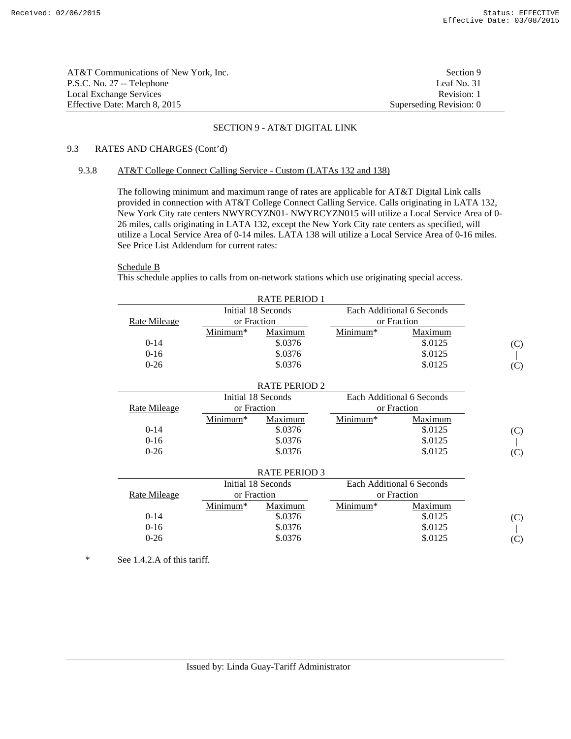| AT&T Communications of New York, Inc. | Section 9               |
|---------------------------------------|-------------------------|
| P.S.C. No. 27 -- Telephone            | Leaf No. 31             |
| Local Exchange Services               | Revision: 1             |
| Effective Date: March 8, 2015         | Superseding Revision: 0 |

# 9.3 RATES AND CHARGES (Cont'd)

### 9.3.8 AT&T College Connect Calling Service - Custom (LATAs 132 and 138)

 The following minimum and maximum range of rates are applicable for AT&T Digital Link calls provided in connection with AT&T College Connect Calling Service. Calls originating in LATA 132, New York City rate centers NWYRCYZN01- NWYRCYZN015 will utilize a Local Service Area of 0- 26 miles, calls originating in LATA 132, except the New York City rate centers as specified, will utilize a Local Service Area of 0-14 miles. LATA 138 will utilize a Local Service Area of 0-16 miles. See Price List Addendum for current rates:

# Schedule B

This schedule applies to calls from on-network stations which use originating special access.

| <b>RATE PERIOD 1</b> |             |                      |          |                           |     |
|----------------------|-------------|----------------------|----------|---------------------------|-----|
|                      |             | Initial 18 Seconds   |          | Each Additional 6 Seconds |     |
| <b>Rate Mileage</b>  | or Fraction |                      |          | or Fraction               |     |
|                      | Minimum*    | Maximum              | Minimum* | Maximum                   |     |
| $0-14$               |             | \$.0376              |          | \$.0125                   | (C) |
| $0 - 16$             |             | \$.0376              |          | \$.0125                   |     |
| $0 - 26$             |             | \$.0376              |          | \$.0125                   | (C) |
|                      |             |                      |          |                           |     |
|                      |             | <b>RATE PERIOD 2</b> |          |                           |     |
|                      |             | Initial 18 Seconds   |          | Each Additional 6 Seconds |     |
| <b>Rate Mileage</b>  | or Fraction |                      |          | or Fraction               |     |
|                      | Minimum*    | Maximum              | Minimum* | <b>Maximum</b>            |     |
| $0-14$               |             | \$.0376              |          | \$.0125                   | (C) |
| $0 - 16$             |             | \$.0376              |          | \$.0125                   |     |
| $0 - 26$             |             | \$.0376              |          | \$.0125                   | (C) |
|                      |             |                      |          |                           |     |
|                      |             | <b>RATE PERIOD 3</b> |          |                           |     |
|                      |             | Initial 18 Seconds   |          | Each Additional 6 Seconds |     |
| <b>Rate Mileage</b>  | or Fraction |                      |          | or Fraction               |     |
|                      | Minimum*    | Maximum              | Minimum* | <b>Maximum</b>            |     |
| $0-14$               |             | \$.0376              |          | \$.0125                   | (C) |
| $0 - 16$             |             | \$.0376              |          | \$.0125                   |     |
| $0 - 26$             |             | \$.0376              |          | \$.0125                   | (C) |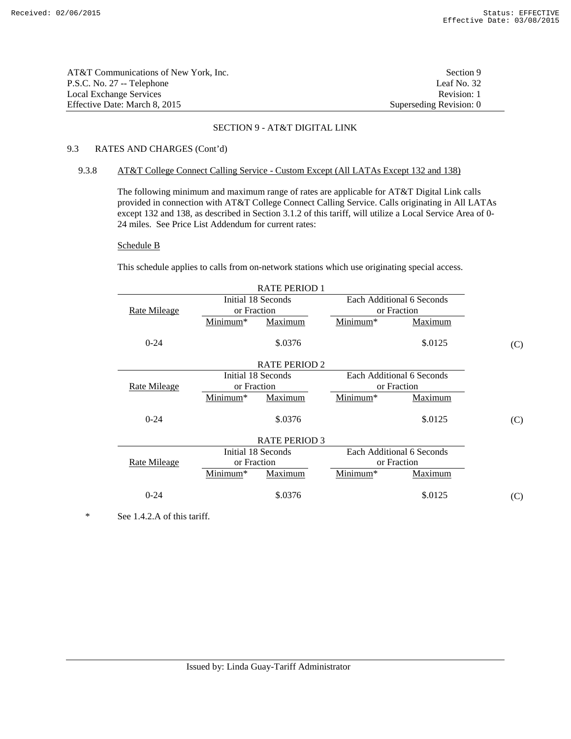| AT&T Communications of New York. Inc. | Section 9               |
|---------------------------------------|-------------------------|
| P.S.C. No. 27 -- Telephone            | Leaf No. 32             |
| Local Exchange Services               | Revision: 1             |
| Effective Date: March 8, 2015         | Superseding Revision: 0 |

# 9.3 RATES AND CHARGES (Cont'd)

### 9.3.8 AT&T College Connect Calling Service - Custom Except (All LATAs Except 132 and 138)

 The following minimum and maximum range of rates are applicable for AT&T Digital Link calls provided in connection with AT&T College Connect Calling Service. Calls originating in All LATAs except 132 and 138, as described in Section 3.1.2 of this tariff, will utilize a Local Service Area of 0-24 miles. See Price List Addendum for current rates:

#### Schedule B

This schedule applies to calls from on-network stations which use originating special access.

| <b>RATE PERIOD 1</b> |                      |                      |             |                           |     |
|----------------------|----------------------|----------------------|-------------|---------------------------|-----|
|                      |                      | Initial 18 Seconds   |             | Each Additional 6 Seconds |     |
| Rate Mileage         | or Fraction          |                      |             | or Fraction               |     |
|                      | Minimum*             | Maximum              | Minimum*    | Maximum                   |     |
| $0 - 24$             |                      | \$.0376              |             | \$.0125                   | (C) |
|                      |                      | <b>RATE PERIOD 2</b> |             |                           |     |
|                      |                      | Initial 18 Seconds   |             | Each Additional 6 Seconds |     |
| Rate Mileage         | or Fraction          |                      | or Fraction |                           |     |
|                      | Minimum*             | Maximum              | Minimum*    | Maximum                   |     |
| $0 - 24$             |                      | \$.0376              |             | \$.0125                   | (C) |
|                      | <b>RATE PERIOD 3</b> |                      |             |                           |     |
|                      |                      | Initial 18 Seconds   |             | Each Additional 6 Seconds |     |
| <b>Rate Mileage</b>  | or Fraction          |                      |             | or Fraction               |     |
|                      | Minimum*             | Maximum              | Minimum*    | Maximum                   |     |
| $0 - 24$             |                      | \$.0376              |             | \$.0125                   | (C) |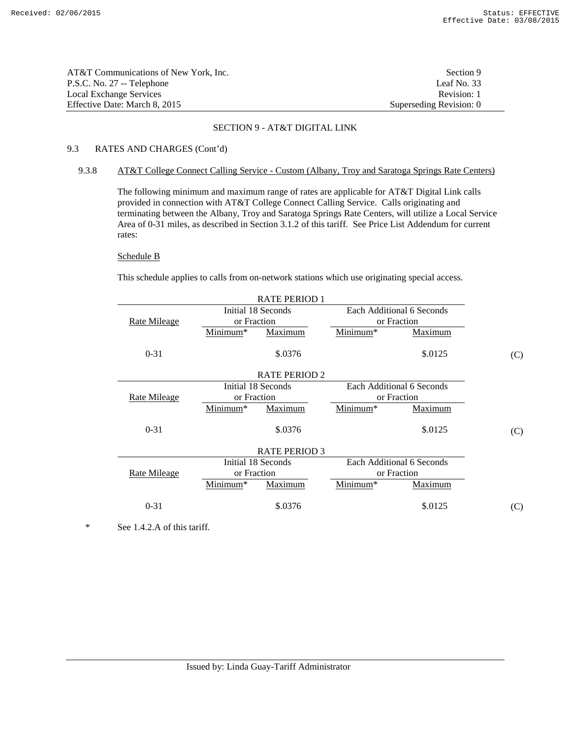| AT&T Communications of New York, Inc. | Section 9               |
|---------------------------------------|-------------------------|
| P.S.C. No. 27 -- Telephone            | Leaf No. $33$           |
| Local Exchange Services               | Revision: 1             |
| Effective Date: March 8, 2015         | Superseding Revision: 0 |

# 9.3 RATES AND CHARGES (Cont'd)

## 9.3.8 AT&T College Connect Calling Service - Custom (Albany, Troy and Saratoga Springs Rate Centers)

 The following minimum and maximum range of rates are applicable for AT&T Digital Link calls provided in connection with AT&T College Connect Calling Service. Calls originating and terminating between the Albany, Troy and Saratoga Springs Rate Centers, will utilize a Local Service Area of 0-31 miles, as described in Section 3.1.2 of this tariff. See Price List Addendum for current rates:

# Schedule B

This schedule applies to calls from on-network stations which use originating special access.

| <b>RATE PERIOD 1</b> |             |                      |                      |                           |     |
|----------------------|-------------|----------------------|----------------------|---------------------------|-----|
|                      |             | Initial 18 Seconds   |                      | Each Additional 6 Seconds |     |
| <b>Rate Mileage</b>  | or Fraction |                      |                      | or Fraction               |     |
|                      | Minimum*    | <b>Maximum</b>       | Minimum <sup>*</sup> | Maximum                   |     |
| $0 - 31$             |             | \$.0376              |                      | \$.0125                   | (C) |
|                      |             | <b>RATE PERIOD 2</b> |                      |                           |     |
|                      |             | Initial 18 Seconds   |                      | Each Additional 6 Seconds |     |
| Rate Mileage         | or Fraction |                      | or Fraction          |                           |     |
|                      | Minimum*    | Maximum              | Minimum*             | Maximum                   |     |
| $0 - 31$             |             | \$.0376              |                      | \$.0125                   | (C) |
|                      |             | <b>RATE PERIOD 3</b> |                      |                           |     |
|                      |             | Initial 18 Seconds   |                      | Each Additional 6 Seconds |     |
| Rate Mileage         | or Fraction |                      | or Fraction          |                           |     |
|                      | Minimum*    | Maximum              | Minimum*             | Maximum                   |     |
| $0 - 31$             |             | \$.0376              |                      | \$.0125                   | (C) |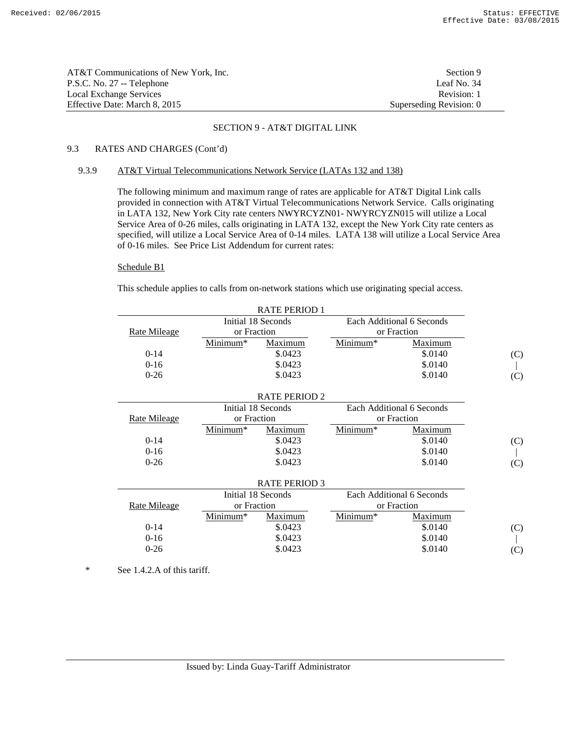| AT&T Communications of New York. Inc. | Section 9               |
|---------------------------------------|-------------------------|
| P.S.C. No. 27 -- Telephone            | Leaf No. 34             |
| Local Exchange Services               | Revision: 1             |
| Effective Date: March 8. 2015         | Superseding Revision: 0 |

# 9.3 RATES AND CHARGES (Cont'd)

#### 9.3.9 AT&T Virtual Telecommunications Network Service (LATAs 132 and 138)

 The following minimum and maximum range of rates are applicable for AT&T Digital Link calls provided in connection with AT&T Virtual Telecommunications Network Service. Calls originating in LATA 132, New York City rate centers NWYRCYZN01- NWYRCYZN015 will utilize a Local Service Area of 0-26 miles, calls originating in LATA 132, except the New York City rate centers as specified, will utilize a Local Service Area of 0-14 miles. LATA 138 will utilize a Local Service Area of 0-16 miles. See Price List Addendum for current rates:

### Schedule B1

This schedule applies to calls from on-network stations which use originating special access.

| <b>RATE PERIOD 1</b> |             |                      |                      |                           |     |
|----------------------|-------------|----------------------|----------------------|---------------------------|-----|
|                      |             | Initial 18 Seconds   |                      | Each Additional 6 Seconds |     |
| Rate Mileage         | or Fraction |                      |                      | or Fraction               |     |
|                      | Minimum*    | Maximum              | Minimum <sup>*</sup> | Maximum                   |     |
| $0-14$               |             | \$.0423              |                      | \$.0140                   | (C) |
| $0 - 16$             |             | \$.0423              |                      | \$.0140                   |     |
| $0 - 26$             |             | \$.0423              |                      | \$.0140                   | (C) |
|                      |             |                      |                      |                           |     |
|                      |             | <b>RATE PERIOD 2</b> |                      |                           |     |
|                      |             | Initial 18 Seconds   |                      | Each Additional 6 Seconds |     |
| Rate Mileage         | or Fraction |                      |                      | or Fraction               |     |
|                      | Minimum*    | Maximum              | Minimum*             | Maximum                   |     |
| $0-14$               |             | \$.0423              |                      | \$.0140                   | (C) |
| $0 - 16$             |             | \$.0423              |                      | \$.0140                   |     |
| $0 - 26$             |             | \$.0423              |                      | \$.0140                   | (C) |
|                      |             |                      |                      |                           |     |
|                      |             | <b>RATE PERIOD 3</b> |                      |                           |     |
|                      |             | Initial 18 Seconds   |                      | Each Additional 6 Seconds |     |
| Rate Mileage         | or Fraction |                      |                      | or Fraction               |     |
|                      | Minimum*    | Maximum              | Minimum*             | Maximum                   |     |
| $0-14$               |             | \$.0423              |                      | \$.0140                   | (C) |
| $0 - 16$             |             | \$.0423              |                      | \$.0140                   |     |
| $0 - 26$             |             | \$.0423              |                      | \$.0140                   | (C) |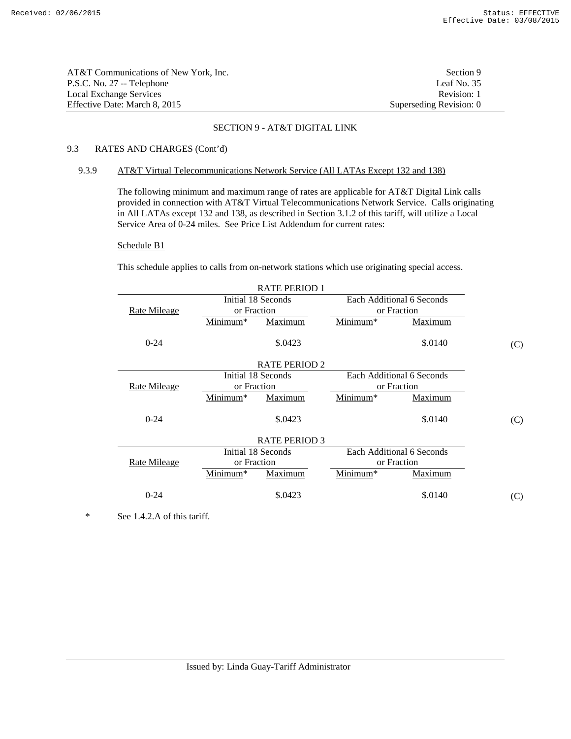| AT&T Communications of New York. Inc. | Section 9               |
|---------------------------------------|-------------------------|
| P.S.C. No. 27 -- Telephone            | Leaf No. $35$           |
| Local Exchange Services               | Revision: 1             |
| Effective Date: March 8. 2015         | Superseding Revision: 0 |

# 9.3 RATES AND CHARGES (Cont'd)

### 9.3.9 AT&T Virtual Telecommunications Network Service (All LATAs Except 132 and 138)

 The following minimum and maximum range of rates are applicable for AT&T Digital Link calls provided in connection with AT&T Virtual Telecommunications Network Service. Calls originating in All LATAs except 132 and 138, as described in Section 3.1.2 of this tariff, will utilize a Local Service Area of 0-24 miles. See Price List Addendum for current rates:

#### Schedule B1

This schedule applies to calls from on-network stations which use originating special access.

| <b>RATE PERIOD 1</b> |             |                      |             |                           |     |
|----------------------|-------------|----------------------|-------------|---------------------------|-----|
|                      |             | Initial 18 Seconds   |             | Each Additional 6 Seconds |     |
| Rate Mileage         | or Fraction |                      |             | or Fraction               |     |
|                      | Minimum*    | Maximum              | Minimum*    | Maximum                   |     |
| $0 - 24$             |             | \$.0423              |             | \$.0140                   | (C) |
|                      |             | <b>RATE PERIOD 2</b> |             |                           |     |
|                      |             | Initial 18 Seconds   |             | Each Additional 6 Seconds |     |
| Rate Mileage         | or Fraction |                      | or Fraction |                           |     |
|                      | Minimum*    | Maximum              | Minimum*    | Maximum                   |     |
| $0 - 24$             |             | \$.0423              |             | \$.0140                   | (C) |
|                      |             | <b>RATE PERIOD 3</b> |             |                           |     |
|                      |             | Initial 18 Seconds   |             | Each Additional 6 Seconds |     |
| <b>Rate Mileage</b>  | or Fraction |                      |             | or Fraction               |     |
|                      | Minimum*    | Maximum              | Minimum*    | Maximum                   |     |
| $0 - 24$             |             | \$.0423              |             | \$.0140                   | (C) |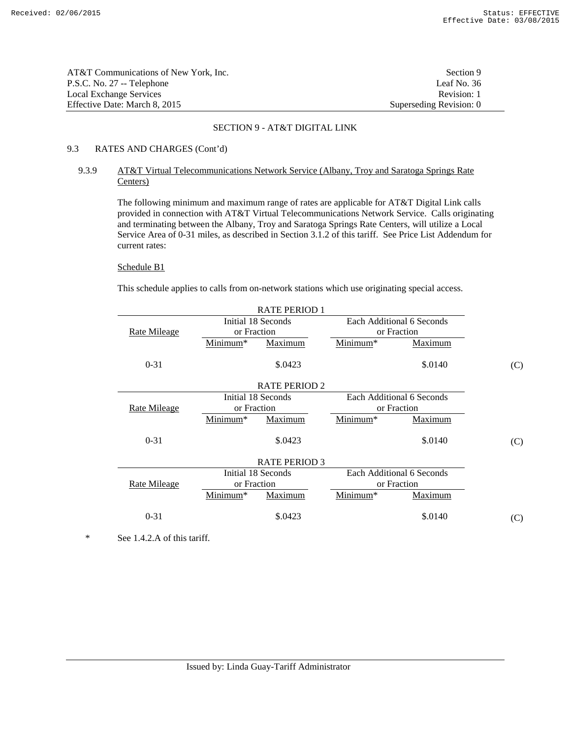| AT&T Communications of New York. Inc. | Section 9               |
|---------------------------------------|-------------------------|
| P.S.C. No. 27 -- Telephone            | Leaf No. 36             |
| Local Exchange Services               | Revision: 1             |
| Effective Date: March 8, 2015         | Superseding Revision: 0 |

# 9.3 RATES AND CHARGES (Cont'd)

# 9.3.9 AT&T Virtual Telecommunications Network Service (Albany, Troy and Saratoga Springs Rate Centers)

 The following minimum and maximum range of rates are applicable for AT&T Digital Link calls provided in connection with AT&T Virtual Telecommunications Network Service. Calls originating and terminating between the Albany, Troy and Saratoga Springs Rate Centers, will utilize a Local Service Area of 0-31 miles, as described in Section 3.1.2 of this tariff. See Price List Addendum for current rates:

## Schedule B1

This schedule applies to calls from on-network stations which use originating special access.

| <b>RATE PERIOD 1</b> |             |                      |             |                           |     |
|----------------------|-------------|----------------------|-------------|---------------------------|-----|
|                      |             | Initial 18 Seconds   |             | Each Additional 6 Seconds |     |
| <u>Rate Mileage</u>  | or Fraction |                      |             | or Fraction               |     |
|                      | Minimum*    | Maximum              | Minimum*    | Maximum                   |     |
| $0 - 31$             |             | \$.0423              |             | \$.0140                   | (C) |
|                      |             | <b>RATE PERIOD 2</b> |             |                           |     |
|                      |             | Initial 18 Seconds   |             | Each Additional 6 Seconds |     |
| <b>Rate Mileage</b>  | or Fraction |                      | or Fraction |                           |     |
|                      | Minimum*    | Maximum              | Minimum*    | Maximum                   |     |
| $0 - 31$             |             | \$.0423              |             | \$.0140                   | (C) |
|                      |             | <b>RATE PERIOD 3</b> |             |                           |     |
|                      |             | Initial 18 Seconds   |             | Each Additional 6 Seconds |     |
| Rate Mileage         | or Fraction |                      | or Fraction |                           |     |
|                      | Minimum*    | Maximum              | Minimum*    | Maximum                   |     |
| $0 - 31$             |             | \$.0423              |             | \$.0140                   | (C) |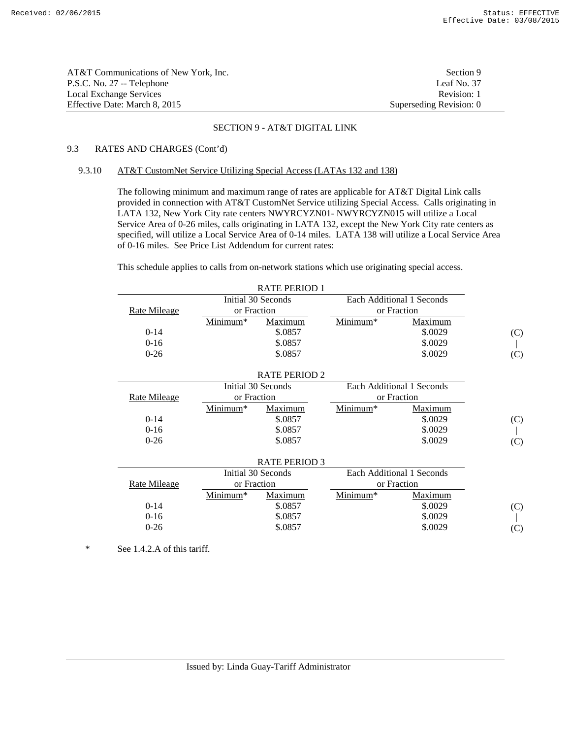| AT&T Communications of New York, Inc. | Section 9               |
|---------------------------------------|-------------------------|
| P.S.C. No. 27 -- Telephone            | Leaf No. 37             |
| Local Exchange Services               | Revision: 1             |
| Effective Date: March 8, 2015         | Superseding Revision: 0 |

# 9.3 RATES AND CHARGES (Cont'd)

### 9.3.10 AT&T CustomNet Service Utilizing Special Access (LATAs 132 and 138)

 The following minimum and maximum range of rates are applicable for AT&T Digital Link calls provided in connection with AT&T CustomNet Service utilizing Special Access. Calls originating in LATA 132, New York City rate centers NWYRCYZN01- NWYRCYZN015 will utilize a Local Service Area of 0-26 miles, calls originating in LATA 132, except the New York City rate centers as specified, will utilize a Local Service Area of 0-14 miles. LATA 138 will utilize a Local Service Area of 0-16 miles. See Price List Addendum for current rates:

This schedule applies to calls from on-network stations which use originating special access.

|                     |             | <b>RATE PERIOD 1</b> |          |                           |     |
|---------------------|-------------|----------------------|----------|---------------------------|-----|
|                     |             | Initial 30 Seconds   |          | Each Additional 1 Seconds |     |
| <b>Rate Mileage</b> | or Fraction |                      |          | or Fraction               |     |
|                     | Minimum*    | Maximum              | Minimum* | Maximum                   |     |
| $0-14$              |             | \$.0857              |          | \$.0029                   | (C) |
| $0 - 16$            |             | \$.0857              |          | \$.0029                   |     |
| $0 - 26$            |             | \$.0857              |          | \$.0029                   | (C) |
|                     |             |                      |          |                           |     |
|                     |             | <b>RATE PERIOD 2</b> |          |                           |     |
|                     |             | Initial 30 Seconds   |          | Each Additional 1 Seconds |     |
| <b>Rate Mileage</b> | or Fraction |                      |          | or Fraction               |     |
|                     | Minimum*    | Maximum              | Minimum* | Maximum                   |     |
| $0-14$              |             | \$.0857              |          | \$.0029                   | (C) |
| $0-16$              |             | \$.0857              |          | \$.0029                   |     |
| $0 - 26$            |             | \$.0857              |          | \$.0029                   | (C) |
|                     |             |                      |          |                           |     |
|                     |             | <b>RATE PERIOD 3</b> |          |                           |     |
|                     |             | Initial 30 Seconds   |          | Each Additional 1 Seconds |     |
| Rate Mileage        | or Fraction |                      |          | or Fraction               |     |
|                     | Minimum*    | Maximum              | Minimum* | Maximum                   |     |
| $0 - 14$            |             | \$.0857              |          | \$.0029                   | (C) |
| $0 - 16$            |             | \$.0857              |          | \$.0029                   |     |
| $0 - 26$            |             | \$.0857              |          | \$.0029                   | (C) |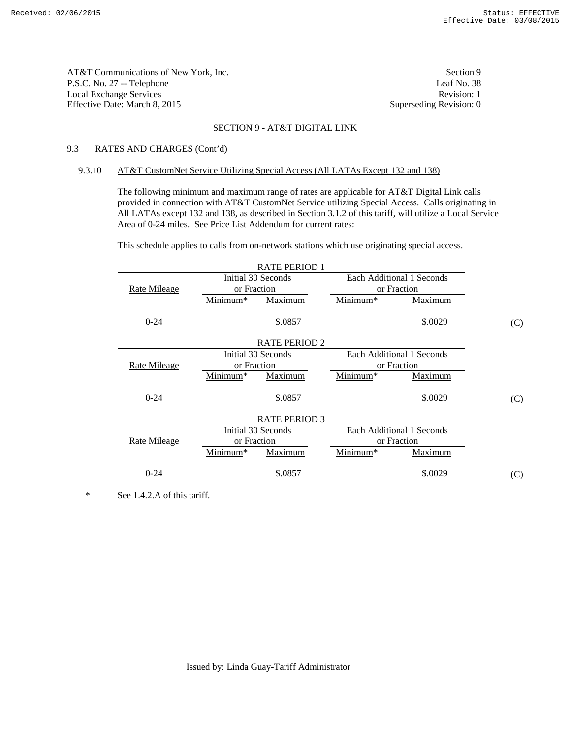| AT&T Communications of New York, Inc. | Section 9               |
|---------------------------------------|-------------------------|
| P.S.C. No. 27 -- Telephone            | Leaf No. 38             |
| Local Exchange Services               | Revision: 1             |
| Effective Date: March 8, 2015         | Superseding Revision: 0 |

# 9.3 RATES AND CHARGES (Cont'd)

### 9.3.10 AT&T CustomNet Service Utilizing Special Access (All LATAs Except 132 and 138)

 The following minimum and maximum range of rates are applicable for AT&T Digital Link calls provided in connection with AT&T CustomNet Service utilizing Special Access. Calls originating in All LATAs except 132 and 138, as described in Section 3.1.2 of this tariff, will utilize a Local Service Area of 0-24 miles. See Price List Addendum for current rates:

This schedule applies to calls from on-network stations which use originating special access.

| <b>RATE PERIOD 1</b> |                      |                      |                      |                           |     |
|----------------------|----------------------|----------------------|----------------------|---------------------------|-----|
|                      |                      | Initial 30 Seconds   |                      | Each Additional 1 Seconds |     |
| <b>Rate Mileage</b>  | or Fraction          |                      |                      | or Fraction               |     |
|                      | Minimum <sup>*</sup> | <b>Maximum</b>       | Minimum <sup>*</sup> | <b>Maximum</b>            |     |
| $0 - 24$             |                      | \$.0857              |                      | \$.0029                   | (C) |
|                      |                      | <b>RATE PERIOD 2</b> |                      |                           |     |
|                      |                      | Initial 30 Seconds   |                      | Each Additional 1 Seconds |     |
| <b>Rate Mileage</b>  | or Fraction          |                      | or Fraction          |                           |     |
|                      | Minimum*             | Maximum              | Minimum*             | <b>Maximum</b>            |     |
| $0 - 24$             |                      | \$.0857              |                      | \$.0029                   | (C) |
|                      |                      | <b>RATE PERIOD 3</b> |                      |                           |     |
|                      |                      | Initial 30 Seconds   |                      | Each Additional 1 Seconds |     |
| Rate Mileage         | or Fraction          |                      |                      | or Fraction               |     |
|                      | Minimum*             | Maximum              | Minimum*             | Maximum                   |     |
| $0 - 24$             |                      | \$.0857              |                      | \$.0029                   | (C) |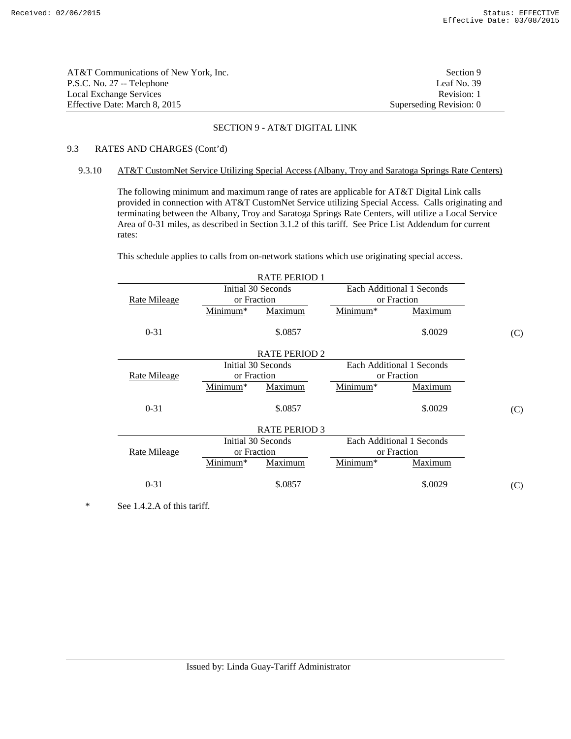| AT&T Communications of New York, Inc. | Section 9               |
|---------------------------------------|-------------------------|
| P.S.C. No. 27 -- Telephone            | Leaf No. 39             |
| Local Exchange Services               | Revision: 1             |
| Effective Date: March 8, 2015         | Superseding Revision: 0 |

# 9.3 RATES AND CHARGES (Cont'd)

### 9.3.10 AT&T CustomNet Service Utilizing Special Access (Albany, Troy and Saratoga Springs Rate Centers)

 The following minimum and maximum range of rates are applicable for AT&T Digital Link calls provided in connection with AT&T CustomNet Service utilizing Special Access. Calls originating and terminating between the Albany, Troy and Saratoga Springs Rate Centers, will utilize a Local Service Area of 0-31 miles, as described in Section 3.1.2 of this tariff. See Price List Addendum for current rates:

This schedule applies to calls from on-network stations which use originating special access.

| <b>RATE PERIOD 1</b> |             |                      |                               |                           |     |
|----------------------|-------------|----------------------|-------------------------------|---------------------------|-----|
|                      |             | Initial 30 Seconds   |                               | Each Additional 1 Seconds |     |
| Rate Mileage         | or Fraction |                      |                               | or Fraction               |     |
|                      | Minimum*    | Maximum              | $\overline{\text{Minimum}}^*$ | Maximum                   |     |
| $0 - 31$             |             | \$.0857              |                               | \$.0029                   | (C) |
|                      |             | <b>RATE PERIOD 2</b> |                               |                           |     |
|                      |             | Initial 30 Seconds   |                               | Each Additional 1 Seconds |     |
| <u>Rate Mileage</u>  | or Fraction |                      | or Fraction                   |                           |     |
|                      | Minimum*    | Maximum              | Minimum*                      | Maximum                   |     |
| $0 - 31$             |             | \$.0857              |                               | \$.0029                   | (C) |
|                      |             | <b>RATE PERIOD 3</b> |                               |                           |     |
|                      |             | Initial 30 Seconds   |                               | Each Additional 1 Seconds |     |
| <b>Rate Mileage</b>  | or Fraction |                      | or Fraction                   |                           |     |
|                      | Minimum*    | Maximum              | Minimum*                      | <b>Maximum</b>            |     |
| $0 - 31$             |             | \$.0857              |                               | \$.0029                   | (C) |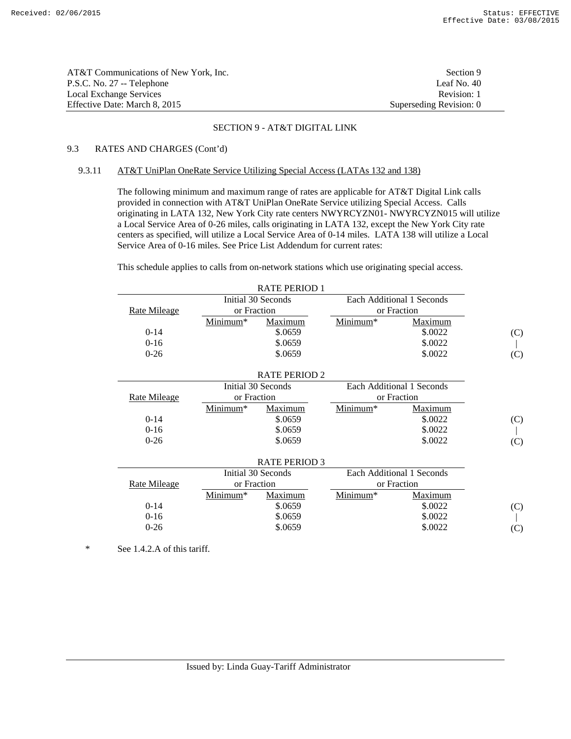| AT&T Communications of New York. Inc. | Section 9               |
|---------------------------------------|-------------------------|
| P.S.C. No. 27 -- Telephone            | Leaf No. $40$           |
| Local Exchange Services               | Revision: 1             |
| Effective Date: March 8, 2015         | Superseding Revision: 0 |

# 9.3 RATES AND CHARGES (Cont'd)

### 9.3.11 AT&T UniPlan OneRate Service Utilizing Special Access (LATAs 132 and 138)

 The following minimum and maximum range of rates are applicable for AT&T Digital Link calls provided in connection with AT&T UniPlan OneRate Service utilizing Special Access. Calls originating in LATA 132, New York City rate centers NWYRCYZN01- NWYRCYZN015 will utilize a Local Service Area of 0-26 miles, calls originating in LATA 132, except the New York City rate centers as specified, will utilize a Local Service Area of 0-14 miles. LATA 138 will utilize a Local Service Area of 0-16 miles. See Price List Addendum for current rates:

This schedule applies to calls from on-network stations which use originating special access.

|                     |             | <b>RATE PERIOD 1</b> |                      |                           |     |
|---------------------|-------------|----------------------|----------------------|---------------------------|-----|
|                     |             | Initial 30 Seconds   |                      | Each Additional 1 Seconds |     |
| <b>Rate Mileage</b> | or Fraction |                      |                      | or Fraction               |     |
|                     | Minimum*    | Maximum              | Minimum*             | Maximum                   |     |
| $0-14$              |             | \$.0659              |                      | \$.0022                   | (C) |
| $0 - 16$            |             | \$.0659              |                      | \$.0022                   |     |
| $0 - 26$            |             | \$.0659              |                      | \$.0022                   | (C) |
|                     |             |                      |                      |                           |     |
|                     |             | <b>RATE PERIOD 2</b> |                      |                           |     |
|                     |             | Initial 30 Seconds   |                      | Each Additional 1 Seconds |     |
| <b>Rate Mileage</b> | or Fraction |                      |                      | or Fraction               |     |
|                     | Minimum*    | Maximum              | Minimum*             | Maximum                   |     |
| $0-14$              |             | \$.0659              |                      | \$.0022                   | (C) |
| $0 - 16$            |             | \$.0659              |                      | \$.0022                   |     |
| $0 - 26$            |             | \$.0659              |                      | \$.0022                   | (C) |
|                     |             |                      |                      |                           |     |
|                     |             | <b>RATE PERIOD 3</b> |                      |                           |     |
|                     |             | Initial 30 Seconds   |                      | Each Additional 1 Seconds |     |
| Rate Mileage        | or Fraction |                      |                      | or Fraction               |     |
|                     | Minimum*    | Maximum              | Minimum <sup>*</sup> | Maximum                   |     |
| $0 - 14$            |             | \$.0659              |                      | \$.0022                   | (C) |
| $0 - 16$            |             | \$.0659              |                      | \$.0022                   |     |
| $0 - 26$            |             | \$.0659              |                      | \$.0022                   | (C) |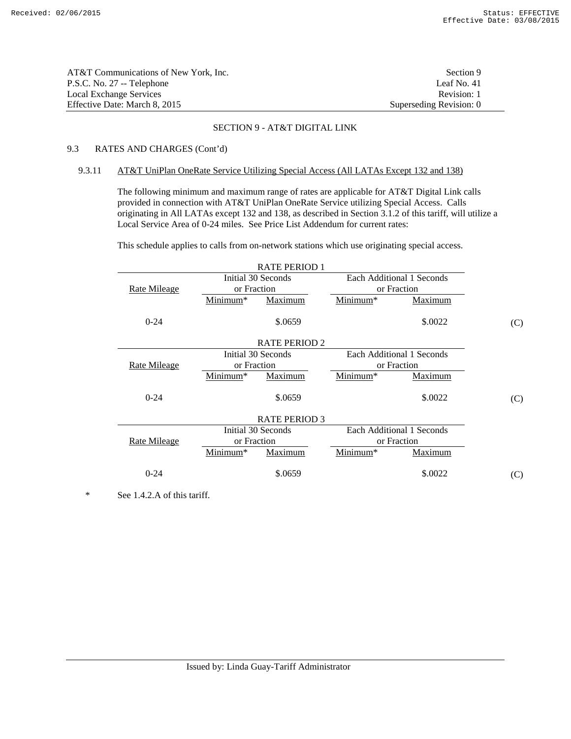| AT&T Communications of New York. Inc. | Section 9               |
|---------------------------------------|-------------------------|
| P.S.C. No. 27 -- Telephone            | Leaf No. 41             |
| Local Exchange Services               | Revision: 1             |
| Effective Date: March 8, 2015         | Superseding Revision: 0 |

# 9.3 RATES AND CHARGES (Cont'd)

### 9.3.11 AT&T UniPlan OneRate Service Utilizing Special Access (All LATAs Except 132 and 138)

 The following minimum and maximum range of rates are applicable for AT&T Digital Link calls provided in connection with AT&T UniPlan OneRate Service utilizing Special Access. Calls originating in All LATAs except 132 and 138, as described in Section 3.1.2 of this tariff, will utilize a Local Service Area of 0-24 miles. See Price List Addendum for current rates:

This schedule applies to calls from on-network stations which use originating special access.

| <b>RATE PERIOD 1</b>                            |                      |                      |                      |                           |     |  |
|-------------------------------------------------|----------------------|----------------------|----------------------|---------------------------|-----|--|
| Initial 30 Seconds<br>Each Additional 1 Seconds |                      |                      |                      |                           |     |  |
| <b>Rate Mileage</b>                             | or Fraction          |                      |                      | or Fraction               |     |  |
|                                                 | Minimum*             | Maximum              | Minimum <sup>*</sup> | <b>Maximum</b>            |     |  |
| $0 - 24$                                        |                      | \$.0659              |                      | \$.0022                   | (C) |  |
|                                                 |                      | <b>RATE PERIOD 2</b> |                      |                           |     |  |
|                                                 |                      | Initial 30 Seconds   |                      | Each Additional 1 Seconds |     |  |
| <b>Rate Mileage</b>                             | or Fraction          |                      |                      | or Fraction               |     |  |
|                                                 | Minimum <sup>*</sup> | Maximum              | Minimum <sup>*</sup> | <b>Maximum</b>            |     |  |
| $0 - 24$                                        |                      | \$.0659              |                      | \$.0022                   | (C) |  |
|                                                 |                      | <b>RATE PERIOD 3</b> |                      |                           |     |  |
|                                                 |                      | Initial 30 Seconds   |                      | Each Additional 1 Seconds |     |  |
| Rate Mileage                                    | or Fraction          |                      |                      | or Fraction               |     |  |
|                                                 | Minimum*             | Maximum              | Minimum*             | Maximum                   |     |  |
| $0 - 24$                                        |                      | \$.0659              |                      | \$.0022                   | (C) |  |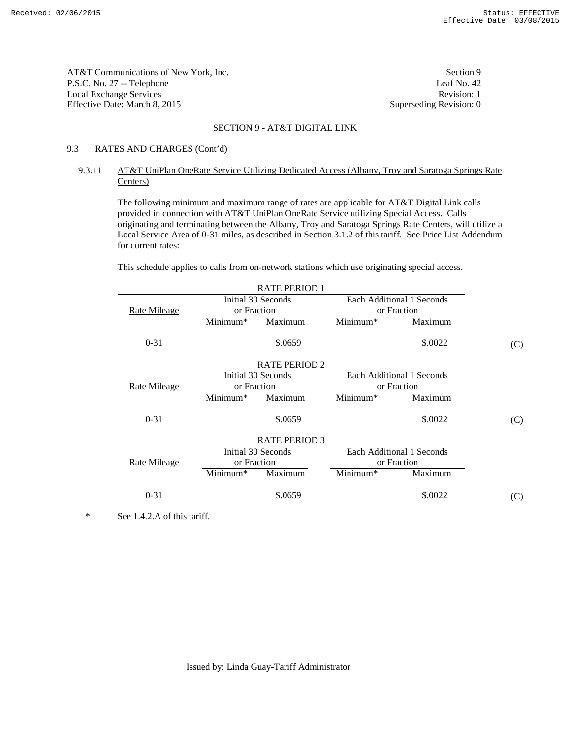| AT&T Communications of New York. Inc. | Section 9               |
|---------------------------------------|-------------------------|
| P.S.C. No. 27 -- Telephone            | Leaf No. 42             |
| Local Exchange Services               | Revision: 1             |
| Effective Date: March 8, 2015         | Superseding Revision: 0 |

# 9.3 RATES AND CHARGES (Cont'd)

# 9.3.11 AT&T UniPlan OneRate Service Utilizing Dedicated Access (Albany, Troy and Saratoga Springs Rate Centers)

 The following minimum and maximum range of rates are applicable for AT&T Digital Link calls provided in connection with AT&T UniPlan OneRate Service utilizing Special Access. Calls originating and terminating between the Albany, Troy and Saratoga Springs Rate Centers, will utilize a Local Service Area of 0-31 miles, as described in Section 3.1.2 of this tariff. See Price List Addendum for current rates:

This schedule applies to calls from on-network stations which use originating special access.

| <b>RATE PERIOD 1</b> |                      |                      |          |                           |     |
|----------------------|----------------------|----------------------|----------|---------------------------|-----|
|                      | Initial 30 Seconds   |                      |          | Each Additional 1 Seconds |     |
| <b>Rate Mileage</b>  | or Fraction          |                      |          | or Fraction               |     |
|                      | Minimum*             | Maximum              | Minimum* | Maximum                   |     |
| $0 - 31$             |                      | \$.0659              |          | \$.0022                   | (C) |
|                      |                      | <b>RATE PERIOD 2</b> |          |                           |     |
|                      |                      | Initial 30 Seconds   |          | Each Additional 1 Seconds |     |
| Rate Mileage         | or Fraction          |                      |          | or Fraction               |     |
|                      | Minimum*             | Maximum              | Minimum* | Maximum                   |     |
| $0 - 31$             |                      | \$.0659              |          | \$.0022                   | (C) |
|                      |                      | <b>RATE PERIOD 3</b> |          |                           |     |
|                      |                      | Initial 30 Seconds   |          | Each Additional 1 Seconds |     |
| <b>Rate Mileage</b>  | or Fraction          |                      |          | or Fraction               |     |
|                      | Minimum <sup>*</sup> | Maximum              | Minimum* | Maximum                   |     |
| $0 - 31$             |                      | \$.0659              |          | \$.0022                   | (C) |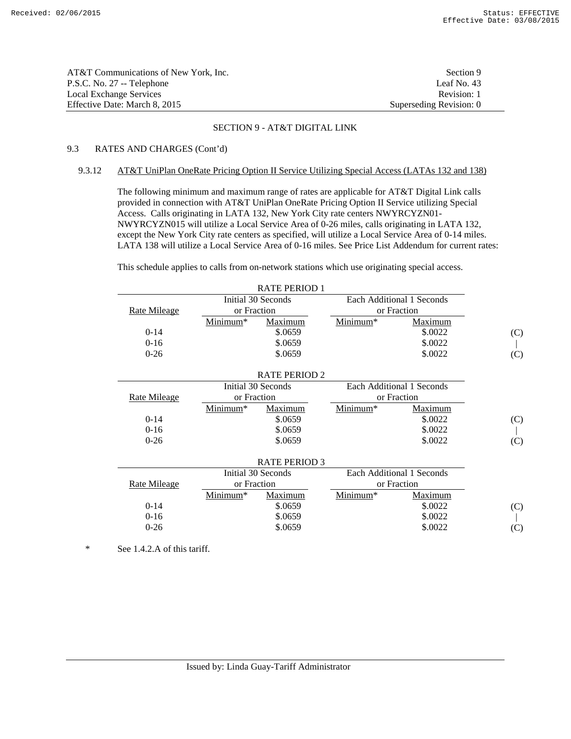| AT&T Communications of New York, Inc. | Section 9               |
|---------------------------------------|-------------------------|
| P.S.C. No. 27 -- Telephone            | Leaf No. $43$           |
| Local Exchange Services               | Revision: 1             |
| Effective Date: March 8, 2015         | Superseding Revision: 0 |

# 9.3 RATES AND CHARGES (Cont'd)

### 9.3.12 AT&T UniPlan OneRate Pricing Option II Service Utilizing Special Access (LATAs 132 and 138)

 The following minimum and maximum range of rates are applicable for AT&T Digital Link calls provided in connection with AT&T UniPlan OneRate Pricing Option II Service utilizing Special Access. Calls originating in LATA 132, New York City rate centers NWYRCYZN01- NWYRCYZN015 will utilize a Local Service Area of 0-26 miles, calls originating in LATA 132, except the New York City rate centers as specified, will utilize a Local Service Area of 0-14 miles. LATA 138 will utilize a Local Service Area of 0-16 miles. See Price List Addendum for current rates:

This schedule applies to calls from on-network stations which use originating special access.

|                     |             | <b>RATE PERIOD 1</b> |          |                           |     |
|---------------------|-------------|----------------------|----------|---------------------------|-----|
|                     |             | Initial 30 Seconds   |          | Each Additional 1 Seconds |     |
| <b>Rate Mileage</b> | or Fraction |                      |          | or Fraction               |     |
|                     | Minimum*    | Maximum              | Minimum* | Maximum                   |     |
| $0 - 14$            |             | \$.0659              |          | \$.0022                   | (C) |
| $0 - 16$            |             | \$.0659              |          | \$.0022                   |     |
| $0 - 26$            |             | \$.0659              |          | \$.0022                   | (C) |
|                     |             |                      |          |                           |     |
|                     |             | <b>RATE PERIOD 2</b> |          |                           |     |
|                     |             | Initial 30 Seconds   |          | Each Additional 1 Seconds |     |
| Rate Mileage        | or Fraction |                      |          | or Fraction               |     |
|                     | Minimum*    | Maximum              | Minimum* | Maximum                   |     |
| $0-14$              |             | \$.0659              |          | \$.0022                   | (C) |
| $0-16$              |             | \$.0659              |          | \$.0022                   |     |
| $0 - 26$            |             | \$.0659              |          | \$.0022                   | (C) |
|                     |             |                      |          |                           |     |
|                     |             | <b>RATE PERIOD 3</b> |          |                           |     |
|                     |             | Initial 30 Seconds   |          | Each Additional 1 Seconds |     |
| Rate Mileage        | or Fraction |                      |          | or Fraction               |     |
|                     | Minimum*    | Maximum              | Minimum* | Maximum                   |     |
| $0 - 14$            |             | \$.0659              |          | \$.0022                   | (C) |
| $0 - 16$            |             | \$.0659              |          | \$.0022                   |     |
| $0 - 26$            |             | \$.0659              |          | \$.0022                   | (C) |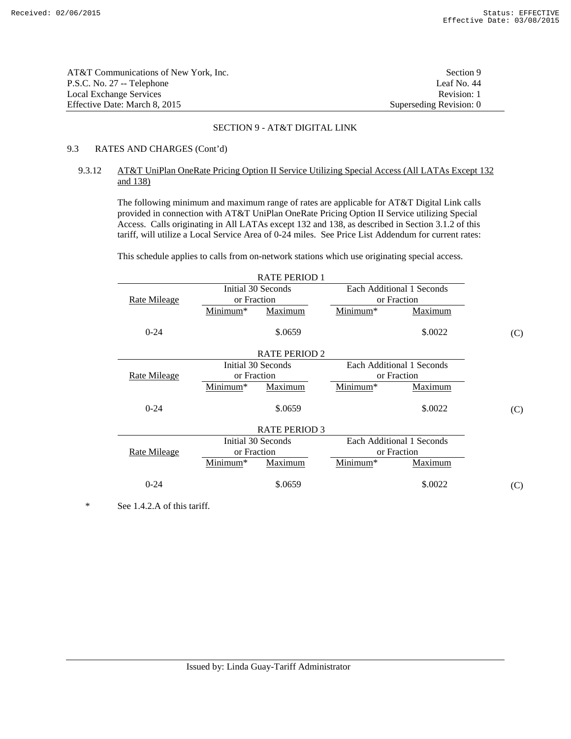| AT&T Communications of New York. Inc. | Section 9               |
|---------------------------------------|-------------------------|
| P.S.C. No. 27 -- Telephone            | Leaf No. 44             |
| Local Exchange Services               | Revision: 1             |
| Effective Date: March 8, 2015         | Superseding Revision: 0 |

# 9.3 RATES AND CHARGES (Cont'd)

# 9.3.12 AT&T UniPlan OneRate Pricing Option II Service Utilizing Special Access (All LATAs Except 132 and 138)

 The following minimum and maximum range of rates are applicable for AT&T Digital Link calls provided in connection with AT&T UniPlan OneRate Pricing Option II Service utilizing Special Access. Calls originating in All LATAs except 132 and 138, as described in Section 3.1.2 of this tariff, will utilize a Local Service Area of 0-24 miles. See Price List Addendum for current rates:

This schedule applies to calls from on-network stations which use originating special access.

| <b>RATE PERIOD 1</b> |             |                      |                           |                           |     |
|----------------------|-------------|----------------------|---------------------------|---------------------------|-----|
|                      |             | Initial 30 Seconds   |                           | Each Additional 1 Seconds |     |
| Rate Mileage         | or Fraction |                      |                           | or Fraction               |     |
|                      | Minimum*    | Maximum              | Minimum*                  | Maximum                   |     |
| $0 - 24$             |             | \$.0659              |                           | \$.0022                   | (C) |
|                      |             | <b>RATE PERIOD 2</b> |                           |                           |     |
|                      |             | Initial 30 Seconds   | Each Additional 1 Seconds |                           |     |
| <b>Rate Mileage</b>  | or Fraction |                      |                           | or Fraction               |     |
|                      | Minimum*    | Maximum              | Minimum*                  | Maximum                   |     |
| $0 - 24$             |             | \$.0659              |                           | \$.0022                   | (C) |
|                      |             | <b>RATE PERIOD 3</b> |                           |                           |     |
|                      |             | Initial 30 Seconds   |                           | Each Additional 1 Seconds |     |
| <b>Rate Mileage</b>  | or Fraction |                      |                           | or Fraction               |     |
|                      | Minimum*    | Maximum              | Minimum*                  | Maximum                   |     |
| $0 - 24$             |             | \$.0659              |                           | \$.0022                   | (C) |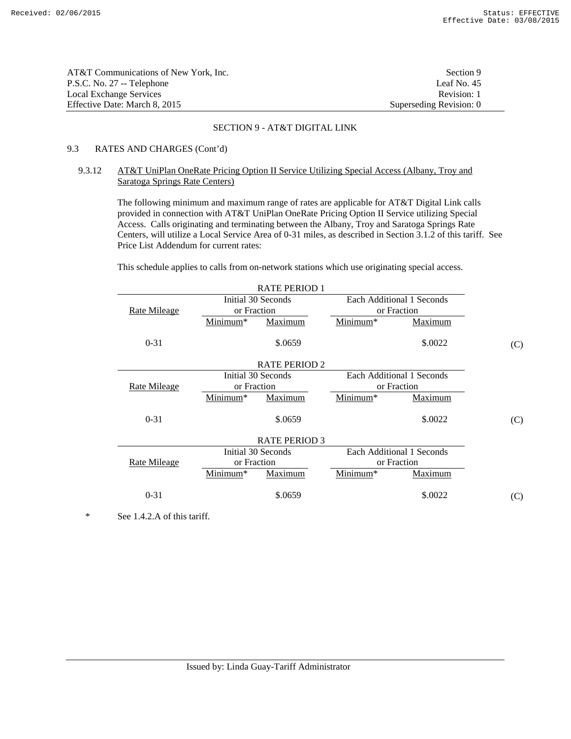| AT&T Communications of New York. Inc. | Section 9               |
|---------------------------------------|-------------------------|
| P.S.C. No. 27 -- Telephone            | Leaf No. $45$           |
| Local Exchange Services               | Revision: 1             |
| Effective Date: March 8, 2015         | Superseding Revision: 0 |

### 9.3 RATES AND CHARGES (Cont'd)

# 9.3.12 AT&T UniPlan OneRate Pricing Option II Service Utilizing Special Access (Albany, Troy and Saratoga Springs Rate Centers)

 The following minimum and maximum range of rates are applicable for AT&T Digital Link calls provided in connection with AT&T UniPlan OneRate Pricing Option II Service utilizing Special Access. Calls originating and terminating between the Albany, Troy and Saratoga Springs Rate Centers, will utilize a Local Service Area of 0-31 miles, as described in Section 3.1.2 of this tariff. See Price List Addendum for current rates:

This schedule applies to calls from on-network stations which use originating special access.

| <b>RATE PERIOD 1</b> |                    |                      |          |                           |     |
|----------------------|--------------------|----------------------|----------|---------------------------|-----|
|                      | Initial 30 Seconds |                      |          | Each Additional 1 Seconds |     |
| <b>Rate Mileage</b>  | or Fraction        |                      |          | or Fraction               |     |
|                      | Minimum*           | Maximum              | Minimum* | Maximum                   |     |
| $0 - 31$             |                    | \$.0659              |          | \$.0022                   | (C) |
|                      |                    | <b>RATE PERIOD 2</b> |          |                           |     |
|                      | Initial 30 Seconds |                      |          | Each Additional 1 Seconds |     |
| <b>Rate Mileage</b>  | or Fraction        |                      |          | or Fraction               |     |
|                      | Minimum*           | Maximum              | Minimum* | Maximum                   |     |
| $0 - 31$             |                    | \$.0659              |          | \$.0022                   | (C) |
|                      |                    | <b>RATE PERIOD 3</b> |          |                           |     |
|                      |                    | Initial 30 Seconds   |          | Each Additional 1 Seconds |     |
| <b>Rate Mileage</b>  | or Fraction        |                      |          | or Fraction               |     |
|                      | Minimum*           | Maximum              | Minimum* | Maximum                   |     |
| $0 - 31$             |                    | \$.0659              |          | \$.0022                   | (C) |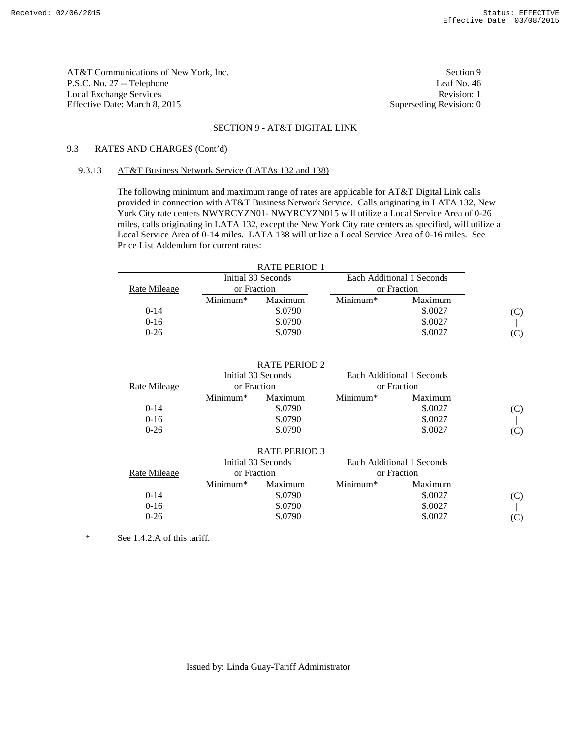| AT&T Communications of New York, Inc. | Section 9               |
|---------------------------------------|-------------------------|
| P.S.C. No. 27 -- Telephone            | Leaf No. 46             |
| Local Exchange Services               | Revision: 1             |
| Effective Date: March 8, 2015         | Superseding Revision: 0 |

# 9.3 RATES AND CHARGES (Cont'd)

# 9.3.13 AT&T Business Network Service (LATAs 132 and 138)

 The following minimum and maximum range of rates are applicable for AT&T Digital Link calls provided in connection with AT&T Business Network Service. Calls originating in LATA 132, New York City rate centers NWYRCYZN01- NWYRCYZN015 will utilize a Local Service Area of 0-26 miles, calls originating in LATA 132, except the New York City rate centers as specified, will utilize a Local Service Area of 0-14 miles. LATA 138 will utilize a Local Service Area of 0-16 miles. See Price List Addendum for current rates:

| Each Additional 1 Seconds |
|---------------------------|
| or Fraction               |
| Maximum                   |
| \$.0027<br>(C)            |
| \$.0027                   |
| \$.0027<br>$(\mathbf{C})$ |
| $Minimum*$                |

|              |             | <b>RATE PERIOD 2</b> |            |                           |     |
|--------------|-------------|----------------------|------------|---------------------------|-----|
|              |             | Initial 30 Seconds   |            | Each Additional 1 Seconds |     |
| Rate Mileage | or Fraction |                      |            | or Fraction               |     |
|              | Minimum*    | Maximum              | $Minimum*$ | Maximum                   |     |
| $0-14$       |             | \$.0790              |            | \$.0027                   | (C) |
| $0-16$       |             | \$.0790              |            | \$.0027                   |     |
| $0 - 26$     |             | \$.0790              |            | \$.0027                   | (C) |
|              |             | RATE PERIOD 3        |            |                           |     |

|              |             | 1911111100000      |            |                           |                |
|--------------|-------------|--------------------|------------|---------------------------|----------------|
|              |             | Initial 30 Seconds |            | Each Additional 1 Seconds |                |
| Rate Mileage | or Fraction |                    |            | or Fraction               |                |
|              | $Minimum*$  | Maximum            | $Minimum*$ | Maximum                   |                |
| $0 - 14$     |             | \$.0790            |            | \$.0027                   | (C)            |
| $0 - 16$     |             | \$.0790            |            | \$.0027                   |                |
| $0 - 26$     |             | \$.0790            |            | \$.0027                   | $(\mathbf{C})$ |
|              |             |                    |            |                           |                |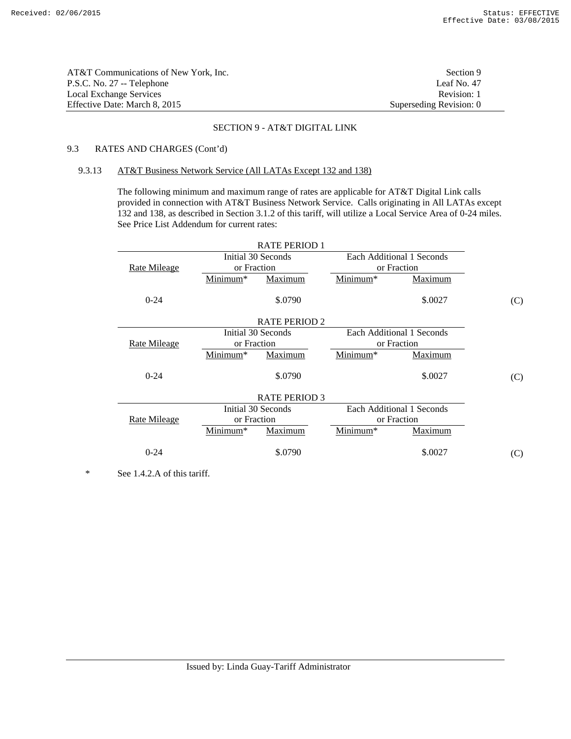| AT&T Communications of New York, Inc. | Section 9               |
|---------------------------------------|-------------------------|
| P.S.C. No. 27 -- Telephone            | Leaf No. 47             |
| Local Exchange Services               | Revision: 1             |
| Effective Date: March 8, 2015         | Superseding Revision: 0 |

# 9.3 RATES AND CHARGES (Cont'd)

# 9.3.13 AT&T Business Network Service (All LATAs Except 132 and 138)

 The following minimum and maximum range of rates are applicable for AT&T Digital Link calls provided in connection with AT&T Business Network Service. Calls originating in All LATAs except 132 and 138, as described in Section 3.1.2 of this tariff, will utilize a Local Service Area of 0-24 miles. See Price List Addendum for current rates:

|                     |             | <b>RATE PERIOD 1</b> |          |                           |     |
|---------------------|-------------|----------------------|----------|---------------------------|-----|
|                     |             | Initial 30 Seconds   |          | Each Additional 1 Seconds |     |
| Rate Mileage        | or Fraction |                      |          | or Fraction               |     |
|                     | Minimum*    | Maximum              | Minimum* | Maximum                   |     |
| $0 - 24$            |             | \$.0790              |          | \$.0027                   | (C) |
|                     |             | <b>RATE PERIOD 2</b> |          |                           |     |
|                     |             | Initial 30 Seconds   |          | Each Additional 1 Seconds |     |
| <b>Rate Mileage</b> | or Fraction |                      |          | or Fraction               |     |
|                     | Minimum*    | Maximum              | Minimum* | Maximum                   |     |
| $0 - 24$            |             | \$.0790              |          | \$.0027                   | (C) |
|                     |             | <b>RATE PERIOD 3</b> |          |                           |     |
|                     |             | Initial 30 Seconds   |          | Each Additional 1 Seconds |     |
| Rate Mileage        | or Fraction |                      |          | or Fraction               |     |
|                     | Minimum*    | Maximum              | Minimum* | Maximum                   |     |
| $0 - 24$            |             | \$.0790              |          | \$.0027                   | (C) |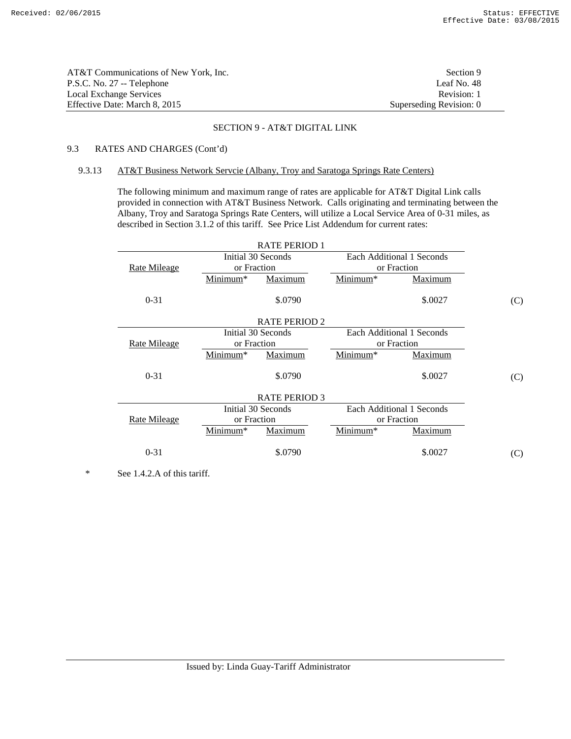| AT&T Communications of New York. Inc. | Section 9               |
|---------------------------------------|-------------------------|
| P.S.C. No. 27 -- Telephone            | Leaf No. 48             |
| Local Exchange Services               | Revision: 1             |
| Effective Date: March 8, 2015         | Superseding Revision: 0 |

# 9.3 RATES AND CHARGES (Cont'd)

### 9.3.13 AT&T Business Network Servcie (Albany, Troy and Saratoga Springs Rate Centers)

 The following minimum and maximum range of rates are applicable for AT&T Digital Link calls provided in connection with AT&T Business Network. Calls originating and terminating between the Albany, Troy and Saratoga Springs Rate Centers, will utilize a Local Service Area of 0-31 miles, as described in Section 3.1.2 of this tariff. See Price List Addendum for current rates:

|                     |             | <b>RATE PERIOD 1</b> |          |                           |     |
|---------------------|-------------|----------------------|----------|---------------------------|-----|
|                     |             | Initial 30 Seconds   |          | Each Additional 1 Seconds |     |
| Rate Mileage        | or Fraction |                      |          | or Fraction               |     |
|                     | Minimum*    | Maximum              | Minimum* | Maximum                   |     |
| $0 - 31$            |             | \$.0790              |          | \$.0027                   | (C) |
|                     |             | <b>RATE PERIOD 2</b> |          |                           |     |
|                     |             | Initial 30 Seconds   |          | Each Additional 1 Seconds |     |
| <b>Rate Mileage</b> | or Fraction |                      |          | or Fraction               |     |
|                     | Minimum*    | Maximum              | Minimum* | Maximum                   |     |
| $0 - 31$            |             | \$.0790              |          | \$.0027                   | (C) |
|                     |             | <b>RATE PERIOD 3</b> |          |                           |     |
|                     |             | Initial 30 Seconds   |          | Each Additional 1 Seconds |     |
| <b>Rate Mileage</b> | or Fraction |                      |          | or Fraction               |     |
|                     | Minimum*    | Maximum              | Minimum* | Maximum                   |     |
| $0 - 31$            |             | \$.0790              |          | \$.0027                   | (C) |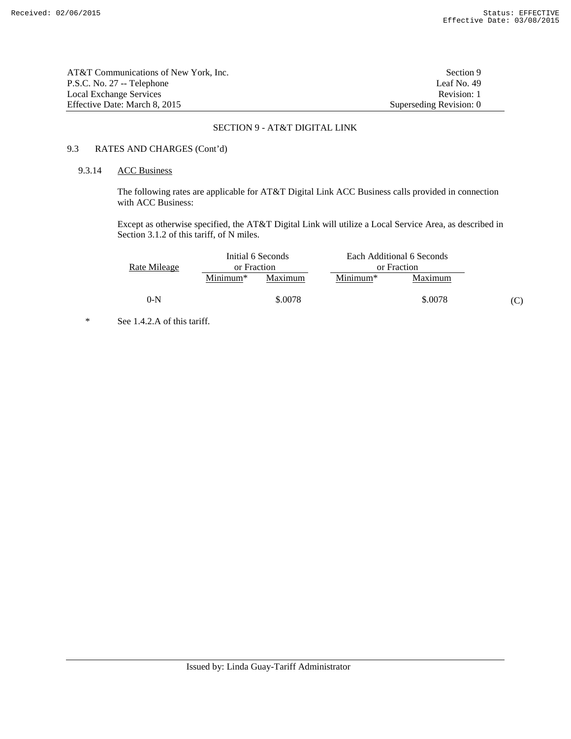| AT&T Communications of New York. Inc. | Section 9               |
|---------------------------------------|-------------------------|
| P.S.C. No. 27 -- Telephone            | Leaf No. 49             |
| Local Exchange Services               | Revision: 1             |
| Effective Date: March 8, 2015         | Superseding Revision: 0 |

# 9.3 RATES AND CHARGES (Cont'd)

# 9.3.14 ACC Business

 The following rates are applicable for AT&T Digital Link ACC Business calls provided in connection with ACC Business:

 Except as otherwise specified, the AT&T Digital Link will utilize a Local Service Area, as described in Section 3.1.2 of this tariff, of N miles.

|              |             | Initial 6 Seconds |             | Each Additional 6 Seconds |  |
|--------------|-------------|-------------------|-------------|---------------------------|--|
| Rate Mileage | or Fraction |                   | or Fraction |                           |  |
|              | $Minimum*$  | Maximum           | $Minimum*$  | Maximum                   |  |
| $0-N$        |             | \$,0078           |             | \$.0078                   |  |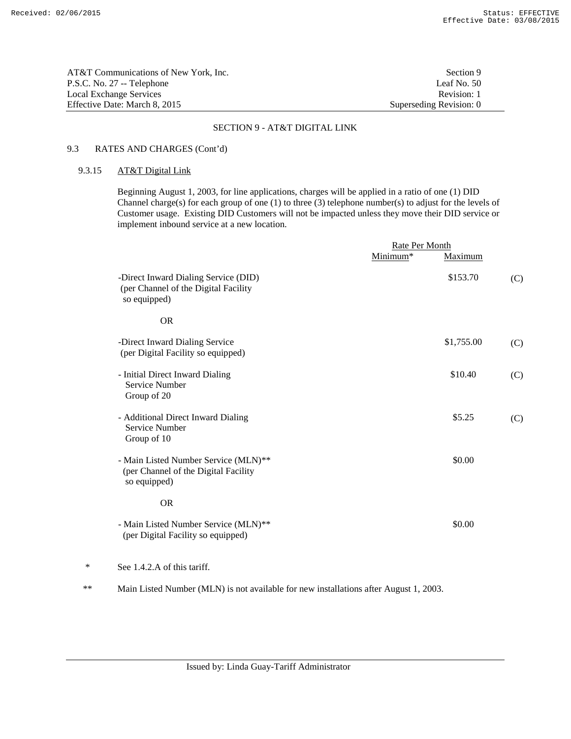| AT&T Communications of New York, Inc. | Section 9               |
|---------------------------------------|-------------------------|
| P.S.C. No. 27 -- Telephone            | Leaf No. $50$           |
| Local Exchange Services               | Revision: 1             |
| Effective Date: March 8, 2015         | Superseding Revision: 0 |

# 9.3 RATES AND CHARGES (Cont'd)

# 9.3.15 AT&T Digital Link

 Beginning August 1, 2003, for line applications, charges will be applied in a ratio of one (1) DID Channel charge(s) for each group of one (1) to three (3) telephone number(s) to adjust for the levels of Customer usage. Existing DID Customers will not be impacted unless they move their DID service or implement inbound service at a new location.

|   |                                                                                              | Rate Per Month |            |     |
|---|----------------------------------------------------------------------------------------------|----------------|------------|-----|
|   |                                                                                              | Minimum*       | Maximum    |     |
|   | -Direct Inward Dialing Service (DID)<br>(per Channel of the Digital Facility<br>so equipped) |                | \$153.70   | (C) |
|   | <b>OR</b>                                                                                    |                |            |     |
|   | -Direct Inward Dialing Service<br>(per Digital Facility so equipped)                         |                | \$1,755.00 | (C) |
|   | - Initial Direct Inward Dialing<br>Service Number<br>Group of 20                             |                | \$10.40    | (C) |
|   | - Additional Direct Inward Dialing<br>Service Number<br>Group of 10                          |                | \$5.25     | (C) |
|   | - Main Listed Number Service (MLN)**<br>(per Channel of the Digital Facility<br>so equipped) |                | \$0.00     |     |
|   | <b>OR</b>                                                                                    |                |            |     |
|   | - Main Listed Number Service (MLN)**<br>(per Digital Facility so equipped)                   |                | \$0.00     |     |
| ∗ | See 1.4.2.A of this tariff.                                                                  |                |            |     |

\*\* Main Listed Number (MLN) is not available for new installations after August 1, 2003.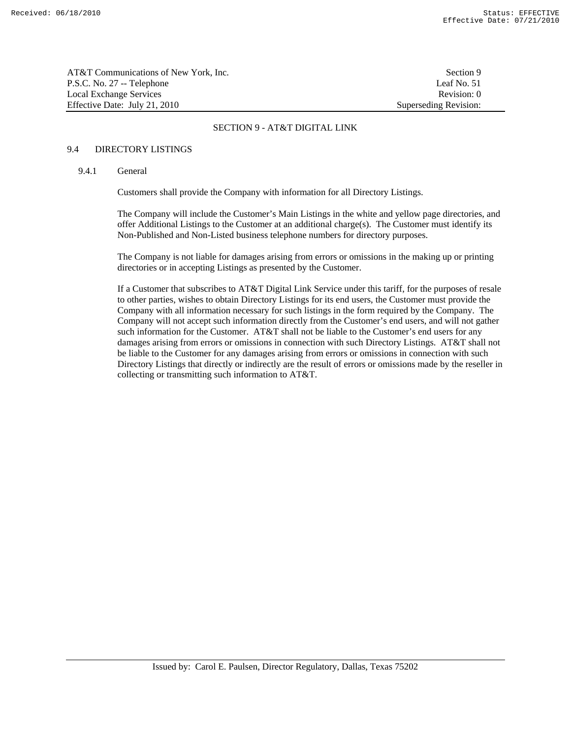| AT&T Communications of New York, Inc. | Section 9             |
|---------------------------------------|-----------------------|
| P.S.C. No. 27 -- Telephone            | Leaf No. 51           |
| Local Exchange Services               | Revision: 0           |
| Effective Date: July 21, 2010         | Superseding Revision: |

### 9.4 DIRECTORY LISTINGS

### 9.4.1 General

Customers shall provide the Company with information for all Directory Listings.

 The Company will include the Customer's Main Listings in the white and yellow page directories, and offer Additional Listings to the Customer at an additional charge(s). The Customer must identify its Non-Published and Non-Listed business telephone numbers for directory purposes.

 The Company is not liable for damages arising from errors or omissions in the making up or printing directories or in accepting Listings as presented by the Customer.

 If a Customer that subscribes to AT&T Digital Link Service under this tariff, for the purposes of resale to other parties, wishes to obtain Directory Listings for its end users, the Customer must provide the Company with all information necessary for such listings in the form required by the Company. The Company will not accept such information directly from the Customer's end users, and will not gather such information for the Customer. AT&T shall not be liable to the Customer's end users for any damages arising from errors or omissions in connection with such Directory Listings. AT&T shall not be liable to the Customer for any damages arising from errors or omissions in connection with such Directory Listings that directly or indirectly are the result of errors or omissions made by the reseller in collecting or transmitting such information to AT&T.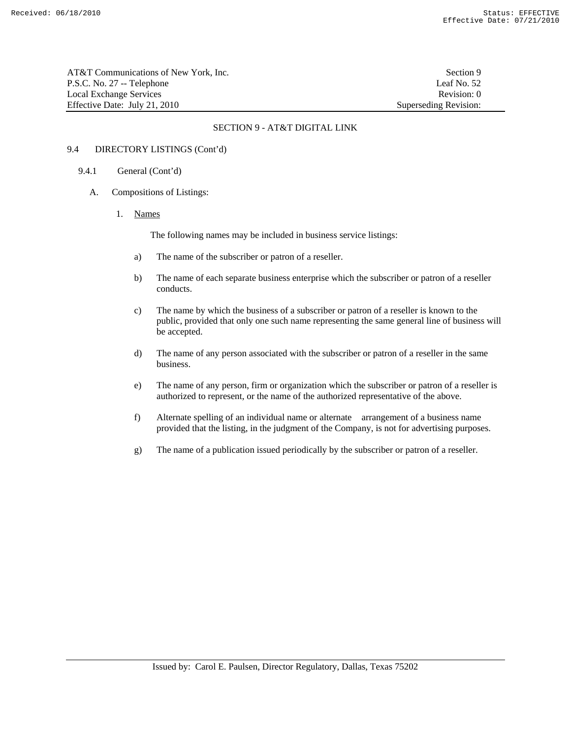AT&T Communications of New York, Inc. Section 9 P.S.C. No. 27 -- Telephone Leaf No. 52 Local Exchange Services **Revision:** 0 Effective Date: July 21, 2010 Superseding Revision:

#### SECTION 9 - AT&T DIGITAL LINK

# 9.4 DIRECTORY LISTINGS (Cont'd)

#### 9.4.1 General (Cont'd)

- A. Compositions of Listings:
	- 1. Names

The following names may be included in business service listings:

- a) The name of the subscriber or patron of a reseller.
- b) The name of each separate business enterprise which the subscriber or patron of a reseller conducts.
- c) The name by which the business of a subscriber or patron of a reseller is known to the public, provided that only one such name representing the same general line of business will be accepted.
- d) The name of any person associated with the subscriber or patron of a reseller in the same business.
- e) The name of any person, firm or organization which the subscriber or patron of a reseller is authorized to represent, or the name of the authorized representative of the above.
- f) Alternate spelling of an individual name or alternate arrangement of a business name provided that the listing, in the judgment of the Company, is not for advertising purposes.
- g) The name of a publication issued periodically by the subscriber or patron of a reseller.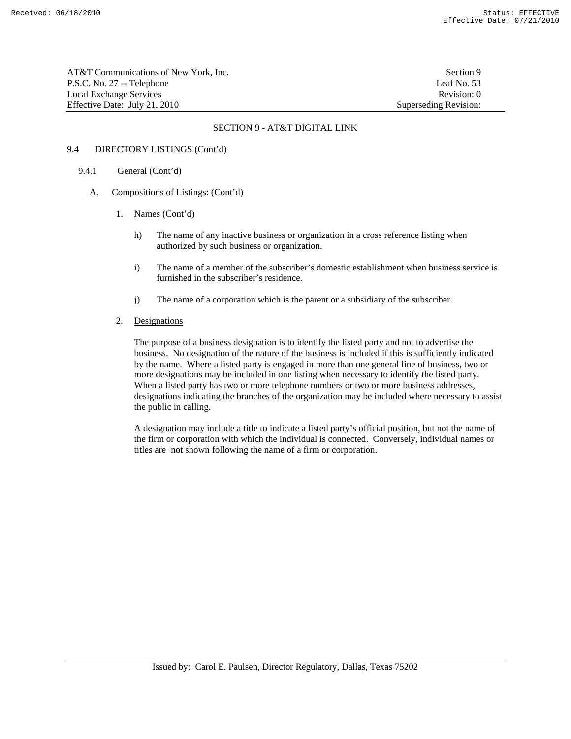AT&T Communications of New York, Inc. Section 9 P.S.C. No. 27 -- Telephone Leaf No. 53 Local Exchange Services **Revision:** 0 Effective Date: July 21, 2010 Superseding Revision:

### SECTION 9 - AT&T DIGITAL LINK

# 9.4 DIRECTORY LISTINGS (Cont'd)

- 9.4.1 General (Cont'd)
	- A. Compositions of Listings: (Cont'd)
		- 1. Names (Cont'd)
			- h) The name of any inactive business or organization in a cross reference listing when authorized by such business or organization.
			- i) The name of a member of the subscriber's domestic establishment when business service is furnished in the subscriber's residence.
			- j) The name of a corporation which is the parent or a subsidiary of the subscriber.
		- 2. Designations

 The purpose of a business designation is to identify the listed party and not to advertise the business. No designation of the nature of the business is included if this is sufficiently indicated by the name. Where a listed party is engaged in more than one general line of business, two or more designations may be included in one listing when necessary to identify the listed party. When a listed party has two or more telephone numbers or two or more business addresses, designations indicating the branches of the organization may be included where necessary to assist the public in calling.

 A designation may include a title to indicate a listed party's official position, but not the name of the firm or corporation with which the individual is connected. Conversely, individual names or titles are not shown following the name of a firm or corporation.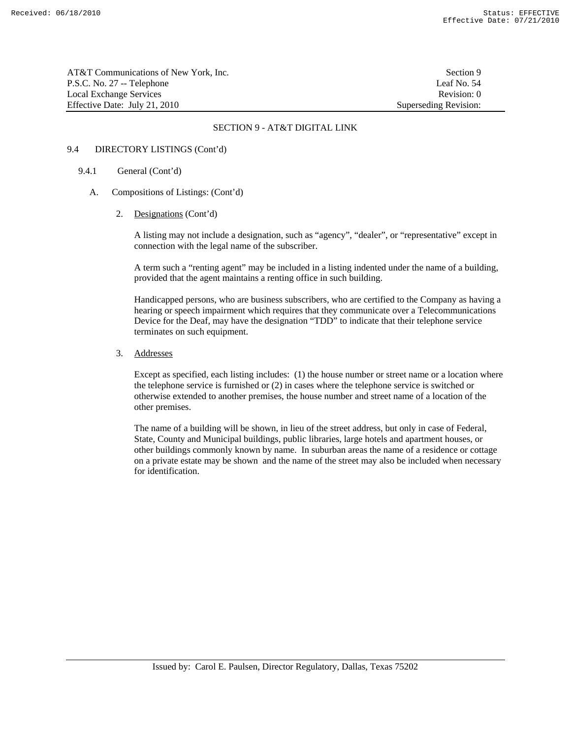AT&T Communications of New York, Inc. Section 9 P.S.C. No. 27 -- Telephone Leaf No. 54 Local Exchange Services **Revision:** 0 Effective Date: July 21, 2010 Superseding Revision:

### SECTION 9 - AT&T DIGITAL LINK

## 9.4 DIRECTORY LISTINGS (Cont'd)

### 9.4.1 General (Cont'd)

- A. Compositions of Listings: (Cont'd)
	- 2. Designations (Cont'd)

 A listing may not include a designation, such as "agency", "dealer", or "representative" except in connection with the legal name of the subscriber.

 A term such a "renting agent" may be included in a listing indented under the name of a building, provided that the agent maintains a renting office in such building.

 Handicapped persons, who are business subscribers, who are certified to the Company as having a hearing or speech impairment which requires that they communicate over a Telecommunications Device for the Deaf, may have the designation "TDD" to indicate that their telephone service terminates on such equipment.

3. Addresses

 Except as specified, each listing includes: (1) the house number or street name or a location where the telephone service is furnished or (2) in cases where the telephone service is switched or otherwise extended to another premises, the house number and street name of a location of the other premises.

 The name of a building will be shown, in lieu of the street address, but only in case of Federal, State, County and Municipal buildings, public libraries, large hotels and apartment houses, or other buildings commonly known by name. In suburban areas the name of a residence or cottage on a private estate may be shown and the name of the street may also be included when necessary for identification.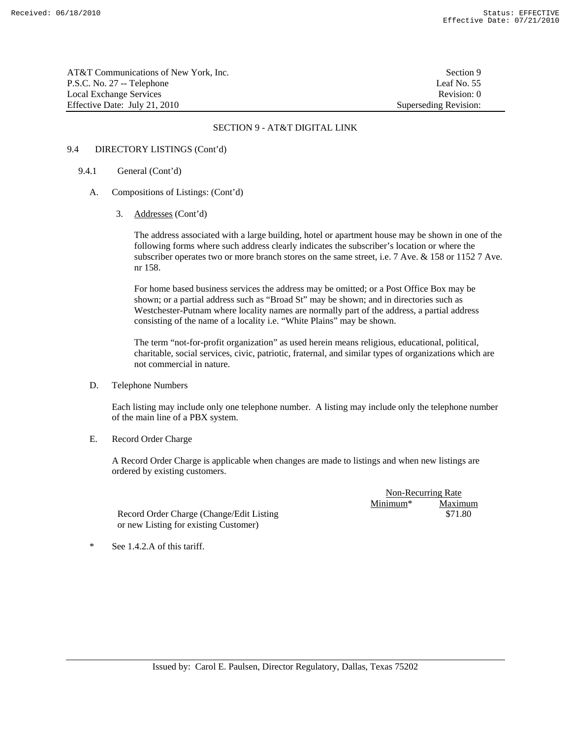AT&T Communications of New York, Inc. Section 9 P.S.C. No. 27 -- Telephone Leaf No. 55 Local Exchange Services **Revision:** 0 Effective Date: July 21, 2010 Superseding Revision:

### SECTION 9 - AT&T DIGITAL LINK

#### 9.4 DIRECTORY LISTINGS (Cont'd)

### 9.4.1 General (Cont'd)

- A. Compositions of Listings: (Cont'd)
	- 3. Addresses (Cont'd)

 The address associated with a large building, hotel or apartment house may be shown in one of the following forms where such address clearly indicates the subscriber's location or where the subscriber operates two or more branch stores on the same street, i.e. 7 Ave. & 158 or 1152 7 Ave. nr 158.

 For home based business services the address may be omitted; or a Post Office Box may be shown; or a partial address such as "Broad St" may be shown; and in directories such as Westchester-Putnam where locality names are normally part of the address, a partial address consisting of the name of a locality i.e. "White Plains" may be shown.

 The term "not-for-profit organization" as used herein means religious, educational, political, charitable, social services, civic, patriotic, fraternal, and similar types of organizations which are not commercial in nature.

D. Telephone Numbers

 Each listing may include only one telephone number. A listing may include only the telephone number of the main line of a PBX system.

E. Record Order Charge

 A Record Order Charge is applicable when changes are made to listings and when new listings are ordered by existing customers.

> Non-Recurring Rate Minimum\* Maximum \$71.80

Record Order Charge (Change/Edit Listing or new Listing for existing Customer)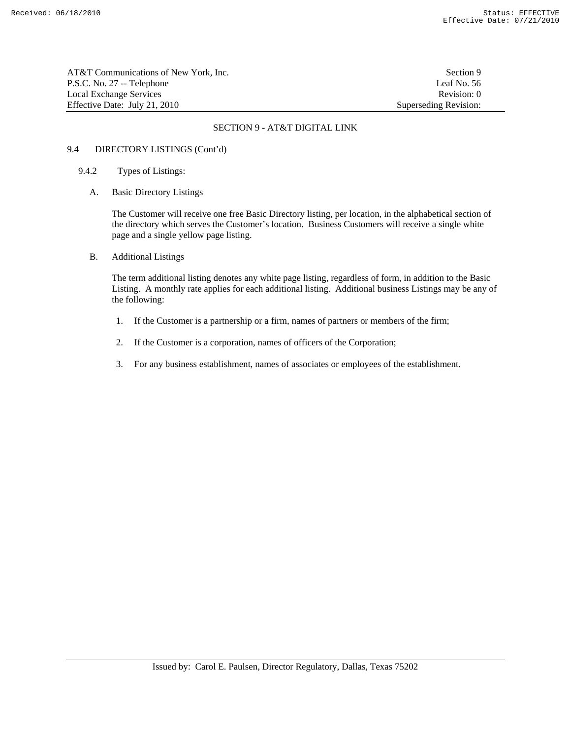AT&T Communications of New York, Inc. Section 9 P.S.C. No. 27 -- Telephone Leaf No. 56 Local Exchange Services **Revision:** 0 Effective Date: July 21, 2010 Superseding Revision:

## SECTION 9 - AT&T DIGITAL LINK

# 9.4 DIRECTORY LISTINGS (Cont'd)

- 9.4.2 Types of Listings:
	- A. Basic Directory Listings

 The Customer will receive one free Basic Directory listing, per location, in the alphabetical section of the directory which serves the Customer's location. Business Customers will receive a single white page and a single yellow page listing.

B. Additional Listings

 The term additional listing denotes any white page listing, regardless of form, in addition to the Basic Listing. A monthly rate applies for each additional listing. Additional business Listings may be any of the following:

- 1. If the Customer is a partnership or a firm, names of partners or members of the firm;
- 2. If the Customer is a corporation, names of officers of the Corporation;
- 3. For any business establishment, names of associates or employees of the establishment.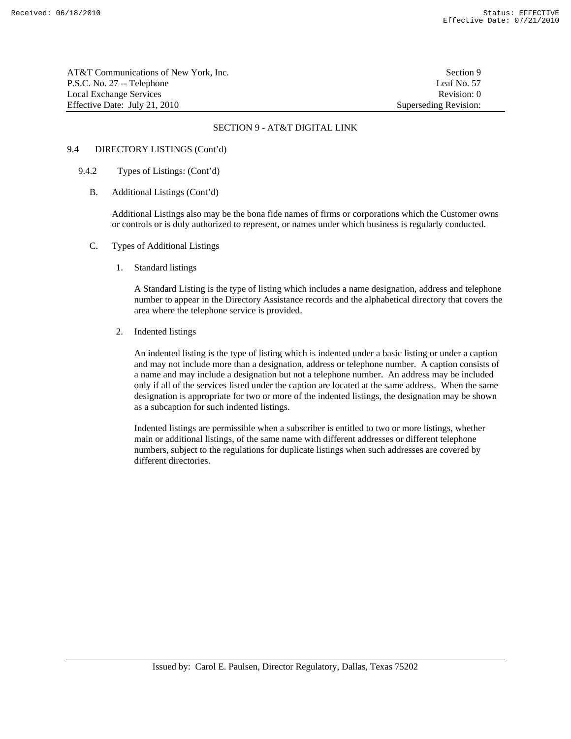AT&T Communications of New York, Inc. Section 9 P.S.C. No. 27 -- Telephone Leaf No. 57<br>
Local Exchange Services Revision: 0 Local Exchange Services Effective Date: July 21, 2010 Superseding Revision:

### SECTION 9 - AT&T DIGITAL LINK

# 9.4 DIRECTORY LISTINGS (Cont'd)

- 9.4.2 Types of Listings: (Cont'd)
	- B. Additional Listings (Cont'd)

 Additional Listings also may be the bona fide names of firms or corporations which the Customer owns or controls or is duly authorized to represent, or names under which business is regularly conducted.

- C. Types of Additional Listings
	- 1. Standard listings

 A Standard Listing is the type of listing which includes a name designation, address and telephone number to appear in the Directory Assistance records and the alphabetical directory that covers the area where the telephone service is provided.

2. Indented listings

 An indented listing is the type of listing which is indented under a basic listing or under a caption and may not include more than a designation, address or telephone number. A caption consists of a name and may include a designation but not a telephone number. An address may be included only if all of the services listed under the caption are located at the same address. When the same designation is appropriate for two or more of the indented listings, the designation may be shown as a subcaption for such indented listings.

 Indented listings are permissible when a subscriber is entitled to two or more listings, whether main or additional listings, of the same name with different addresses or different telephone numbers, subject to the regulations for duplicate listings when such addresses are covered by different directories.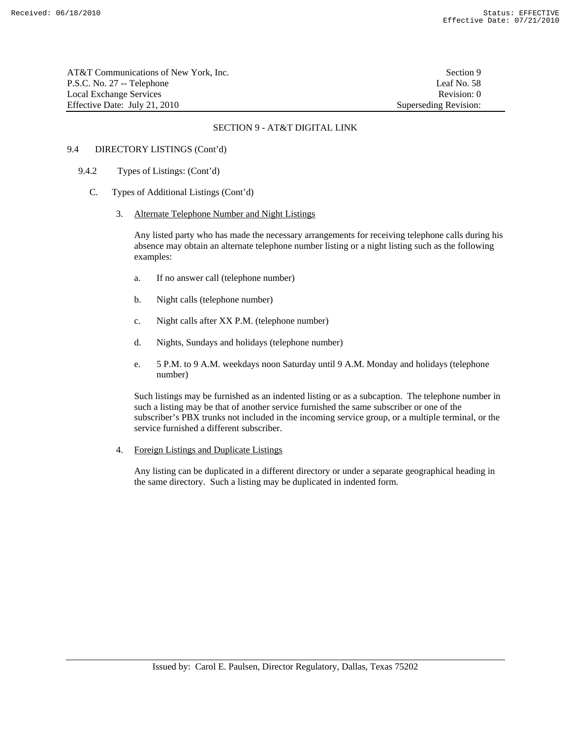| AT&T Communications of New York. Inc. | Section 9             |
|---------------------------------------|-----------------------|
| P.S.C. No. 27 -- Telephone            | Leaf No. 58           |
| Local Exchange Services               | Revision: 0           |
| Effective Date: July 21, 2010         | Superseding Revision: |

### 9.4 DIRECTORY LISTINGS (Cont'd)

- 9.4.2 Types of Listings: (Cont'd)
	- C. Types of Additional Listings (Cont'd)
		- 3. Alternate Telephone Number and Night Listings

 Any listed party who has made the necessary arrangements for receiving telephone calls during his absence may obtain an alternate telephone number listing or a night listing such as the following examples:

- a. If no answer call (telephone number)
- b. Night calls (telephone number)
- c. Night calls after XX P.M. (telephone number)
- d. Nights, Sundays and holidays (telephone number)
- e. 5 P.M. to 9 A.M. weekdays noon Saturday until 9 A.M. Monday and holidays (telephone number)

 Such listings may be furnished as an indented listing or as a subcaption. The telephone number in such a listing may be that of another service furnished the same subscriber or one of the subscriber's PBX trunks not included in the incoming service group, or a multiple terminal, or the service furnished a different subscriber.

4. Foreign Listings and Duplicate Listings

 Any listing can be duplicated in a different directory or under a separate geographical heading in the same directory. Such a listing may be duplicated in indented form.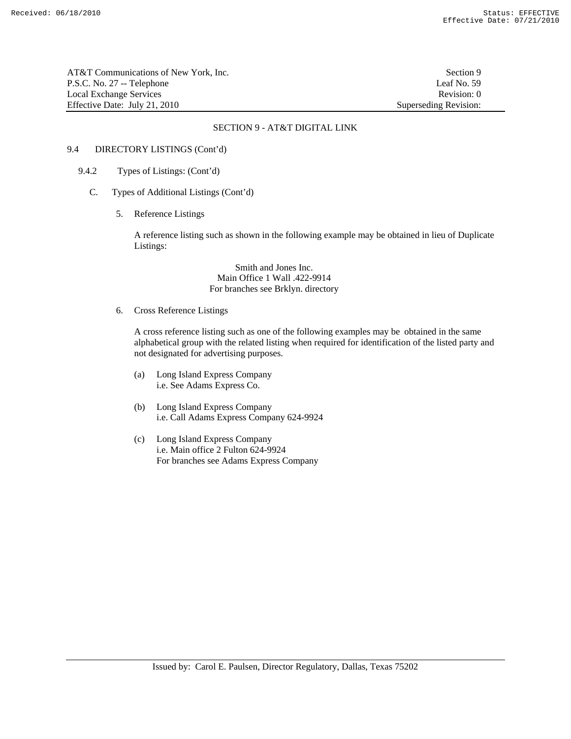AT&T Communications of New York, Inc. Section 9 P.S.C. No. 27 -- Telephone Leaf No. 59 Local Exchange Services **Revision:** 0 Effective Date: July 21, 2010 Superseding Revision:

### SECTION 9 - AT&T DIGITAL LINK

# 9.4 DIRECTORY LISTINGS (Cont'd)

- 9.4.2 Types of Listings: (Cont'd)
	- C. Types of Additional Listings (Cont'd)
		- 5. Reference Listings

 A reference listing such as shown in the following example may be obtained in lieu of Duplicate Listings:

> Smith and Jones Inc. Main Office 1 Wall .422-9914 For branches see Brklyn. directory

6. Cross Reference Listings

 A cross reference listing such as one of the following examples may be obtained in the same alphabetical group with the related listing when required for identification of the listed party and not designated for advertising purposes.

- (a) Long Island Express Company i.e. See Adams Express Co.
- (b) Long Island Express Company i.e. Call Adams Express Company 624-9924
- (c) Long Island Express Company i.e. Main office 2 Fulton 624-9924 For branches see Adams Express Company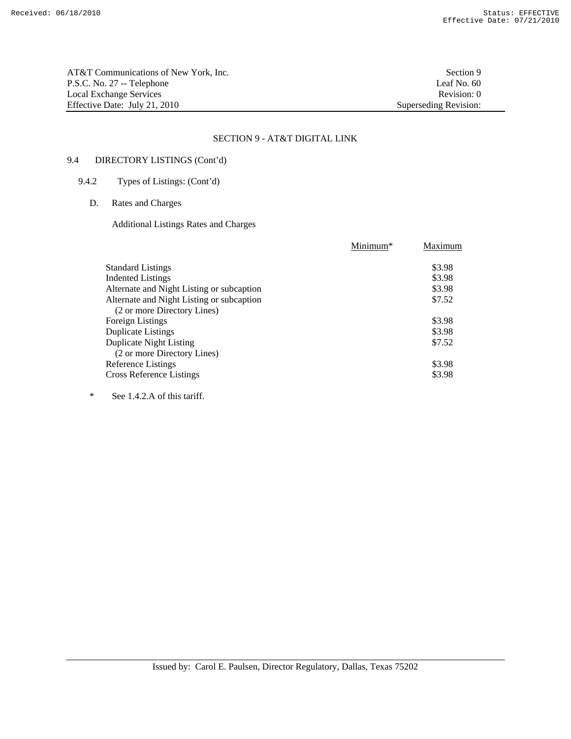AT&T Communications of New York, Inc. Section 9 P.S.C. No. 27 -- Telephone Leaf No. 60 Local Exchange Services<br>
Effective Date: July 21, 2010<br>
Superseding Revision: 0<br>
Superseding Revision: 0 Effective Date: July 21, 2010

# SECTION 9 - AT&T DIGITAL LINK

# 9.4 DIRECTORY LISTINGS (Cont'd)

# 9.4.2 Types of Listings: (Cont'd)

D. Rates and Charges

Additional Listings Rates and Charges

|                                           | Minimum* | Maximum |
|-------------------------------------------|----------|---------|
| <b>Standard Listings</b>                  |          | \$3.98  |
| <b>Indented Listings</b>                  |          | \$3.98  |
| Alternate and Night Listing or subcaption |          | \$3.98  |
| Alternate and Night Listing or subcaption |          | \$7.52  |
| (2 or more Directory Lines)               |          |         |
| Foreign Listings                          |          | \$3.98  |
| <b>Duplicate Listings</b>                 |          | \$3.98  |
| <b>Duplicate Night Listing</b>            |          | \$7.52  |
| (2 or more Directory Lines)               |          |         |
| Reference Listings                        |          | \$3.98  |
| Cross Reference Listings                  |          | \$3.98  |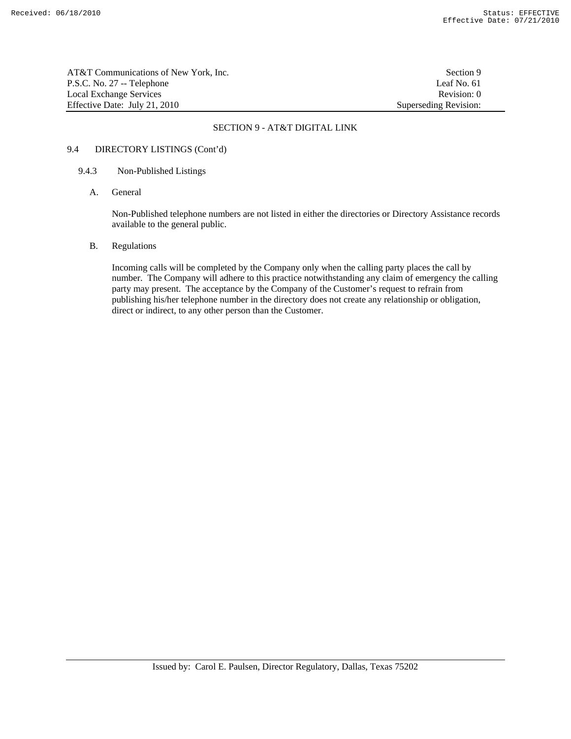AT&T Communications of New York, Inc. Section 9 P.S.C. No. 27 -- Telephone Leaf No. 61 Local Exchange Services **Revision:** 0 Effective Date: July 21, 2010 Superseding Revision:

### SECTION 9 - AT&T DIGITAL LINK

# 9.4 DIRECTORY LISTINGS (Cont'd)

#### 9.4.3 Non-Published Listings

A. General

 Non-Published telephone numbers are not listed in either the directories or Directory Assistance records available to the general public.

### B. Regulations

 Incoming calls will be completed by the Company only when the calling party places the call by number. The Company will adhere to this practice notwithstanding any claim of emergency the calling party may present. The acceptance by the Company of the Customer's request to refrain from publishing his/her telephone number in the directory does not create any relationship or obligation, direct or indirect, to any other person than the Customer.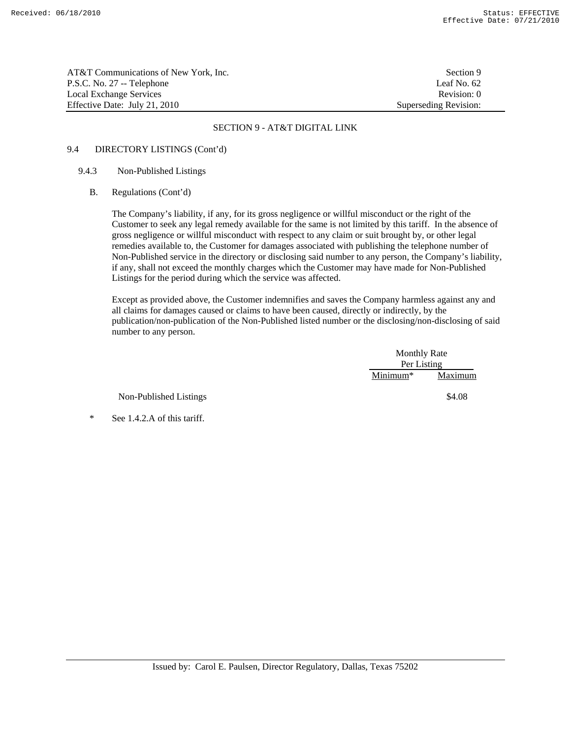AT&T Communications of New York, Inc. Section 9 P.S.C. No. 27 -- Telephone Leaf No. 62 Local Exchange Services **Revision:** 0 Effective Date: July 21, 2010 Superseding Revision:

### SECTION 9 - AT&T DIGITAL LINK

# 9.4 DIRECTORY LISTINGS (Cont'd)

## 9.4.3 Non-Published Listings

B. Regulations (Cont'd)

 The Company's liability, if any, for its gross negligence or willful misconduct or the right of the Customer to seek any legal remedy available for the same is not limited by this tariff. In the absence of gross negligence or willful misconduct with respect to any claim or suit brought by, or other legal remedies available to, the Customer for damages associated with publishing the telephone number of Non-Published service in the directory or disclosing said number to any person, the Company's liability, if any, shall not exceed the monthly charges which the Customer may have made for Non-Published Listings for the period during which the service was affected.

 Except as provided above, the Customer indemnifies and saves the Company harmless against any and all claims for damages caused or claims to have been caused, directly or indirectly, by the publication/non-publication of the Non-Published listed number or the disclosing/non-disclosing of said number to any person.

|                        |            | <b>Monthly Rate</b><br>Per Listing |  |
|------------------------|------------|------------------------------------|--|
|                        |            |                                    |  |
|                        | $Minimum*$ | Maximum                            |  |
| Non-Published Listings |            | \$4.08                             |  |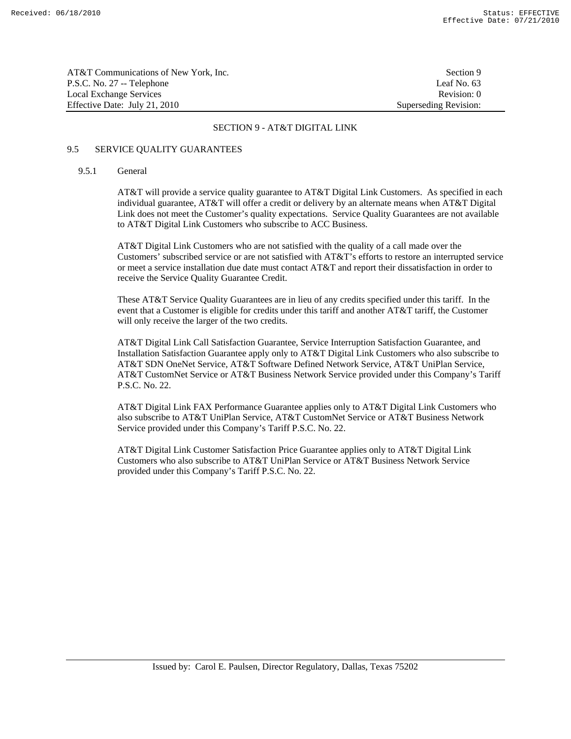| AT&T Communications of New York, Inc. | Section 9             |
|---------------------------------------|-----------------------|
| P.S.C. No. 27 -- Telephone            | Leaf No. 63           |
| Local Exchange Services               | Revision: 0           |
| Effective Date: July 21, 2010         | Superseding Revision: |

### 9.5 SERVICE QUALITY GUARANTEES

#### 9.5.1 General

 AT&T will provide a service quality guarantee to AT&T Digital Link Customers. As specified in each individual guarantee, AT&T will offer a credit or delivery by an alternate means when AT&T Digital Link does not meet the Customer's quality expectations. Service Quality Guarantees are not available to AT&T Digital Link Customers who subscribe to ACC Business.

 AT&T Digital Link Customers who are not satisfied with the quality of a call made over the Customers' subscribed service or are not satisfied with AT&T's efforts to restore an interrupted service or meet a service installation due date must contact AT&T and report their dissatisfaction in order to receive the Service Quality Guarantee Credit.

 These AT&T Service Quality Guarantees are in lieu of any credits specified under this tariff. In the event that a Customer is eligible for credits under this tariff and another AT&T tariff, the Customer will only receive the larger of the two credits.

 AT&T Digital Link Call Satisfaction Guarantee, Service Interruption Satisfaction Guarantee, and Installation Satisfaction Guarantee apply only to AT&T Digital Link Customers who also subscribe to AT&T SDN OneNet Service, AT&T Software Defined Network Service, AT&T UniPlan Service, AT&T CustomNet Service or AT&T Business Network Service provided under this Company's Tariff P.S.C. No. 22.

 AT&T Digital Link FAX Performance Guarantee applies only to AT&T Digital Link Customers who also subscribe to AT&T UniPlan Service, AT&T CustomNet Service or AT&T Business Network Service provided under this Company's Tariff P.S.C. No. 22.

 AT&T Digital Link Customer Satisfaction Price Guarantee applies only to AT&T Digital Link Customers who also subscribe to AT&T UniPlan Service or AT&T Business Network Service provided under this Company's Tariff P.S.C. No. 22.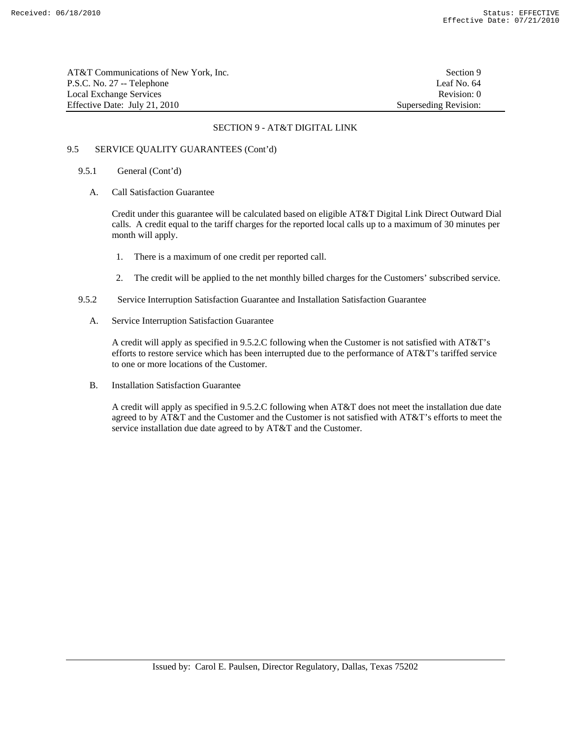AT&T Communications of New York, Inc. Section 9 P.S.C. No. 27 -- Telephone Leaf No. 64 Local Exchange Services **Revision:** 0 Effective Date: July 21, 2010 Superseding Revision:

## SECTION 9 - AT&T DIGITAL LINK

# 9.5 SERVICE QUALITY GUARANTEES (Cont'd)

### 9.5.1 General (Cont'd)

A. Call Satisfaction Guarantee

 Credit under this guarantee will be calculated based on eligible AT&T Digital Link Direct Outward Dial calls. A credit equal to the tariff charges for the reported local calls up to a maximum of 30 minutes per month will apply.

- 1. There is a maximum of one credit per reported call.
- 2. The credit will be applied to the net monthly billed charges for the Customers' subscribed service.
- 9.5.2 Service Interruption Satisfaction Guarantee and Installation Satisfaction Guarantee
	- A. Service Interruption Satisfaction Guarantee

 A credit will apply as specified in 9.5.2.C following when the Customer is not satisfied with AT&T's efforts to restore service which has been interrupted due to the performance of AT&T's tariffed service to one or more locations of the Customer.

B. Installation Satisfaction Guarantee

 A credit will apply as specified in 9.5.2.C following when AT&T does not meet the installation due date agreed to by AT&T and the Customer and the Customer is not satisfied with AT&T's efforts to meet the service installation due date agreed to by AT&T and the Customer.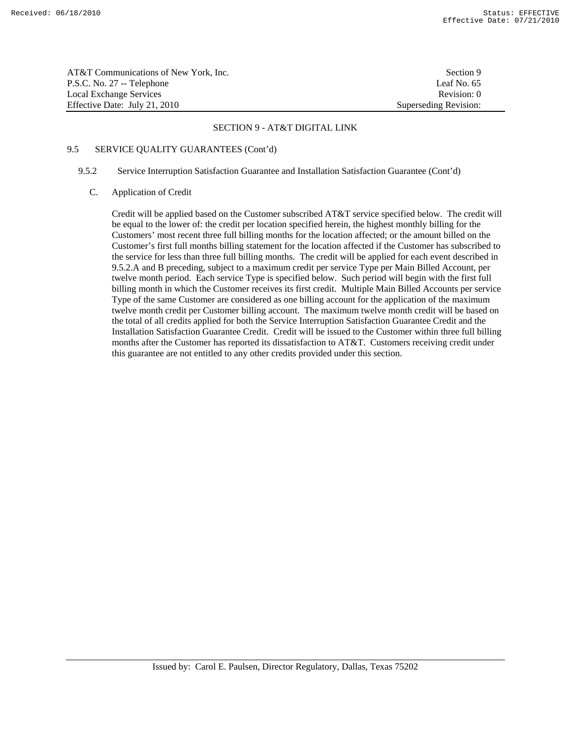| AT&T Communications of New York, Inc. | Section 9             |
|---------------------------------------|-----------------------|
| P.S.C. No. 27 -- Telephone            | Leaf No. 65           |
| Local Exchange Services               | Revision: 0           |
| Effective Date: July 21, 2010         | Superseding Revision: |

### 9.5 SERVICE QUALITY GUARANTEES (Cont'd)

#### 9.5.2 Service Interruption Satisfaction Guarantee and Installation Satisfaction Guarantee (Cont'd)

C. Application of Credit

 Credit will be applied based on the Customer subscribed AT&T service specified below. The credit will be equal to the lower of: the credit per location specified herein, the highest monthly billing for the Customers' most recent three full billing months for the location affected; or the amount billed on the Customer's first full months billing statement for the location affected if the Customer has subscribed to the service for less than three full billing months. The credit will be applied for each event described in 9.5.2.A and B preceding, subject to a maximum credit per service Type per Main Billed Account, per twelve month period. Each service Type is specified below. Such period will begin with the first full billing month in which the Customer receives its first credit. Multiple Main Billed Accounts per service Type of the same Customer are considered as one billing account for the application of the maximum twelve month credit per Customer billing account. The maximum twelve month credit will be based on the total of all credits applied for both the Service Interruption Satisfaction Guarantee Credit and the Installation Satisfaction Guarantee Credit. Credit will be issued to the Customer within three full billing months after the Customer has reported its dissatisfaction to AT&T. Customers receiving credit under this guarantee are not entitled to any other credits provided under this section.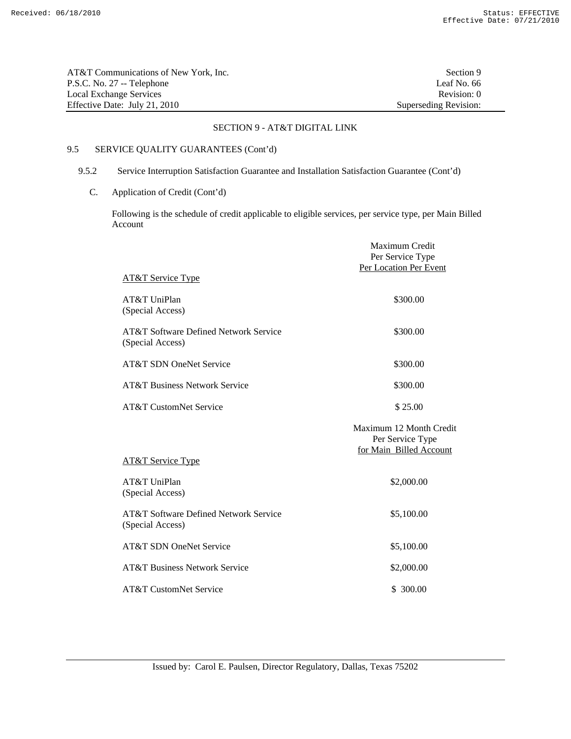| AT&T Communications of New York. Inc. | Section 9             |
|---------------------------------------|-----------------------|
| P.S.C. No. 27 -- Telephone            | Leaf No. 66           |
| Local Exchange Services               | Revision: 0           |
| Effective Date: July 21, 2010         | Superseding Revision: |

# 9.5 SERVICE QUALITY GUARANTEES (Cont'd)

# 9.5.2 Service Interruption Satisfaction Guarantee and Installation Satisfaction Guarantee (Cont'd)

C. Application of Credit (Cont'd)

 Following is the schedule of credit applicable to eligible services, per service type, per Main Billed Account

|                                                           | Maximum Credit<br>Per Service Type<br>Per Location Per Event           |
|-----------------------------------------------------------|------------------------------------------------------------------------|
| <b>AT&amp;T Service Type</b>                              |                                                                        |
| AT&T UniPlan<br>(Special Access)                          | \$300.00                                                               |
| AT&T Software Defined Network Service<br>(Special Access) | \$300.00                                                               |
| <b>AT&amp;T SDN OneNet Service</b>                        | \$300.00                                                               |
| <b>AT&amp;T Business Network Service</b>                  | \$300.00                                                               |
| <b>AT&amp;T CustomNet Service</b>                         | \$25.00                                                                |
|                                                           | Maximum 12 Month Credit<br>Per Service Type<br>for Main Billed Account |
| <b>AT&amp;T Service Type</b>                              |                                                                        |
| AT&T UniPlan<br>(Special Access)                          | \$2,000.00                                                             |
| AT&T Software Defined Network Service<br>(Special Access) | \$5,100.00                                                             |
| <b>AT&amp;T SDN OneNet Service</b>                        | \$5,100.00                                                             |
| <b>AT&amp;T Business Network Service</b>                  | \$2,000.00                                                             |
| <b>AT&amp;T CustomNet Service</b>                         | \$ 300.00                                                              |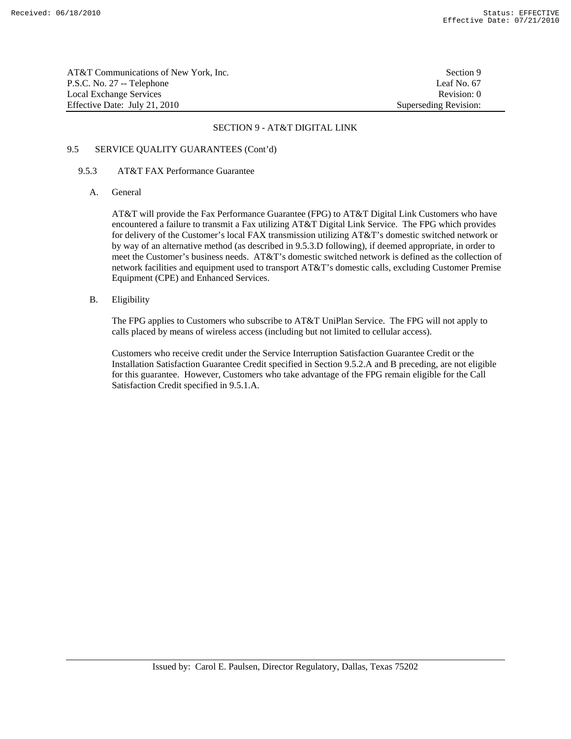AT&T Communications of New York, Inc. Section 9 P.S.C. No. 27 -- Telephone Leaf No. 67 Local Exchange Services **Revision:** 0 Effective Date: July 21, 2010 Superseding Revision:

### SECTION 9 - AT&T DIGITAL LINK

# 9.5 SERVICE QUALITY GUARANTEES (Cont'd)

#### 9.5.3 AT&T FAX Performance Guarantee

A. General

 AT&T will provide the Fax Performance Guarantee (FPG) to AT&T Digital Link Customers who have encountered a failure to transmit a Fax utilizing AT&T Digital Link Service. The FPG which provides for delivery of the Customer's local FAX transmission utilizing AT&T's domestic switched network or by way of an alternative method (as described in 9.5.3.D following), if deemed appropriate, in order to meet the Customer's business needs. AT&T's domestic switched network is defined as the collection of network facilities and equipment used to transport AT&T's domestic calls, excluding Customer Premise Equipment (CPE) and Enhanced Services.

B. Eligibility

 The FPG applies to Customers who subscribe to AT&T UniPlan Service. The FPG will not apply to calls placed by means of wireless access (including but not limited to cellular access).

 Customers who receive credit under the Service Interruption Satisfaction Guarantee Credit or the Installation Satisfaction Guarantee Credit specified in Section 9.5.2.A and B preceding, are not eligible for this guarantee. However, Customers who take advantage of the FPG remain eligible for the Call Satisfaction Credit specified in 9.5.1.A.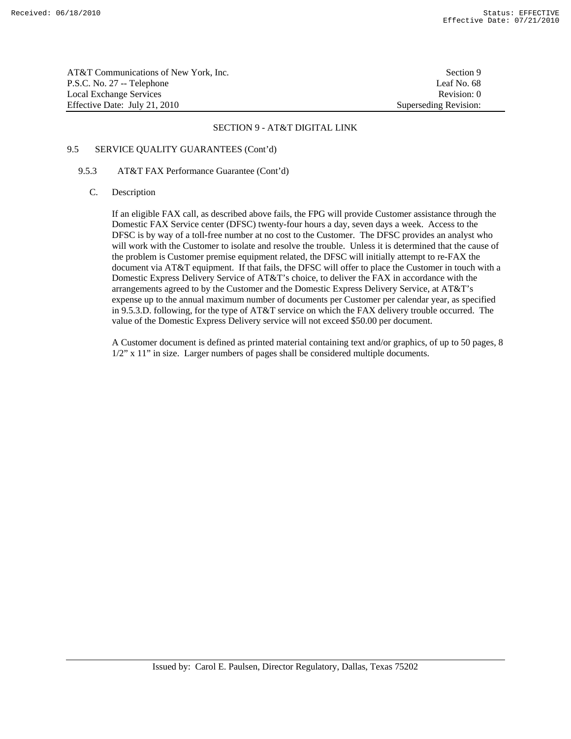AT&T Communications of New York, Inc. Section 9 P.S.C. No. 27 -- Telephone Leaf No. 68<br>
Local Exchange Services 
Revision: 0 Local Exchange Services Effective Date: July 21, 2010 Superseding Revision:

#### SECTION 9 - AT&T DIGITAL LINK

# 9.5 SERVICE QUALITY GUARANTEES (Cont'd)

#### 9.5.3 AT&T FAX Performance Guarantee (Cont'd)

#### C. Description

 If an eligible FAX call, as described above fails, the FPG will provide Customer assistance through the Domestic FAX Service center (DFSC) twenty-four hours a day, seven days a week. Access to the DFSC is by way of a toll-free number at no cost to the Customer. The DFSC provides an analyst who will work with the Customer to isolate and resolve the trouble. Unless it is determined that the cause of the problem is Customer premise equipment related, the DFSC will initially attempt to re-FAX the document via AT&T equipment. If that fails, the DFSC will offer to place the Customer in touch with a Domestic Express Delivery Service of AT&T's choice, to deliver the FAX in accordance with the arrangements agreed to by the Customer and the Domestic Express Delivery Service, at AT&T's expense up to the annual maximum number of documents per Customer per calendar year, as specified in 9.5.3.D. following, for the type of AT&T service on which the FAX delivery trouble occurred. The value of the Domestic Express Delivery service will not exceed \$50.00 per document.

 A Customer document is defined as printed material containing text and/or graphics, of up to 50 pages, 8 1/2" x 11" in size. Larger numbers of pages shall be considered multiple documents.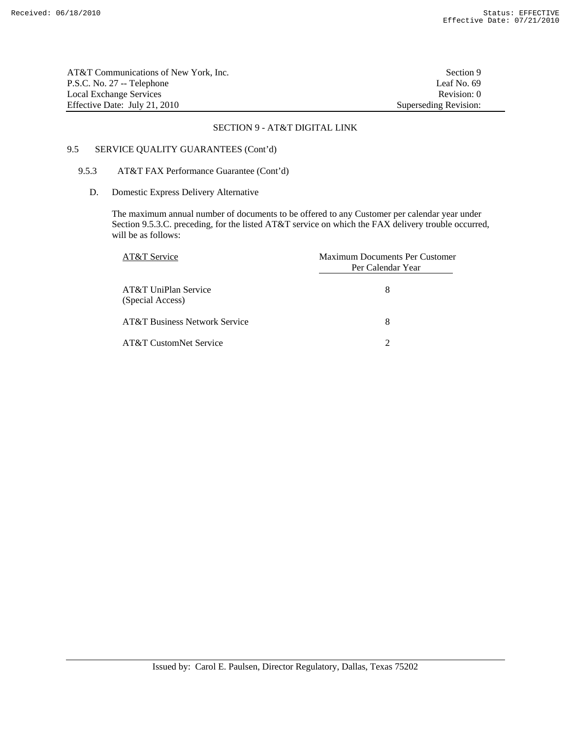AT&T Communications of New York, Inc. Section 9 P.S.C. No. 27 -- Telephone Leaf No. 69 Local Exchange Services Revision: 0 Effective Date: July 21, 2010 Superseding Revision:

#### SECTION 9 - AT&T DIGITAL LINK

# 9.5 SERVICE QUALITY GUARANTEES (Cont'd)

#### 9.5.3 AT&T FAX Performance Guarantee (Cont'd)

D. Domestic Express Delivery Alternative

 The maximum annual number of documents to be offered to any Customer per calendar year under Section 9.5.3.C. preceding, for the listed AT&T service on which the FAX delivery trouble occurred, will be as follows:

| AT&T Service                             | Maximum Documents Per Customer<br>Per Calendar Year |
|------------------------------------------|-----------------------------------------------------|
| AT&T UniPlan Service<br>(Special Access) | 8                                                   |
| <b>AT&amp;T Business Network Service</b> | 8                                                   |
| AT&T CustomNet Service                   |                                                     |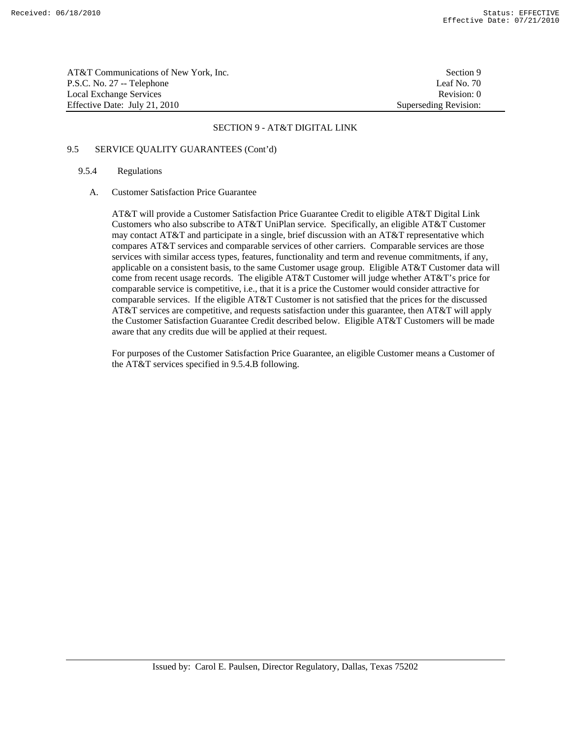AT&T Communications of New York, Inc. Section 9 P.S.C. No. 27 -- Telephone Leaf No. 70 Local Exchange Services **Revision:** 0 Effective Date: July 21, 2010 Superseding Revision:

### SECTION 9 - AT&T DIGITAL LINK

# 9.5 SERVICE QUALITY GUARANTEES (Cont'd)

# 9.5.4 Regulations

### A. Customer Satisfaction Price Guarantee

 AT&T will provide a Customer Satisfaction Price Guarantee Credit to eligible AT&T Digital Link Customers who also subscribe to AT&T UniPlan service. Specifically, an eligible AT&T Customer may contact AT&T and participate in a single, brief discussion with an AT&T representative which compares AT&T services and comparable services of other carriers. Comparable services are those services with similar access types, features, functionality and term and revenue commitments, if any, applicable on a consistent basis, to the same Customer usage group. Eligible AT&T Customer data will come from recent usage records. The eligible AT&T Customer will judge whether AT&T's price for comparable service is competitive, i.e., that it is a price the Customer would consider attractive for comparable services. If the eligible AT&T Customer is not satisfied that the prices for the discussed AT&T services are competitive, and requests satisfaction under this guarantee, then AT&T will apply the Customer Satisfaction Guarantee Credit described below. Eligible AT&T Customers will be made aware that any credits due will be applied at their request.

 For purposes of the Customer Satisfaction Price Guarantee, an eligible Customer means a Customer of the AT&T services specified in 9.5.4.B following.